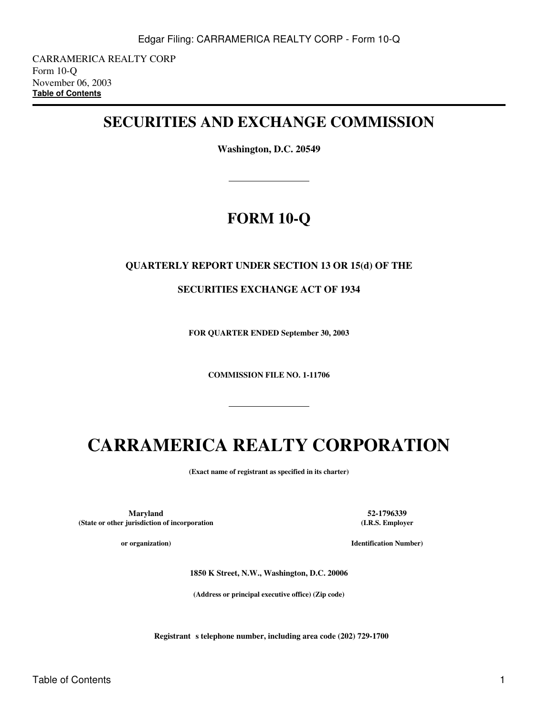CARRAMERICA REALTY CORP Form 10-Q November 06, 2003 **[Table of Contents](#page-2-0)**

# **SECURITIES AND EXCHANGE COMMISSION**

**Washington, D.C. 20549**

# **FORM 10-Q**

# **QUARTERLY REPORT UNDER SECTION 13 OR 15(d) OF THE**

**SECURITIES EXCHANGE ACT OF 1934**

**FOR QUARTER ENDED September 30, 2003**

**COMMISSION FILE NO. 1-11706**

# **CARRAMERICA REALTY CORPORATION**

**(Exact name of registrant as specified in its charter)**

**Maryland 52-1796339 (State or other jurisdiction of incorporation**

**or organization)**

**(I.R.S. Employer**

**Identification Number)**

**1850 K Street, N.W., Washington, D.C. 20006**

**(Address or principal executive office) (Zip code)**

**Registrant** s telephone number, including area code (202) 729-1700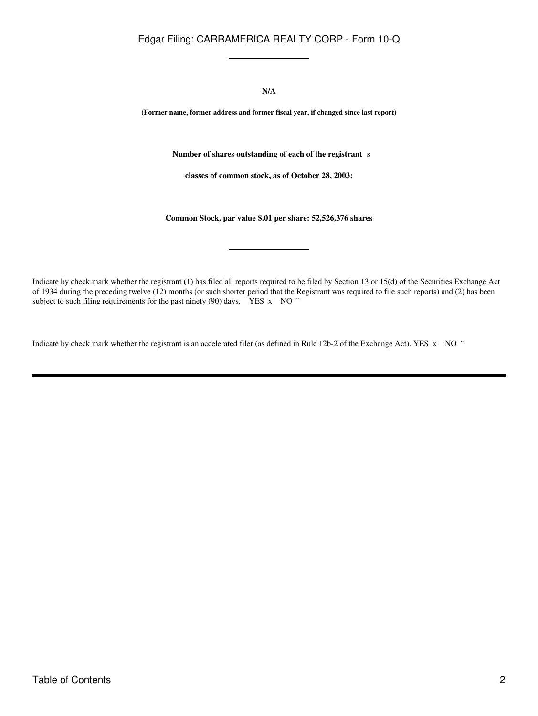**N/A**

**(Former name, former address and former fiscal year, if changed since last report)**

Number of shares outstanding of each of the registrant s

**classes of common stock, as of October 28, 2003:**

**Common Stock, par value \$.01 per share: 52,526,376 shares**

Indicate by check mark whether the registrant (1) has filed all reports required to be filed by Section 13 or 15(d) of the Securities Exchange Act of 1934 during the preceding twelve (12) months (or such shorter period that the Registrant was required to file such reports) and (2) has been subject to such filing requirements for the past ninety (90) days. YES x NO "

Indicate by check mark whether the registrant is an accelerated filer (as defined in Rule 12b-2 of the Exchange Act). YES x NO ¨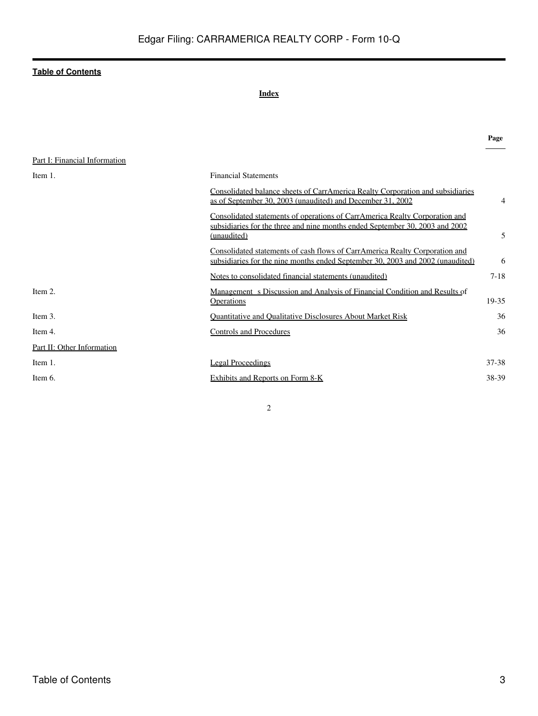# **Index**

<span id="page-2-0"></span>

|                               |                                                                                                                                                                            | Page     |
|-------------------------------|----------------------------------------------------------------------------------------------------------------------------------------------------------------------------|----------|
| Part I: Financial Information |                                                                                                                                                                            |          |
| Item 1.                       | <b>Financial Statements</b>                                                                                                                                                |          |
|                               | Consolidated balance sheets of CarrAmerica Realty Corporation and subsidiaries<br>as of September 30, 2003 (unaudited) and December 31, 2002                               | 4        |
|                               | Consolidated statements of operations of CarrAmerica Realty Corporation and<br>subsidiaries for the three and nine months ended September 30, 2003 and 2002<br>(unaudited) | 5        |
|                               | Consolidated statements of cash flows of CarrAmerica Realty Corporation and<br>subsidiaries for the nine months ended September 30, 2003 and 2002 (unaudited)              | 6        |
|                               | Notes to consolidated financial statements (unaudited)                                                                                                                     | $7 - 18$ |
| Item 2.                       | Management s Discussion and Analysis of Financial Condition and Results of<br><b>Operations</b>                                                                            | 19-35    |
| Item 3.                       | <b>Quantitative and Qualitative Disclosures About Market Risk</b>                                                                                                          | 36       |
| Item 4.                       | <b>Controls and Procedures</b>                                                                                                                                             | 36       |
| Part II: Other Information    |                                                                                                                                                                            |          |
| Item 1.                       | <b>Legal Proceedings</b>                                                                                                                                                   | 37-38    |
| Item 6.                       | Exhibits and Reports on Form 8-K                                                                                                                                           | 38-39    |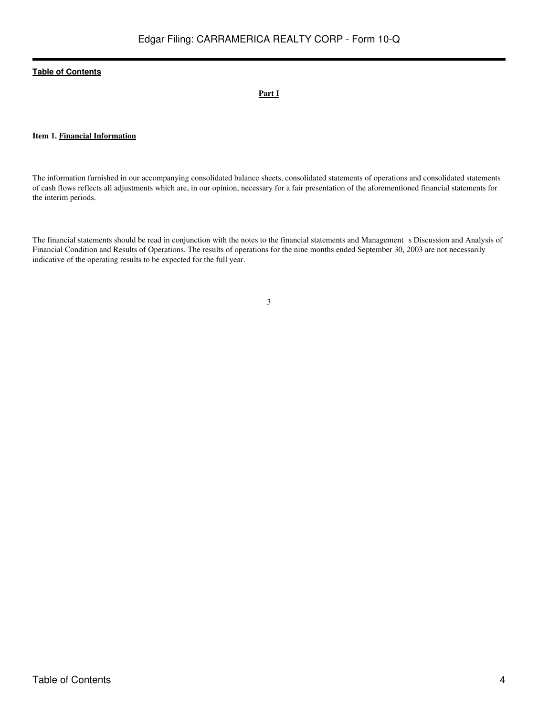# **Part I**

# **Item 1. Financial Information**

The information furnished in our accompanying consolidated balance sheets, consolidated statements of operations and consolidated statements of cash flows reflects all adjustments which are, in our opinion, necessary for a fair presentation of the aforementioned financial statements for the interim periods.

The financial statements should be read in conjunction with the notes to the financial statements and Management s Discussion and Analysis of Financial Condition and Results of Operations. The results of operations for the nine months ended September 30, 2003 are not necessarily indicative of the operating results to be expected for the full year.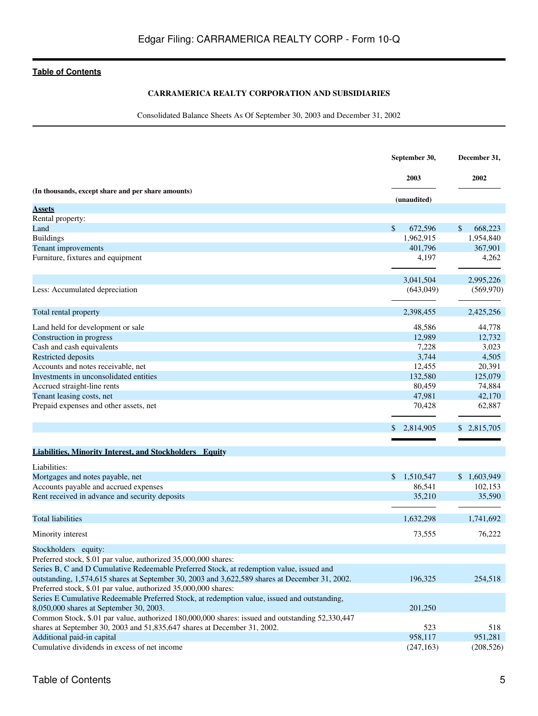# **CARRAMERICA REALTY CORPORATION AND SUBSIDIARIES**

Consolidated Balance Sheets As Of September 30, 2003 and December 31, 2002

<span id="page-4-0"></span>

|                                                                                                                                                                                            | September 30,           | December 31,      |
|--------------------------------------------------------------------------------------------------------------------------------------------------------------------------------------------|-------------------------|-------------------|
|                                                                                                                                                                                            | 2003                    | 2002              |
| (In thousands, except share and per share amounts)                                                                                                                                         | (unaudited)             |                   |
| <b>Assets</b>                                                                                                                                                                              |                         |                   |
| Rental property:                                                                                                                                                                           |                         |                   |
| Land                                                                                                                                                                                       | $\mathbb{S}$<br>672,596 | \$<br>668,223     |
| <b>Buildings</b>                                                                                                                                                                           | 1,962,915               | 1,954,840         |
| Tenant improvements                                                                                                                                                                        | 401,796                 | 367,901           |
| Furniture, fixtures and equipment                                                                                                                                                          |                         | 4,197<br>4,262    |
|                                                                                                                                                                                            | 3,041,504               | 2,995,226         |
| Less: Accumulated depreciation                                                                                                                                                             | (643,049)               | (569, 970)        |
| Total rental property                                                                                                                                                                      | 2,398,455               | 2,425,256         |
| Land held for development or sale                                                                                                                                                          |                         | 48,586<br>44,778  |
| Construction in progress                                                                                                                                                                   |                         | 12.989<br>12,732  |
| Cash and cash equivalents                                                                                                                                                                  |                         | 3,023<br>7.228    |
| <b>Restricted deposits</b>                                                                                                                                                                 |                         | 3,744<br>4,505    |
| Accounts and notes receivable, net                                                                                                                                                         |                         | 12,455<br>20,391  |
| Investments in unconsolidated entities                                                                                                                                                     | 132,580                 | 125,079           |
| Accrued straight-line rents                                                                                                                                                                |                         | 74,884<br>80,459  |
| Tenant leasing costs, net                                                                                                                                                                  |                         | 47,981<br>42,170  |
| Prepaid expenses and other assets, net                                                                                                                                                     |                         | 62,887<br>70,428  |
|                                                                                                                                                                                            | 2,814,905               | 2,815,705         |
|                                                                                                                                                                                            |                         |                   |
| <b>Liabilities, Minority Interest, and Stockholders Equity</b>                                                                                                                             |                         |                   |
| Liabilities:                                                                                                                                                                               |                         |                   |
| Mortgages and notes payable, net                                                                                                                                                           | 1,510,547<br>\$         | 1,603,949<br>\$   |
| Accounts payable and accrued expenses                                                                                                                                                      |                         | 86,541<br>102,153 |
| Rent received in advance and security deposits                                                                                                                                             |                         | 35,590<br>35,210  |
| <b>Total liabilities</b>                                                                                                                                                                   | 1,632,298               | 1,741,692         |
| Minority interest                                                                                                                                                                          |                         | 76,222<br>73,555  |
| Stockholders equity:                                                                                                                                                                       |                         |                   |
| Preferred stock, \$.01 par value, authorized 35,000,000 shares:                                                                                                                            |                         |                   |
| Series B, C and D Cumulative Redeemable Preferred Stock, at redemption value, issued and<br>outstanding, 1,574,615 shares at September 30, 2003 and 3,622,589 shares at December 31, 2002. | 196,325                 | 254,518           |
| Preferred stock, \$.01 par value, authorized 35,000,000 shares:                                                                                                                            |                         |                   |
| Series E Cumulative Redeemable Preferred Stock, at redemption value, issued and outstanding,                                                                                               |                         |                   |
| 8,050,000 shares at September 30, 2003.                                                                                                                                                    | 201,250                 |                   |
| Common Stock, \$.01 par value, authorized 180,000,000 shares: issued and outstanding 52,330,447                                                                                            |                         |                   |
| shares at September 30, 2003 and 51,835,647 shares at December 31, 2002.                                                                                                                   |                         | 523<br>518        |
| Additional paid-in capital                                                                                                                                                                 | 958,117                 | 951,281           |
| Cumulative dividends in excess of net income                                                                                                                                               | (247, 163)              | (208, 526)        |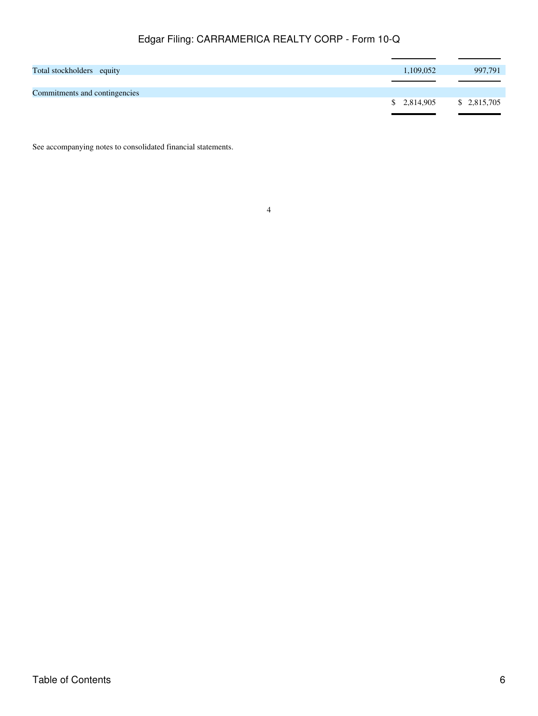| Total stockholders equity     | 1,109,052                 | 997,791 |
|-------------------------------|---------------------------|---------|
|                               |                           |         |
| Commitments and contingencies |                           |         |
|                               | $$2,814,905$ $$2,815,705$ |         |
|                               |                           |         |

See accompanying notes to consolidated financial statements.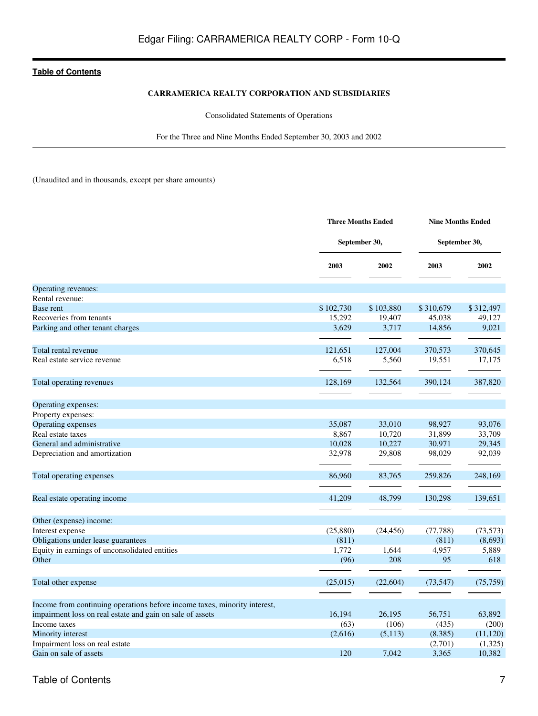# **CARRAMERICA REALTY CORPORATION AND SUBSIDIARIES**

Consolidated Statements of Operations

For the Three and Nine Months Ended September 30, 2003 and 2002

<span id="page-6-0"></span>(Unaudited and in thousands, except per share amounts)

|                                                                                                                                        |               | <b>Three Months Ended</b> |               | <b>Nine Months Ended</b> |  |  |  |
|----------------------------------------------------------------------------------------------------------------------------------------|---------------|---------------------------|---------------|--------------------------|--|--|--|
|                                                                                                                                        | September 30, |                           | September 30, |                          |  |  |  |
|                                                                                                                                        | 2003          | 2002                      | 2003          | 2002                     |  |  |  |
| Operating revenues:                                                                                                                    |               |                           |               |                          |  |  |  |
| Rental revenue:                                                                                                                        |               |                           |               |                          |  |  |  |
| Base rent                                                                                                                              | \$102,730     | \$103,880                 | \$310,679     | \$312,497                |  |  |  |
| Recoveries from tenants                                                                                                                | 15,292        | 19,407                    | 45,038        | 49,127                   |  |  |  |
| Parking and other tenant charges                                                                                                       | 3,629         | 3,717                     | 14,856        | 9,021                    |  |  |  |
| Total rental revenue                                                                                                                   | 121,651       | 127,004                   | 370,573       | 370,645                  |  |  |  |
| Real estate service revenue                                                                                                            | 6,518         | 5,560                     | 19,551        | 17,175                   |  |  |  |
| Total operating revenues                                                                                                               | 128,169       | 132,564                   | 390,124       | 387,820                  |  |  |  |
| Operating expenses:                                                                                                                    |               |                           |               |                          |  |  |  |
| Property expenses:                                                                                                                     |               |                           |               |                          |  |  |  |
| Operating expenses                                                                                                                     | 35,087        | 33,010                    | 98,927        | 93,076                   |  |  |  |
| Real estate taxes                                                                                                                      | 8,867         | 10,720                    | 31,899        | 33,709                   |  |  |  |
| General and administrative                                                                                                             | 10,028        | 10,227                    | 30,971        | 29,345                   |  |  |  |
| Depreciation and amortization                                                                                                          | 32,978        | 29,808                    | 98,029        | 92,039                   |  |  |  |
| Total operating expenses                                                                                                               | 86,960        | 83,765                    | 259,826       | 248,169                  |  |  |  |
| Real estate operating income                                                                                                           | 41,209        | 48,799                    | 130,298       | 139,651                  |  |  |  |
| Other (expense) income:                                                                                                                |               |                           |               |                          |  |  |  |
| Interest expense                                                                                                                       | (25,880)      | (24, 456)                 | (77, 788)     | (73, 573)                |  |  |  |
| Obligations under lease guarantees                                                                                                     | (811)         |                           | (811)         | (8,693)                  |  |  |  |
| Equity in earnings of unconsolidated entities                                                                                          | 1,772         | 1,644                     | 4,957         | 5,889                    |  |  |  |
| Other                                                                                                                                  | (96)          | 208                       | 95            | 618                      |  |  |  |
| Total other expense                                                                                                                    | (25,015)      | (22, 604)                 | (73, 547)     | (75, 759)                |  |  |  |
|                                                                                                                                        |               |                           |               |                          |  |  |  |
| Income from continuing operations before income taxes, minority interest,<br>impairment loss on real estate and gain on sale of assets | 16,194        | 26,195                    | 56,751        | 63,892                   |  |  |  |
| Income taxes                                                                                                                           | (63)          | (106)                     | (435)         | (200)                    |  |  |  |
| Minority interest                                                                                                                      | (2,616)       | (5,113)                   | (8,385)       | (11, 120)                |  |  |  |
| Impairment loss on real estate                                                                                                         |               |                           | (2,701)       | (1,325)                  |  |  |  |
| Gain on sale of assets                                                                                                                 | 120           | 7.042                     | 3,365         | 10,382                   |  |  |  |
|                                                                                                                                        |               |                           |               |                          |  |  |  |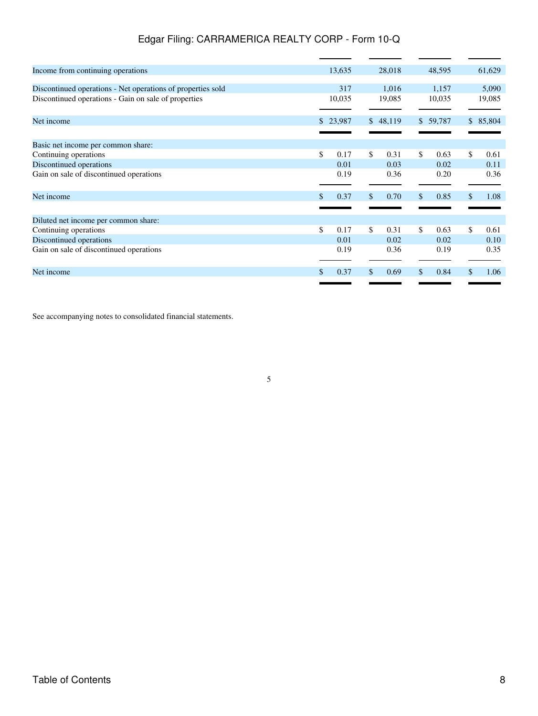| Income from continuing operations                           |     | 13,635 |     | 28,018   | 48,595     | 61,629     |
|-------------------------------------------------------------|-----|--------|-----|----------|------------|------------|
| Discontinued operations - Net operations of properties sold |     | 317    |     | 1,016    | 1,157      | 5,090      |
| Discontinued operations - Gain on sale of properties        |     | 10,035 |     | 19,085   | 10,035     | 19,085     |
| Net income                                                  | \$. | 23,987 |     | \$48,119 | \$59,787   | \$85,804   |
| Basic net income per common share:                          |     |        |     |          |            |            |
| Continuing operations                                       | \$  | 0.17   | \$  | 0.31     | \$<br>0.63 | \$<br>0.61 |
| Discontinued operations                                     |     | 0.01   |     | 0.03     | 0.02       | 0.11       |
| Gain on sale of discontinued operations                     |     | 0.19   |     | 0.36     | 0.20       | 0.36       |
| Net income                                                  |     | 0.37   | \$. | 0.70     | \$<br>0.85 | 1.08       |
| Diluted net income per common share:                        |     |        |     |          |            |            |
| Continuing operations                                       | \$  | 0.17   | \$  | 0.31     | \$<br>0.63 | \$<br>0.61 |
| Discontinued operations                                     |     | 0.01   |     | 0.02     | 0.02       | 0.10       |
| Gain on sale of discontinued operations                     |     | 0.19   |     | 0.36     | 0.19       | 0.35       |
| Net income                                                  |     | 0.37   |     | 0.69     | \$<br>0.84 | 1.06       |
|                                                             |     |        |     |          |            |            |

See accompanying notes to consolidated financial statements.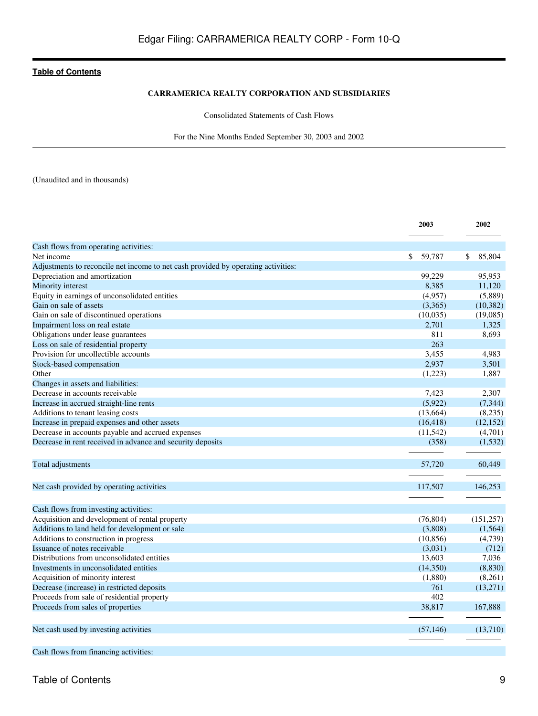### **CARRAMERICA REALTY CORPORATION AND SUBSIDIARIES**

Consolidated Statements of Cash Flows

For the Nine Months Ended September 30, 2003 and 2002

<span id="page-8-0"></span>(Unaudited and in thousands)

|                                                                                         | 2003         | 2002         |
|-----------------------------------------------------------------------------------------|--------------|--------------|
| Cash flows from operating activities:                                                   |              |              |
| Net income                                                                              | \$<br>59,787 | 85,804<br>\$ |
| Adjustments to reconcile net income to net cash provided by operating activities:       |              |              |
| Depreciation and amortization                                                           | 99,229       | 95,953       |
| Minority interest                                                                       | 8,385        | 11,120       |
| Equity in earnings of unconsolidated entities                                           | (4,957)      | (5,889)      |
| Gain on sale of assets                                                                  | (3,365)      | (10, 382)    |
| Gain on sale of discontinued operations                                                 | (10,035)     | (19,085)     |
| Impairment loss on real estate                                                          | 2,701        | 1,325        |
| Obligations under lease guarantees                                                      | 811          | 8,693        |
| Loss on sale of residential property                                                    | 263          |              |
| Provision for uncollectible accounts                                                    | 3,455        | 4,983        |
| Stock-based compensation                                                                | 2,937        | 3,501        |
| Other                                                                                   | (1,223)      | 1,887        |
| Changes in assets and liabilities:                                                      |              |              |
| Decrease in accounts receivable                                                         | 7,423        | 2,307        |
| Increase in accrued straight-line rents                                                 | (5,922)      | (7, 344)     |
| Additions to tenant leasing costs                                                       | (13,664)     | (8,235)      |
| Increase in prepaid expenses and other assets                                           | (16, 418)    | (12, 152)    |
| Decrease in accounts payable and accrued expenses                                       | (11, 542)    | (4,701)      |
| Decrease in rent received in advance and security deposits                              | (358)        | (1, 532)     |
|                                                                                         |              |              |
| Total adjustments                                                                       | 57,720       | 60,449       |
| Net cash provided by operating activities                                               | 117,507      | 146,253      |
|                                                                                         |              |              |
| Cash flows from investing activities:<br>Acquisition and development of rental property | (76, 804)    | (151, 257)   |
| Additions to land held for development or sale                                          | (3,808)      | (1,564)      |
| Additions to construction in progress                                                   | (10, 856)    | (4,739)      |
| Issuance of notes receivable                                                            | (3,031)      | (712)        |
| Distributions from unconsolidated entities                                              | 13,603       | 7,036        |
| Investments in unconsolidated entities                                                  | (14,350)     | (8,830)      |
| Acquisition of minority interest                                                        | (1,880)      | (8,261)      |
| Decrease (increase) in restricted deposits                                              | 761          | (13,271)     |
| Proceeds from sale of residential property                                              | 402          |              |
| Proceeds from sales of properties                                                       | 38,817       | 167,888      |
|                                                                                         |              |              |
| Net cash used by investing activities                                                   | (57, 146)    | (13,710)     |
| Cash flows from financing activities:                                                   |              |              |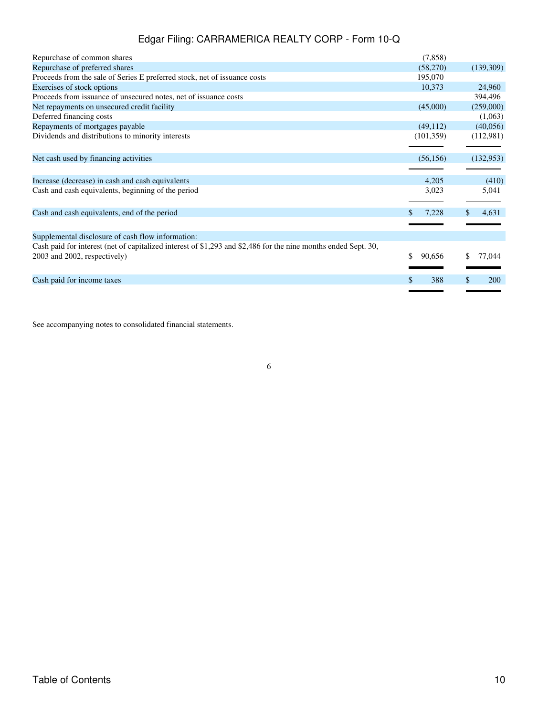| Repurchase of common shares                                                                                    | (7, 858)     |                  |
|----------------------------------------------------------------------------------------------------------------|--------------|------------------|
| Repurchase of preferred shares                                                                                 | (58,270)     | (139,309)        |
| Proceeds from the sale of Series E preferred stock, net of issuance costs                                      | 195,070      |                  |
| Exercises of stock options                                                                                     | 10,373       | 24,960           |
| Proceeds from issuance of unsecured notes, net of issuance costs                                               |              | 394,496          |
| Net repayments on unsecured credit facility                                                                    | (45,000)     | (259,000)        |
| Deferred financing costs                                                                                       |              | (1,063)          |
| Repayments of mortgages payable                                                                                | (49, 112)    | (40,056)         |
| Dividends and distributions to minority interests                                                              | (101, 359)   | (112,981)        |
| Net cash used by financing activities                                                                          | (56, 156)    | (132, 953)       |
| Increase (decrease) in cash and cash equivalents                                                               | 4,205        | (410)            |
| Cash and cash equivalents, beginning of the period                                                             | 3,023        | 5,041            |
| Cash and cash equivalents, end of the period                                                                   | 7,228        | \$<br>4,631      |
|                                                                                                                |              |                  |
| Supplemental disclosure of cash flow information:                                                              |              |                  |
| Cash paid for interest (net of capitalized interest of \$1,293 and \$2,486 for the nine months ended Sept. 30, |              |                  |
| 2003 and 2002, respectively)                                                                                   | \$<br>90,656 | 77,044           |
|                                                                                                                |              |                  |
| Cash paid for income taxes                                                                                     | \$<br>388    | \$<br><b>200</b> |
|                                                                                                                |              |                  |

See accompanying notes to consolidated financial statements.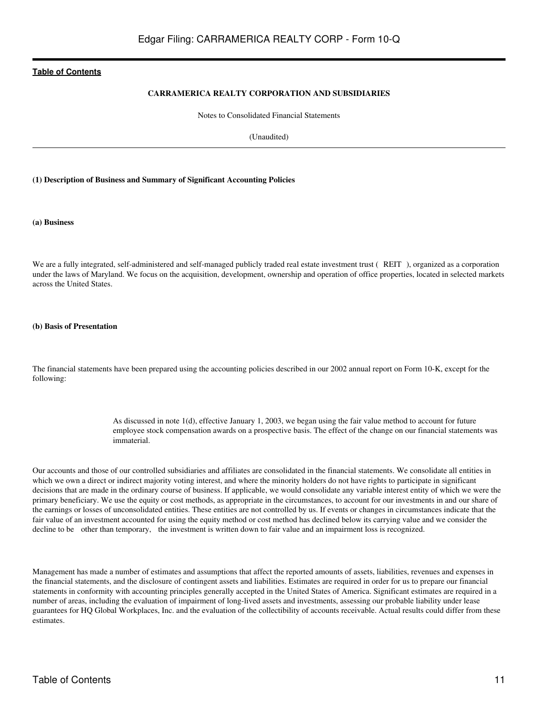### **CARRAMERICA REALTY CORPORATION AND SUBSIDIARIES**

Notes to Consolidated Financial Statements

(Unaudited)

#### <span id="page-10-0"></span>**(1) Description of Business and Summary of Significant Accounting Policies**

#### **(a) Business**

We are a fully integrated, self-administered and self-managed publicly traded real estate investment trust (REIT), organized as a corporation under the laws of Maryland. We focus on the acquisition, development, ownership and operation of office properties, located in selected markets across the United States.

#### **(b) Basis of Presentation**

The financial statements have been prepared using the accounting policies described in our 2002 annual report on Form 10-K, except for the following:

> As discussed in note 1(d), effective January 1, 2003, we began using the fair value method to account for future employee stock compensation awards on a prospective basis. The effect of the change on our financial statements was immaterial.

Our accounts and those of our controlled subsidiaries and affiliates are consolidated in the financial statements. We consolidate all entities in which we own a direct or indirect majority voting interest, and where the minority holders do not have rights to participate in significant decisions that are made in the ordinary course of business. If applicable, we would consolidate any variable interest entity of which we were the primary beneficiary. We use the equity or cost methods, as appropriate in the circumstances, to account for our investments in and our share of the earnings or losses of unconsolidated entities. These entities are not controlled by us. If events or changes in circumstances indicate that the fair value of an investment accounted for using the equity method or cost method has declined below its carrying value and we consider the decline to be other than temporary, the investment is written down to fair value and an impairment loss is recognized.

Management has made a number of estimates and assumptions that affect the reported amounts of assets, liabilities, revenues and expenses in the financial statements, and the disclosure of contingent assets and liabilities. Estimates are required in order for us to prepare our financial statements in conformity with accounting principles generally accepted in the United States of America. Significant estimates are required in a number of areas, including the evaluation of impairment of long-lived assets and investments, assessing our probable liability under lease guarantees for HQ Global Workplaces, Inc. and the evaluation of the collectibility of accounts receivable. Actual results could differ from these estimates.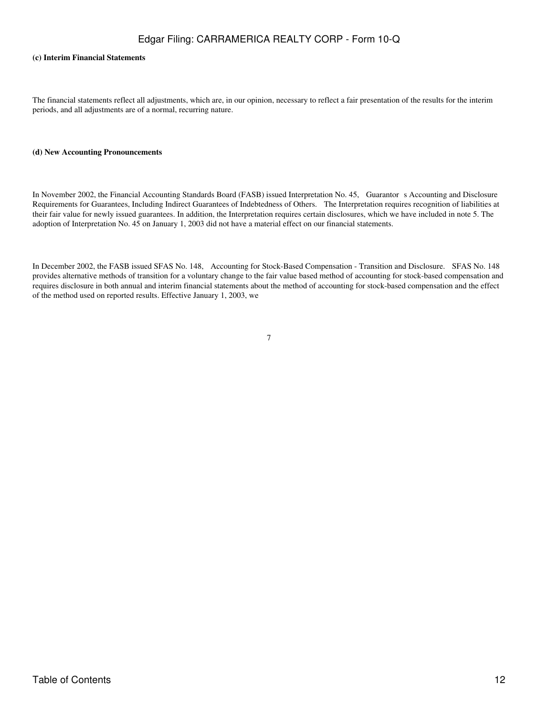#### **(c) Interim Financial Statements**

The financial statements reflect all adjustments, which are, in our opinion, necessary to reflect a fair presentation of the results for the interim periods, and all adjustments are of a normal, recurring nature.

#### **(d) New Accounting Pronouncements**

In November 2002, the Financial Accounting Standards Board (FASB) issued Interpretation No. 45, Guarantors Accounting and Disclosure Requirements for Guarantees, Including Indirect Guarantees of Indebtedness of Others. The Interpretation requires recognition of liabilities at their fair value for newly issued guarantees. In addition, the Interpretation requires certain disclosures, which we have included in note 5. The adoption of Interpretation No. 45 on January 1, 2003 did not have a material effect on our financial statements.

In December 2002, the FASB issued SFAS No. 148, Accounting for Stock-Based Compensation - Transition and Disclosure. SFAS No. 148 provides alternative methods of transition for a voluntary change to the fair value based method of accounting for stock-based compensation and requires disclosure in both annual and interim financial statements about the method of accounting for stock-based compensation and the effect of the method used on reported results. Effective January 1, 2003, we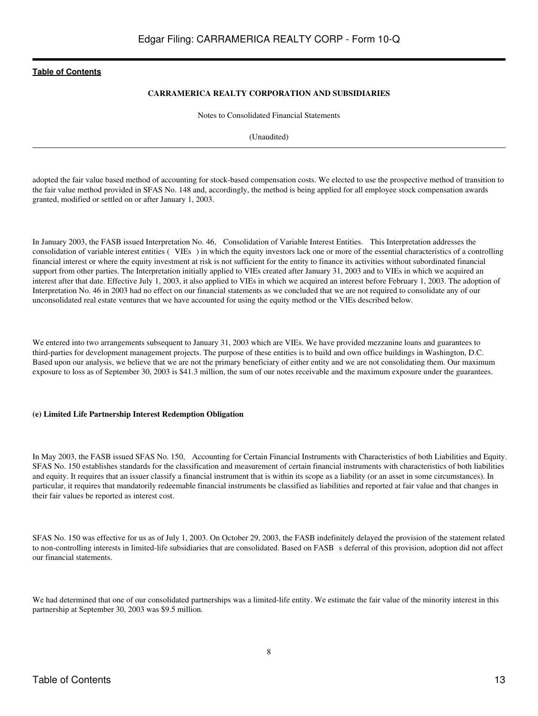### **CARRAMERICA REALTY CORPORATION AND SUBSIDIARIES**

Notes to Consolidated Financial Statements

(Unaudited)

adopted the fair value based method of accounting for stock-based compensation costs. We elected to use the prospective method of transition to the fair value method provided in SFAS No. 148 and, accordingly, the method is being applied for all employee stock compensation awards granted, modified or settled on or after January 1, 2003.

In January 2003, the FASB issued Interpretation No. 46, Consolidation of Variable Interest Entities. This Interpretation addresses the consolidation of variable interest entities (VIEs) in which the equity investors lack one or more of the essential characteristics of a controlling financial interest or where the equity investment at risk is not sufficient for the entity to finance its activities without subordinated financial support from other parties. The Interpretation initially applied to VIEs created after January 31, 2003 and to VIEs in which we acquired an interest after that date. Effective July 1, 2003, it also applied to VIEs in which we acquired an interest before February 1, 2003. The adoption of Interpretation No. 46 in 2003 had no effect on our financial statements as we concluded that we are not required to consolidate any of our unconsolidated real estate ventures that we have accounted for using the equity method or the VIEs described below.

We entered into two arrangements subsequent to January 31, 2003 which are VIEs. We have provided mezzanine loans and guarantees to third-parties for development management projects. The purpose of these entities is to build and own office buildings in Washington, D.C. Based upon our analysis, we believe that we are not the primary beneficiary of either entity and we are not consolidating them. Our maximum exposure to loss as of September 30, 2003 is \$41.3 million, the sum of our notes receivable and the maximum exposure under the guarantees.

#### **(e) Limited Life Partnership Interest Redemption Obligation**

In May 2003, the FASB issued SFAS No. 150, Accounting for Certain Financial Instruments with Characteristics of both Liabilities and Equity. SFAS No. 150 establishes standards for the classification and measurement of certain financial instruments with characteristics of both liabilities and equity. It requires that an issuer classify a financial instrument that is within its scope as a liability (or an asset in some circumstances). In particular, it requires that mandatorily redeemable financial instruments be classified as liabilities and reported at fair value and that changes in their fair values be reported as interest cost.

SFAS No. 150 was effective for us as of July 1, 2003. On October 29, 2003, the FASB indefinitely delayed the provision of the statement related to non-controlling interests in limited-life subsidiaries that are consolidated. Based on FASB s deferral of this provision, adoption did not affect our financial statements.

We had determined that one of our consolidated partnerships was a limited-life entity. We estimate the fair value of the minority interest in this partnership at September 30, 2003 was \$9.5 million.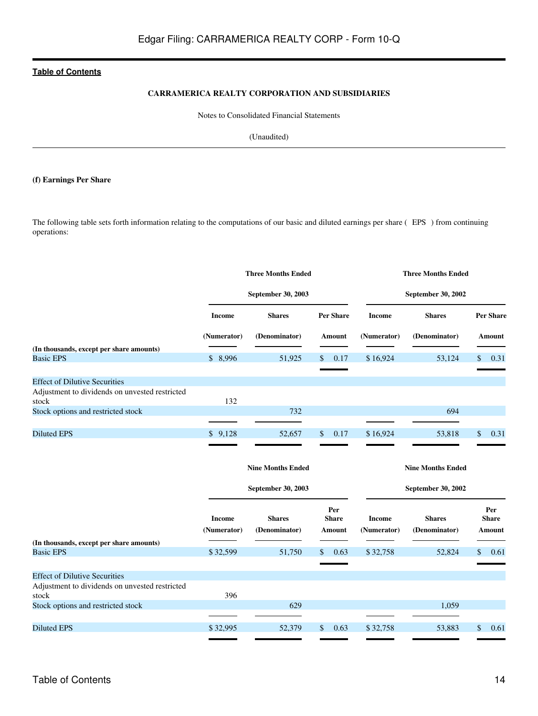### **CARRAMERICA REALTY CORPORATION AND SUBSIDIARIES**

Notes to Consolidated Financial Statements

(Unaudited)

# **(f) Earnings Per Share**

The following table sets forth information relating to the computations of our basic and diluted earnings per share (EPS) from continuing operations:

|                                                |                       | <b>Three Months Ended</b>      | <b>Three Months Ended</b>     |                              |                                |      |                               |  |
|------------------------------------------------|-----------------------|--------------------------------|-------------------------------|------------------------------|--------------------------------|------|-------------------------------|--|
|                                                |                       | September 30, 2003             | <b>September 30, 2002</b>     |                              |                                |      |                               |  |
|                                                | <b>Income</b>         | <b>Shares</b>                  | <b>Per Share</b>              | <b>Income</b>                | <b>Shares</b>                  |      | <b>Per Share</b>              |  |
|                                                | (Numerator)           | (Denominator)                  | Amount                        | (Numerator)                  | (Denominator)                  |      | Amount                        |  |
| (In thousands, except per share amounts)       |                       |                                |                               |                              |                                |      |                               |  |
| <b>Basic EPS</b>                               | \$8,996               | 51,925                         | \$<br>0.17                    | \$16,924                     | 53,124                         | \$   | 0.31                          |  |
|                                                |                       |                                |                               |                              |                                |      |                               |  |
| <b>Effect of Dilutive Securities</b>           |                       |                                |                               |                              |                                |      |                               |  |
| Adjustment to dividends on unvested restricted |                       |                                |                               |                              |                                |      |                               |  |
| stock                                          | 132                   |                                |                               |                              |                                |      |                               |  |
| Stock options and restricted stock             |                       | 732                            |                               |                              | 694                            |      |                               |  |
|                                                |                       |                                |                               |                              |                                |      |                               |  |
| <b>Diluted EPS</b>                             | \$9,128               | 52,657                         | \$<br>0.17                    | \$16,924                     | 53,818                         | \$   | 0.31                          |  |
|                                                |                       |                                |                               |                              |                                |      |                               |  |
|                                                |                       | <b>Nine Months Ended</b>       |                               |                              | <b>Nine Months Ended</b>       |      |                               |  |
|                                                |                       | September 30, 2003             |                               |                              | <b>September 30, 2002</b>      |      |                               |  |
|                                                | Income<br>(Numerator) | <b>Shares</b><br>(Denominator) | Per<br><b>Share</b><br>Amount | <b>Income</b><br>(Numerator) | <b>Shares</b><br>(Denominator) |      | Per<br><b>Share</b><br>Amount |  |
| (In thousands, except per share amounts)       |                       |                                |                               |                              |                                |      |                               |  |
| <b>Basic EPS</b>                               | \$32,599              | 51,750                         | 0.63<br>S                     | \$32,758                     | 52,824                         | \$   | 0.61                          |  |
|                                                |                       |                                |                               |                              |                                |      |                               |  |
| <b>Effect of Dilutive Securities</b>           |                       |                                |                               |                              |                                |      |                               |  |
| Adjustment to dividends on unvested restricted |                       |                                |                               |                              |                                |      |                               |  |
| stock                                          | 396                   |                                |                               |                              |                                |      |                               |  |
| Stock options and restricted stock             |                       | 629                            |                               |                              | 1,059                          |      |                               |  |
|                                                |                       |                                |                               |                              |                                |      |                               |  |
| <b>Diluted EPS</b>                             | \$32,995              | 52,379                         | \$<br>0.63                    | \$32,758                     | 53,883                         | $\$$ | 0.61                          |  |
|                                                |                       |                                |                               |                              |                                |      |                               |  |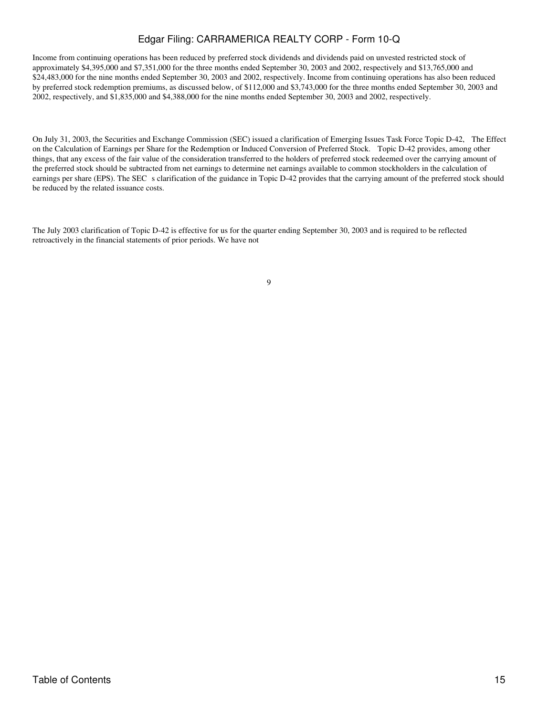Income from continuing operations has been reduced by preferred stock dividends and dividends paid on unvested restricted stock of approximately \$4,395,000 and \$7,351,000 for the three months ended September 30, 2003 and 2002, respectively and \$13,765,000 and \$24,483,000 for the nine months ended September 30, 2003 and 2002, respectively. Income from continuing operations has also been reduced by preferred stock redemption premiums, as discussed below, of \$112,000 and \$3,743,000 for the three months ended September 30, 2003 and 2002, respectively, and \$1,835,000 and \$4,388,000 for the nine months ended September 30, 2003 and 2002, respectively.

On July 31, 2003, the Securities and Exchange Commission (SEC) issued a clarification of Emerging Issues Task Force Topic D-42, The Effect on the Calculation of Earnings per Share for the Redemption or Induced Conversion of Preferred Stock. Topic D-42 provides, among other things, that any excess of the fair value of the consideration transferred to the holders of preferred stock redeemed over the carrying amount of the preferred stock should be subtracted from net earnings to determine net earnings available to common stockholders in the calculation of earnings per share (EPS). The SEC s clarification of the guidance in Topic D-42 provides that the carrying amount of the preferred stock should be reduced by the related issuance costs.

The July 2003 clarification of Topic D-42 is effective for us for the quarter ending September 30, 2003 and is required to be reflected retroactively in the financial statements of prior periods. We have not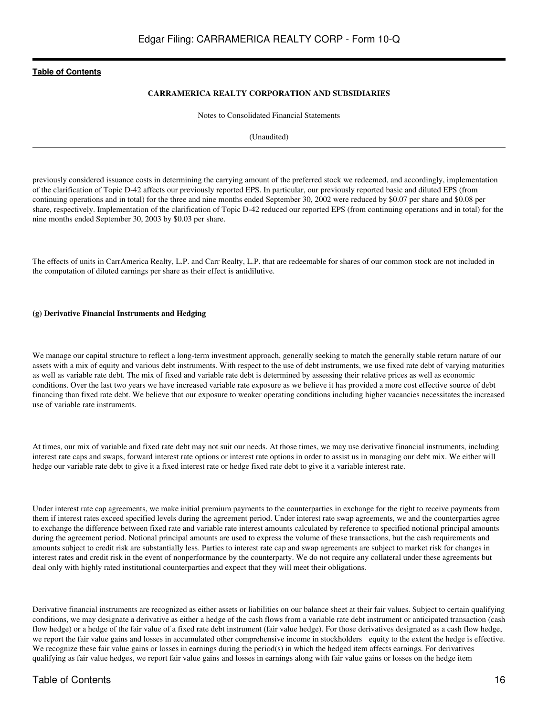### **CARRAMERICA REALTY CORPORATION AND SUBSIDIARIES**

Notes to Consolidated Financial Statements

(Unaudited)

previously considered issuance costs in determining the carrying amount of the preferred stock we redeemed, and accordingly, implementation of the clarification of Topic D-42 affects our previously reported EPS. In particular, our previously reported basic and diluted EPS (from continuing operations and in total) for the three and nine months ended September 30, 2002 were reduced by \$0.07 per share and \$0.08 per share, respectively. Implementation of the clarification of Topic D-42 reduced our reported EPS (from continuing operations and in total) for the nine months ended September 30, 2003 by \$0.03 per share.

The effects of units in CarrAmerica Realty, L.P. and Carr Realty, L.P. that are redeemable for shares of our common stock are not included in the computation of diluted earnings per share as their effect is antidilutive.

#### **(g) Derivative Financial Instruments and Hedging**

We manage our capital structure to reflect a long-term investment approach, generally seeking to match the generally stable return nature of our assets with a mix of equity and various debt instruments. With respect to the use of debt instruments, we use fixed rate debt of varying maturities as well as variable rate debt. The mix of fixed and variable rate debt is determined by assessing their relative prices as well as economic conditions. Over the last two years we have increased variable rate exposure as we believe it has provided a more cost effective source of debt financing than fixed rate debt. We believe that our exposure to weaker operating conditions including higher vacancies necessitates the increased use of variable rate instruments.

At times, our mix of variable and fixed rate debt may not suit our needs. At those times, we may use derivative financial instruments, including interest rate caps and swaps, forward interest rate options or interest rate options in order to assist us in managing our debt mix. We either will hedge our variable rate debt to give it a fixed interest rate or hedge fixed rate debt to give it a variable interest rate.

Under interest rate cap agreements, we make initial premium payments to the counterparties in exchange for the right to receive payments from them if interest rates exceed specified levels during the agreement period. Under interest rate swap agreements, we and the counterparties agree to exchange the difference between fixed rate and variable rate interest amounts calculated by reference to specified notional principal amounts during the agreement period. Notional principal amounts are used to express the volume of these transactions, but the cash requirements and amounts subject to credit risk are substantially less. Parties to interest rate cap and swap agreements are subject to market risk for changes in interest rates and credit risk in the event of nonperformance by the counterparty. We do not require any collateral under these agreements but deal only with highly rated institutional counterparties and expect that they will meet their obligations.

Derivative financial instruments are recognized as either assets or liabilities on our balance sheet at their fair values. Subject to certain qualifying conditions, we may designate a derivative as either a hedge of the cash flows from a variable rate debt instrument or anticipated transaction (cash flow hedge) or a hedge of the fair value of a fixed rate debt instrument (fair value hedge). For those derivatives designated as a cash flow hedge, we report the fair value gains and losses in accumulated other comprehensive income in stockholders equity to the extent the hedge is effective. We recognize these fair value gains or losses in earnings during the period(s) in which the hedged item affects earnings. For derivatives qualifying as fair value hedges, we report fair value gains and losses in earnings along with fair value gains or losses on the hedge item

# Table of Contents 16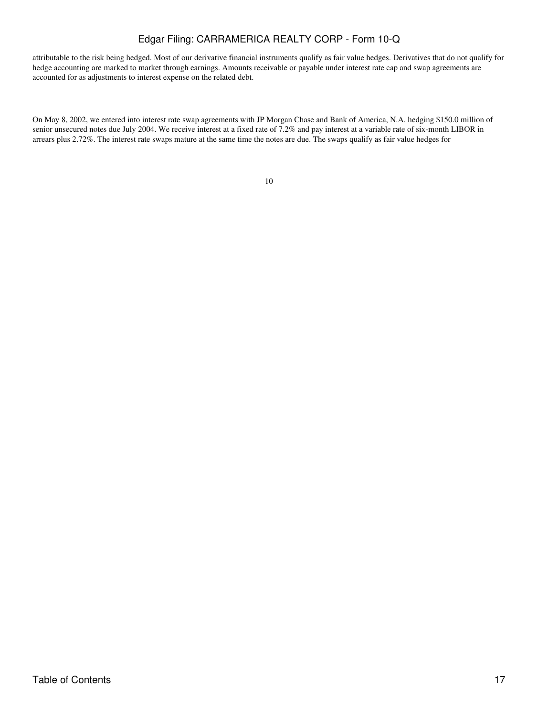attributable to the risk being hedged. Most of our derivative financial instruments qualify as fair value hedges. Derivatives that do not qualify for hedge accounting are marked to market through earnings. Amounts receivable or payable under interest rate cap and swap agreements are accounted for as adjustments to interest expense on the related debt.

On May 8, 2002, we entered into interest rate swap agreements with JP Morgan Chase and Bank of America, N.A. hedging \$150.0 million of senior unsecured notes due July 2004. We receive interest at a fixed rate of 7.2% and pay interest at a variable rate of six-month LIBOR in arrears plus 2.72%. The interest rate swaps mature at the same time the notes are due. The swaps qualify as fair value hedges for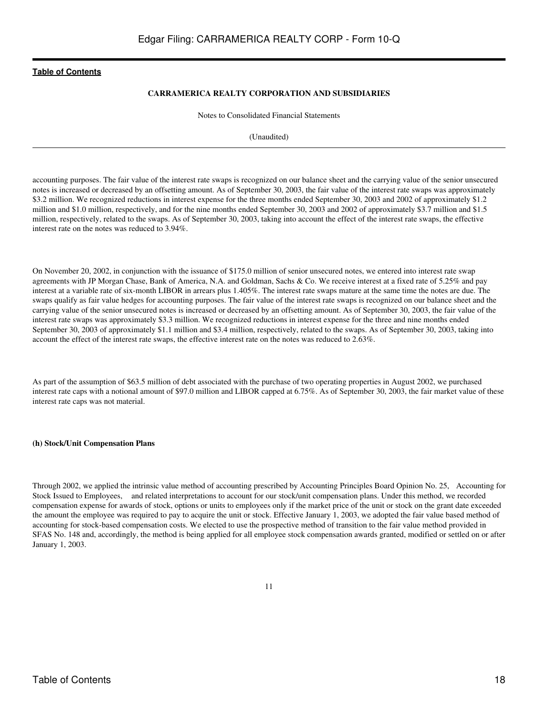### **CARRAMERICA REALTY CORPORATION AND SUBSIDIARIES**

Notes to Consolidated Financial Statements

(Unaudited)

accounting purposes. The fair value of the interest rate swaps is recognized on our balance sheet and the carrying value of the senior unsecured notes is increased or decreased by an offsetting amount. As of September 30, 2003, the fair value of the interest rate swaps was approximately \$3.2 million. We recognized reductions in interest expense for the three months ended September 30, 2003 and 2002 of approximately \$1.2 million and \$1.0 million, respectively, and for the nine months ended September 30, 2003 and 2002 of approximately \$3.7 million and \$1.5 million, respectively, related to the swaps. As of September 30, 2003, taking into account the effect of the interest rate swaps, the effective interest rate on the notes was reduced to 3.94%.

On November 20, 2002, in conjunction with the issuance of \$175.0 million of senior unsecured notes, we entered into interest rate swap agreements with JP Morgan Chase, Bank of America, N.A. and Goldman, Sachs & Co. We receive interest at a fixed rate of 5.25% and pay interest at a variable rate of six-month LIBOR in arrears plus 1.405%. The interest rate swaps mature at the same time the notes are due. The swaps qualify as fair value hedges for accounting purposes. The fair value of the interest rate swaps is recognized on our balance sheet and the carrying value of the senior unsecured notes is increased or decreased by an offsetting amount. As of September 30, 2003, the fair value of the interest rate swaps was approximately \$3.3 million. We recognized reductions in interest expense for the three and nine months ended September 30, 2003 of approximately \$1.1 million and \$3.4 million, respectively, related to the swaps. As of September 30, 2003, taking into account the effect of the interest rate swaps, the effective interest rate on the notes was reduced to 2.63%.

As part of the assumption of \$63.5 million of debt associated with the purchase of two operating properties in August 2002, we purchased interest rate caps with a notional amount of \$97.0 million and LIBOR capped at 6.75%. As of September 30, 2003, the fair market value of these interest rate caps was not material.

#### **(h) Stock/Unit Compensation Plans**

Through 2002, we applied the intrinsic value method of accounting prescribed by Accounting Principles Board Opinion No. 25, Accounting for Stock Issued to Employees, and related interpretations to account for our stock/unit compensation plans. Under this method, we recorded compensation expense for awards of stock, options or units to employees only if the market price of the unit or stock on the grant date exceeded the amount the employee was required to pay to acquire the unit or stock. Effective January 1, 2003, we adopted the fair value based method of accounting for stock-based compensation costs. We elected to use the prospective method of transition to the fair value method provided in SFAS No. 148 and, accordingly, the method is being applied for all employee stock compensation awards granted, modified or settled on or after January 1, 2003.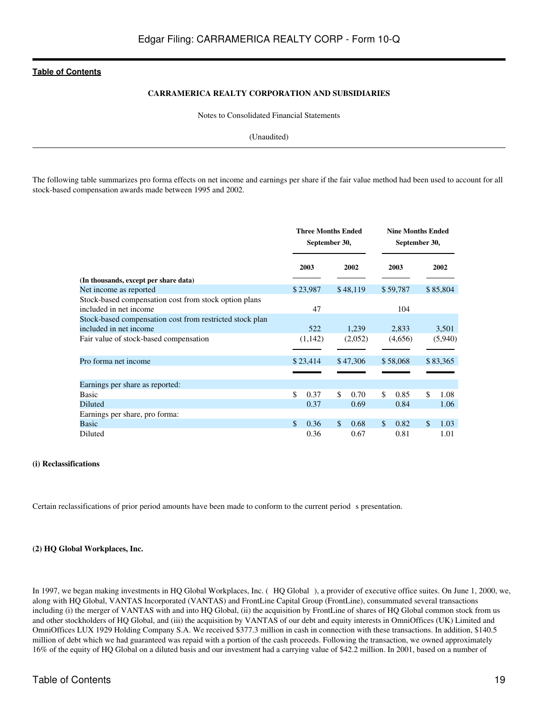### **CARRAMERICA REALTY CORPORATION AND SUBSIDIARIES**

Notes to Consolidated Financial Statements

(Unaudited)

The following table summarizes pro forma effects on net income and earnings per share if the fair value method had been used to account for all stock-based compensation awards made between 1995 and 2002.

|                                                                                 |            | <b>Three Months Ended</b><br>September 30, | <b>Nine Months Ended</b><br>September 30, |             |  |
|---------------------------------------------------------------------------------|------------|--------------------------------------------|-------------------------------------------|-------------|--|
|                                                                                 | 2003       | 2002                                       | 2003                                      | 2002        |  |
| (In thousands, except per share data)                                           |            |                                            |                                           |             |  |
| Net income as reported                                                          | \$23,987   | \$48,119                                   | \$59,787                                  | \$85,804    |  |
| Stock-based compensation cost from stock option plans<br>included in net income | 47         |                                            | 104                                       |             |  |
| Stock-based compensation cost from restricted stock plan                        |            |                                            |                                           |             |  |
| included in net income                                                          | 522        | 1,239                                      | 2,833                                     | 3,501       |  |
| Fair value of stock-based compensation                                          | (1,142)    | (2,052)                                    | (4,656)                                   | (5,940)     |  |
| Pro forma net income                                                            | \$23,414   | \$47,306                                   | \$58,068                                  | \$83,365    |  |
|                                                                                 |            |                                            |                                           |             |  |
| Earnings per share as reported:                                                 |            |                                            |                                           |             |  |
| <b>Basic</b>                                                                    | \$<br>0.37 | \$<br>0.70                                 | \$<br>0.85                                | \$.<br>1.08 |  |
| Diluted                                                                         | 0.37       | 0.69                                       | 0.84                                      | 1.06        |  |
| Earnings per share, pro forma:                                                  |            |                                            |                                           |             |  |
| Basic                                                                           | 0.36<br>\$ | \$.<br>0.68                                | \$.<br>0.82                               | \$.<br>1.03 |  |
| Diluted                                                                         | 0.36       | 0.67                                       | 0.81                                      | 1.01        |  |

#### **(i) Reclassifications**

Certain reclassifications of prior period amounts have been made to conform to the current period s presentation.

#### **(2) HQ Global Workplaces, Inc.**

In 1997, we began making investments in HQ Global Workplaces, Inc. (HQ Global), a provider of executive office suites. On June 1, 2000, we, along with HQ Global, VANTAS Incorporated (VANTAS) and FrontLine Capital Group (FrontLine), consummated several transactions including (i) the merger of VANTAS with and into HQ Global, (ii) the acquisition by FrontLine of shares of HQ Global common stock from us and other stockholders of HQ Global, and (iii) the acquisition by VANTAS of our debt and equity interests in OmniOffices (UK) Limited and OmniOffices LUX 1929 Holding Company S.A. We received \$377.3 million in cash in connection with these transactions. In addition, \$140.5 million of debt which we had guaranteed was repaid with a portion of the cash proceeds. Following the transaction, we owned approximately 16% of the equity of HQ Global on a diluted basis and our investment had a carrying value of \$42.2 million. In 2001, based on a number of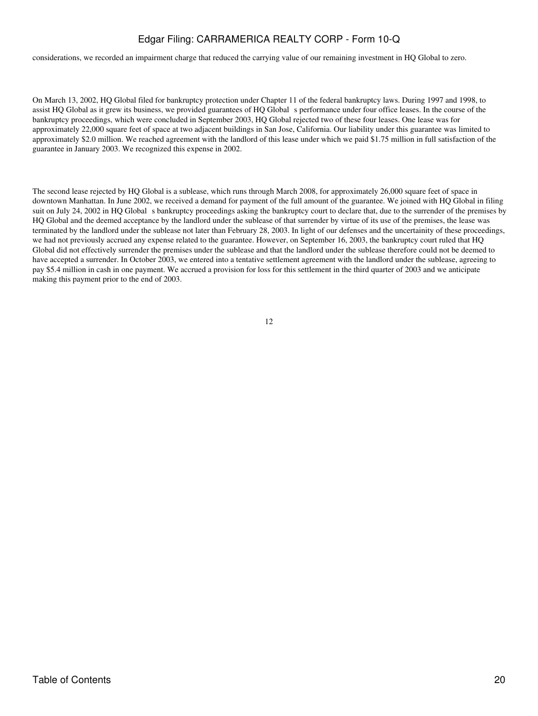considerations, we recorded an impairment charge that reduced the carrying value of our remaining investment in HQ Global to zero.

On March 13, 2002, HQ Global filed for bankruptcy protection under Chapter 11 of the federal bankruptcy laws. During 1997 and 1998, to assist HQ Global as it grew its business, we provided guarantees of HQ Global s performance under four office leases. In the course of the bankruptcy proceedings, which were concluded in September 2003, HQ Global rejected two of these four leases. One lease was for approximately 22,000 square feet of space at two adjacent buildings in San Jose, California. Our liability under this guarantee was limited to approximately \$2.0 million. We reached agreement with the landlord of this lease under which we paid \$1.75 million in full satisfaction of the guarantee in January 2003. We recognized this expense in 2002.

The second lease rejected by HQ Global is a sublease, which runs through March 2008, for approximately 26,000 square feet of space in downtown Manhattan. In June 2002, we received a demand for payment of the full amount of the guarantee. We joined with HQ Global in filing suit on July 24, 2002 in HQ Global s bankruptcy proceedings asking the bankruptcy court to declare that, due to the surrender of the premises by HQ Global and the deemed acceptance by the landlord under the sublease of that surrender by virtue of its use of the premises, the lease was terminated by the landlord under the sublease not later than February 28, 2003. In light of our defenses and the uncertainity of these proceedings, we had not previously accrued any expense related to the guarantee. However, on September 16, 2003, the bankruptcy court ruled that HQ Global did not effectively surrender the premises under the sublease and that the landlord under the sublease therefore could not be deemed to have accepted a surrender. In October 2003, we entered into a tentative settlement agreement with the landlord under the sublease, agreeing to pay \$5.4 million in cash in one payment. We accrued a provision for loss for this settlement in the third quarter of 2003 and we anticipate making this payment prior to the end of 2003.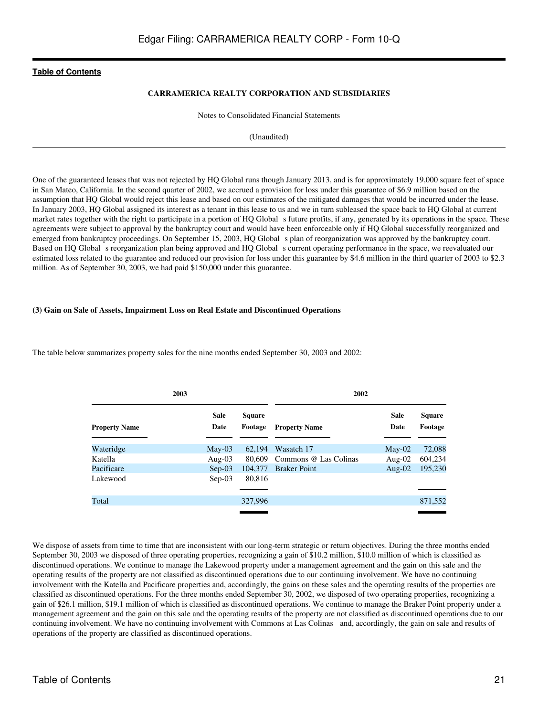### **CARRAMERICA REALTY CORPORATION AND SUBSIDIARIES**

Notes to Consolidated Financial Statements

(Unaudited)

One of the guaranteed leases that was not rejected by HQ Global runs though January 2013, and is for approximately 19,000 square feet of space in San Mateo, California. In the second quarter of 2002, we accrued a provision for loss under this guarantee of \$6.9 million based on the assumption that HQ Global would reject this lease and based on our estimates of the mitigated damages that would be incurred under the lease. In January 2003, HQ Global assigned its interest as a tenant in this lease to us and we in turn subleased the space back to HQ Global at current market rates together with the right to participate in a portion of HQ Global s future profits, if any, generated by its operations in the space. These agreements were subject to approval by the bankruptcy court and would have been enforceable only if HQ Global successfully reorganized and emerged from bankruptcy proceedings. On September 15, 2003, HQ Global s plan of reorganization was approved by the bankruptcy court. Based on HQ Global s reorganization plan being approved and HQ Global s current operating performance in the space, we reevaluated our estimated loss related to the guarantee and reduced our provision for loss under this guarantee by \$4.6 million in the third quarter of 2003 to \$2.3 million. As of September 30, 2003, we had paid \$150,000 under this guarantee.

#### **(3) Gain on Sale of Assets, Impairment Loss on Real Estate and Discontinued Operations**

The table below summarizes property sales for the nine months ended September 30, 2003 and 2002:

| 2003                 |                     |                          | 2002                  |                     |                          |  |  |
|----------------------|---------------------|--------------------------|-----------------------|---------------------|--------------------------|--|--|
| <b>Property Name</b> | <b>Sale</b><br>Date | <b>Square</b><br>Footage | <b>Property Name</b>  | <b>Sale</b><br>Date | <b>Square</b><br>Footage |  |  |
| Wateridge            | $May-03$            | 62.194                   | Wasatch 17            | $Mav-02$            | 72,088                   |  |  |
| Katella              | Aug- $03$           | 80,609                   | Commons @ Las Colinas | Aug- $02$           | 604,234                  |  |  |
| Pacificare           | $Sep-03$            | 104,377                  | <b>Braker Point</b>   | Aug- $02$           | 195,230                  |  |  |
| Lakewood             | $Sep-03$            | 80,816                   |                       |                     |                          |  |  |
|                      |                     |                          |                       |                     |                          |  |  |
| Total                |                     | 327,996                  |                       |                     | 871,552                  |  |  |
|                      |                     |                          |                       |                     |                          |  |  |

We dispose of assets from time to time that are inconsistent with our long-term strategic or return objectives. During the three months ended September 30, 2003 we disposed of three operating properties, recognizing a gain of \$10.2 million, \$10.0 million of which is classified as discontinued operations. We continue to manage the Lakewood property under a management agreement and the gain on this sale and the operating results of the property are not classified as discontinued operations due to our continuing involvement. We have no continuing involvement with the Katella and Pacificare properties and, accordingly, the gains on these sales and the operating results of the properties are classified as discontinued operations. For the three months ended September 30, 2002, we disposed of two operating properties, recognizing a gain of \$26.1 million, \$19.1 million of which is classified as discontinued operations. We continue to manage the Braker Point property under a management agreement and the gain on this sale and the operating results of the property are not classified as discontinued operations due to our continuing involvement. We have no continuing involvement with Commons at Las Colinas and, accordingly, the gain on sale and results of operations of the property are classified as discontinued operations.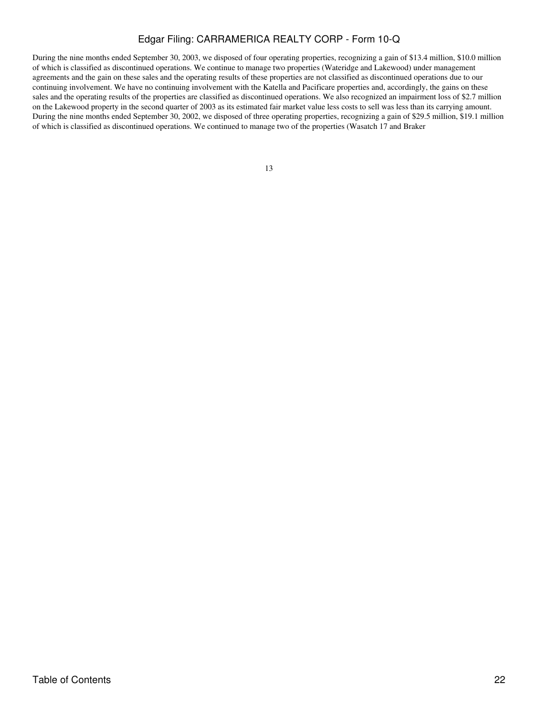During the nine months ended September 30, 2003, we disposed of four operating properties, recognizing a gain of \$13.4 million, \$10.0 million of which is classified as discontinued operations. We continue to manage two properties (Wateridge and Lakewood) under management agreements and the gain on these sales and the operating results of these properties are not classified as discontinued operations due to our continuing involvement. We have no continuing involvement with the Katella and Pacificare properties and, accordingly, the gains on these sales and the operating results of the properties are classified as discontinued operations. We also recognized an impairment loss of \$2.7 million on the Lakewood property in the second quarter of 2003 as its estimated fair market value less costs to sell was less than its carrying amount. During the nine months ended September 30, 2002, we disposed of three operating properties, recognizing a gain of \$29.5 million, \$19.1 million of which is classified as discontinued operations. We continued to manage two of the properties (Wasatch 17 and Braker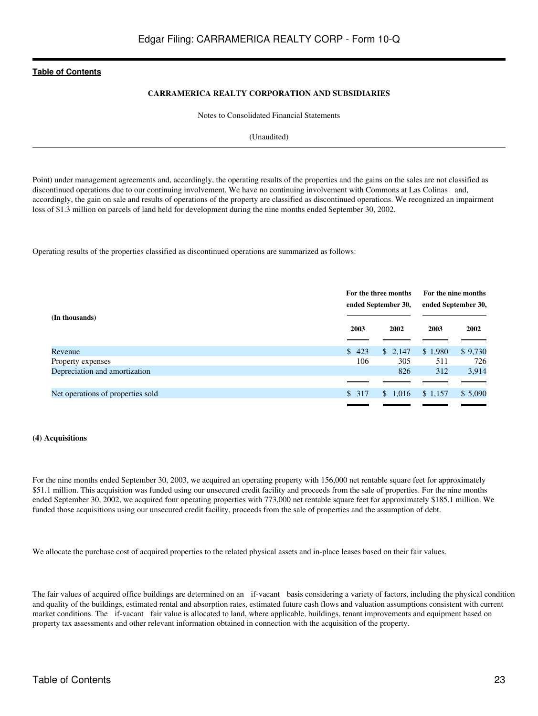### **CARRAMERICA REALTY CORPORATION AND SUBSIDIARIES**

Notes to Consolidated Financial Statements

(Unaudited)

Point) under management agreements and, accordingly, the operating results of the properties and the gains on the sales are not classified as discontinued operations due to our continuing involvement. We have no continuing involvement with Commons at Las Colinas and, accordingly, the gain on sale and results of operations of the property are classified as discontinued operations. We recognized an impairment loss of \$1.3 million on parcels of land held for development during the nine months ended September 30, 2002.

Operating results of the properties classified as discontinued operations are summarized as follows:

|                                   |       | For the three months<br>ended September 30, | For the nine months<br>ended September 30, |         |  |
|-----------------------------------|-------|---------------------------------------------|--------------------------------------------|---------|--|
| (In thousands)                    | 2003  | 2002                                        | 2003                                       | 2002    |  |
| Revenue                           | \$423 | \$2,147                                     | \$1,980                                    | \$9,730 |  |
| Property expenses                 | 106   | 305                                         | 511                                        | 726     |  |
| Depreciation and amortization     |       | 826                                         | 312                                        | 3,914   |  |
|                                   |       |                                             |                                            |         |  |
| Net operations of properties sold | \$317 | \$1,016                                     | \$1,157                                    | \$5,090 |  |

#### **(4) Acquisitions**

For the nine months ended September 30, 2003, we acquired an operating property with 156,000 net rentable square feet for approximately \$51.1 million. This acquisition was funded using our unsecured credit facility and proceeds from the sale of properties. For the nine months ended September 30, 2002, we acquired four operating properties with 773,000 net rentable square feet for approximately \$185.1 million. We funded those acquisitions using our unsecured credit facility, proceeds from the sale of properties and the assumption of debt.

We allocate the purchase cost of acquired properties to the related physical assets and in-place leases based on their fair values.

The fair values of acquired office buildings are determined on an if-vacant basis considering a variety of factors, including the physical condition and quality of the buildings, estimated rental and absorption rates, estimated future cash flows and valuation assumptions consistent with current market conditions. The if-vacant fair value is allocated to land, where applicable, buildings, tenant improvements and equipment based on property tax assessments and other relevant information obtained in connection with the acquisition of the property.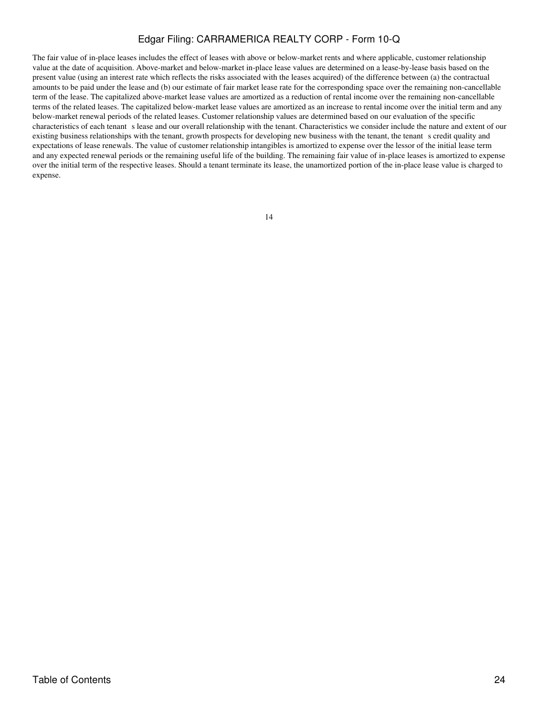The fair value of in-place leases includes the effect of leases with above or below-market rents and where applicable, customer relationship value at the date of acquisition. Above-market and below-market in-place lease values are determined on a lease-by-lease basis based on the present value (using an interest rate which reflects the risks associated with the leases acquired) of the difference between (a) the contractual amounts to be paid under the lease and (b) our estimate of fair market lease rate for the corresponding space over the remaining non-cancellable term of the lease. The capitalized above-market lease values are amortized as a reduction of rental income over the remaining non-cancellable terms of the related leases. The capitalized below-market lease values are amortized as an increase to rental income over the initial term and any below-market renewal periods of the related leases. Customer relationship values are determined based on our evaluation of the specific characteristics of each tenant s lease and our overall relationship with the tenant. Characteristics we consider include the nature and extent of our existing business relationships with the tenant, growth prospects for developing new business with the tenant, the tenant s credit quality and expectations of lease renewals. The value of customer relationship intangibles is amortized to expense over the lessor of the initial lease term and any expected renewal periods or the remaining useful life of the building. The remaining fair value of in-place leases is amortized to expense over the initial term of the respective leases. Should a tenant terminate its lease, the unamortized portion of the in-place lease value is charged to expense.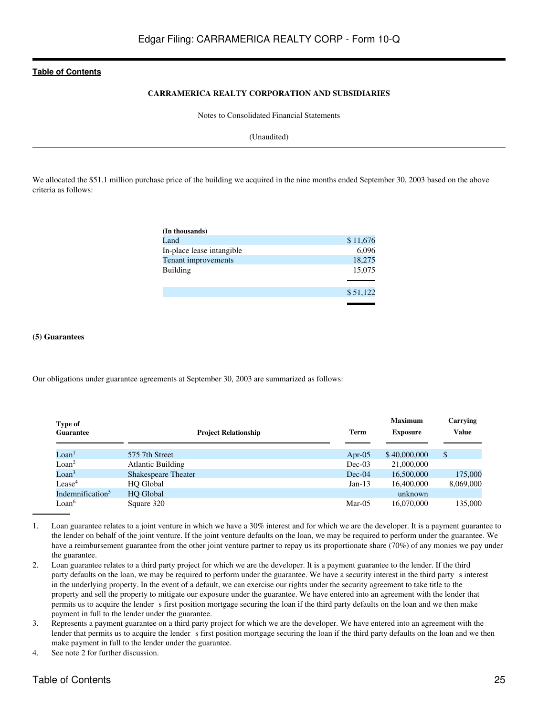# **CARRAMERICA REALTY CORPORATION AND SUBSIDIARIES**

Notes to Consolidated Financial Statements

(Unaudited)

We allocated the \$51.1 million purchase price of the building we acquired in the nine months ended September 30, 2003 based on the above criteria as follows:

| (In thousands)            |          |
|---------------------------|----------|
| Land                      | \$11,676 |
| In-place lease intangible | 6,096    |
| Tenant improvements       | 18,275   |
| <b>Building</b>           | 15,075   |
|                           |          |
|                           | \$51,122 |
|                           |          |

#### **(5) Guarantees**

Our obligations under guarantee agreements at September 30, 2003 are summarized as follows:

| Type of<br><b>Guarantee</b>   | <b>Project Relationship</b> | <b>Term</b> | <b>Maximum</b><br><b>Exposure</b> | Carrying<br><b>Value</b> |
|-------------------------------|-----------------------------|-------------|-----------------------------------|--------------------------|
| $\mathrm{LOan}^1$             | 575 7th Street              | Apr-05      | \$40,000,000                      | \$                       |
| L <sub>oan</sub> <sup>2</sup> | <b>Atlantic Building</b>    | $Dec-03$    | 21,000,000                        |                          |
| $\mathrm{LOan}^3$             | <b>Shakespeare Theater</b>  | $Dec-04$    | 16,500,000                        | 175,000                  |
| $\text{Lease}^4$              | <b>HO</b> Global            | $Jan-13$    | 16,400,000                        | 8,069,000                |
| Indemnification <sup>5</sup>  | <b>HO</b> Global            |             | unknown                           |                          |
| Loan <sup>6</sup>             | Square 320                  | Mar- $05$   | 16,070,000                        | 135,000                  |

- 1. Loan guarantee relates to a joint venture in which we have a 30% interest and for which we are the developer. It is a payment guarantee to the lender on behalf of the joint venture. If the joint venture defaults on the loan, we may be required to perform under the guarantee. We have a reimbursement guarantee from the other joint venture partner to repay us its proportionate share (70%) of any monies we pay under the guarantee.
- 2. Loan guarantee relates to a third party project for which we are the developer. It is a payment guarantee to the lender. If the third party defaults on the loan, we may be required to perform under the guarantee. We have a security interest in the third party sinterest in the underlying property. In the event of a default, we can exercise our rights under the security agreement to take title to the property and sell the property to mitigate our exposure under the guarantee. We have entered into an agreement with the lender that permits us to acquire the lender s first position mortgage securing the loan if the third party defaults on the loan and we then make payment in full to the lender under the guarantee.
- 3. Represents a payment guarantee on a third party project for which we are the developer. We have entered into an agreement with the lender that permits us to acquire the lender s first position mortgage securing the loan if the third party defaults on the loan and we then make payment in full to the lender under the guarantee.
- 4. See note 2 for further discussion.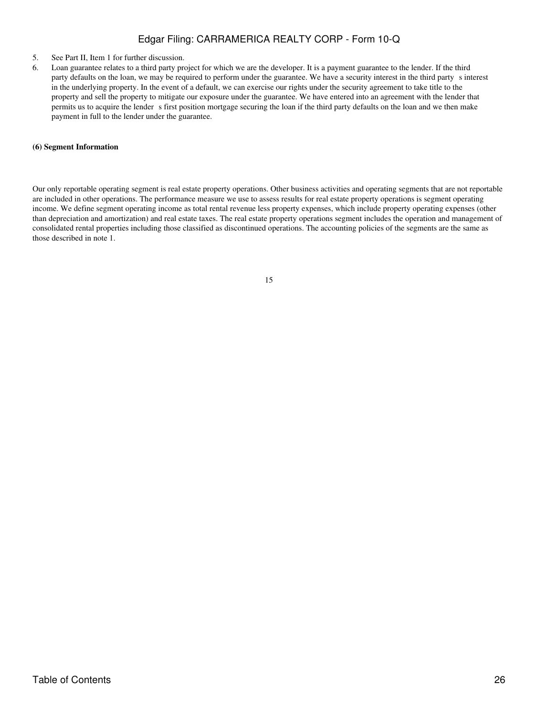- 5. See Part II, Item 1 for further discussion.
- 6. Loan guarantee relates to a third party project for which we are the developer. It is a payment guarantee to the lender. If the third party defaults on the loan, we may be required to perform under the guarantee. We have a security interest in the third party s interest in the underlying property. In the event of a default, we can exercise our rights under the security agreement to take title to the property and sell the property to mitigate our exposure under the guarantee. We have entered into an agreement with the lender that permits us to acquire the lender s first position mortgage securing the loan if the third party defaults on the loan and we then make payment in full to the lender under the guarantee.

#### **(6) Segment Information**

Our only reportable operating segment is real estate property operations. Other business activities and operating segments that are not reportable are included in other operations. The performance measure we use to assess results for real estate property operations is segment operating income. We define segment operating income as total rental revenue less property expenses, which include property operating expenses (other than depreciation and amortization) and real estate taxes. The real estate property operations segment includes the operation and management of consolidated rental properties including those classified as discontinued operations. The accounting policies of the segments are the same as those described in note 1.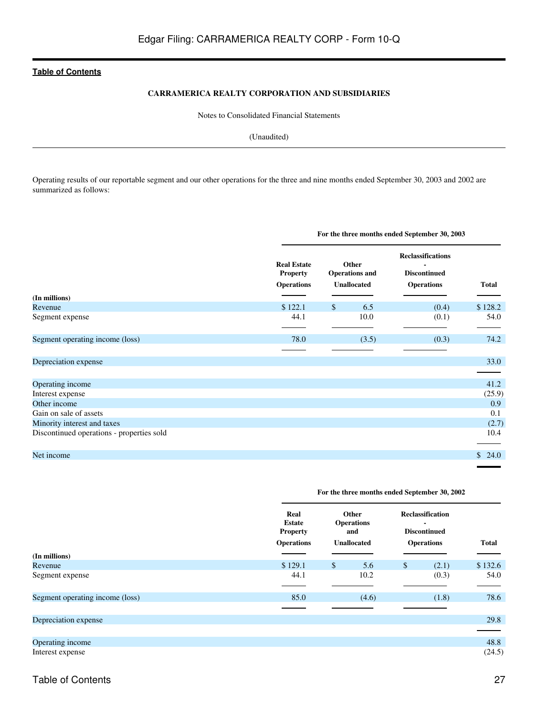### **CARRAMERICA REALTY CORPORATION AND SUBSIDIARIES**

Notes to Consolidated Financial Statements

(Unaudited)

Operating results of our reportable segment and our other operations for the three and nine months ended September 30, 2003 and 2002 are summarized as follows:

|                                           |                                                            | For the three months ended September 30, 2003        |                                                                      |              |  |  |  |
|-------------------------------------------|------------------------------------------------------------|------------------------------------------------------|----------------------------------------------------------------------|--------------|--|--|--|
|                                           | <b>Real Estate</b><br><b>Property</b><br><b>Operations</b> | Other<br><b>Operations and</b><br><b>Unallocated</b> | <b>Reclassifications</b><br><b>Discontinued</b><br><b>Operations</b> | <b>Total</b> |  |  |  |
| (In millions)<br>Revenue                  | \$122.1                                                    | $\mathbb{S}$<br>6.5                                  | (0.4)                                                                | \$128.2      |  |  |  |
| Segment expense                           | 44.1                                                       | 10.0                                                 | (0.1)                                                                | 54.0         |  |  |  |
| Segment operating income (loss)           | 78.0                                                       | (3.5)                                                | (0.3)                                                                | 74.2         |  |  |  |
| Depreciation expense                      |                                                            |                                                      |                                                                      | 33.0         |  |  |  |
| Operating income                          |                                                            |                                                      |                                                                      | 41.2         |  |  |  |
| Interest expense                          |                                                            |                                                      |                                                                      | (25.9)       |  |  |  |
| Other income                              |                                                            |                                                      |                                                                      | 0.9          |  |  |  |
| Gain on sale of assets                    |                                                            |                                                      |                                                                      | 0.1          |  |  |  |
| Minority interest and taxes               |                                                            |                                                      |                                                                      | (2.7)        |  |  |  |
| Discontinued operations - properties sold |                                                            |                                                      |                                                                      | 10.4         |  |  |  |
| Net income                                |                                                            |                                                      |                                                                      | \$24.0       |  |  |  |

# **For the three months ended September 30, 2002**

|                                 | Real<br><b>Estate</b><br><b>Property</b><br><b>Operations</b> | Other<br><b>Operations</b><br>and<br><b>Unallocated</b> | <b>Reclassification</b><br>$\blacksquare$<br><b>Discontinued</b><br><b>Operations</b> | <b>Total</b> |  |
|---------------------------------|---------------------------------------------------------------|---------------------------------------------------------|---------------------------------------------------------------------------------------|--------------|--|
| (In millions)                   |                                                               |                                                         |                                                                                       |              |  |
| Revenue                         | \$129.1                                                       | $\mathbb{S}$<br>5.6                                     | $\mathbb{S}$<br>(2.1)                                                                 | \$132.6      |  |
| Segment expense                 | 44.1                                                          | 10.2                                                    | (0.3)                                                                                 | 54.0         |  |
|                                 |                                                               |                                                         |                                                                                       |              |  |
| Segment operating income (loss) | 85.0                                                          | (4.6)                                                   | (1.8)                                                                                 | 78.6         |  |
|                                 |                                                               |                                                         |                                                                                       |              |  |
| Depreciation expense            |                                                               |                                                         |                                                                                       | 29.8         |  |
|                                 |                                                               |                                                         |                                                                                       |              |  |
| Operating income                |                                                               |                                                         |                                                                                       | 48.8         |  |
| Interest expense                |                                                               |                                                         |                                                                                       | (24.5)       |  |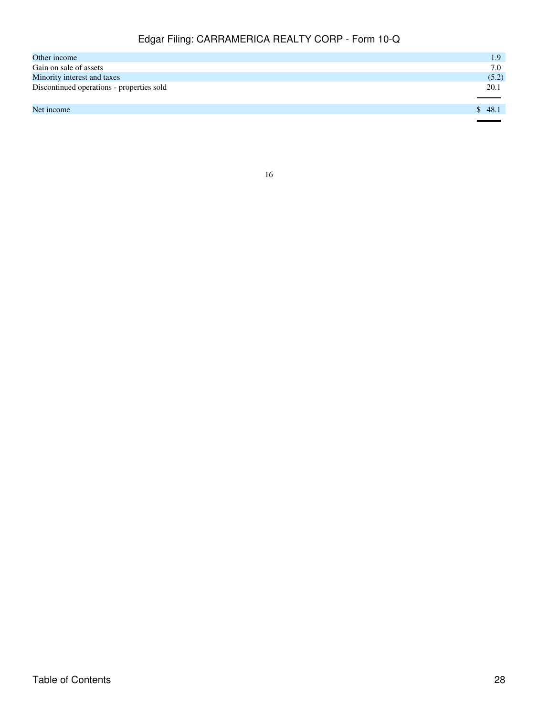| Other income                              | 1.9    |
|-------------------------------------------|--------|
| Gain on sale of assets                    | 7.0    |
| Minority interest and taxes               | (5.2)  |
| Discontinued operations - properties sold | 20.1   |
|                                           |        |
| Net income                                | \$48.1 |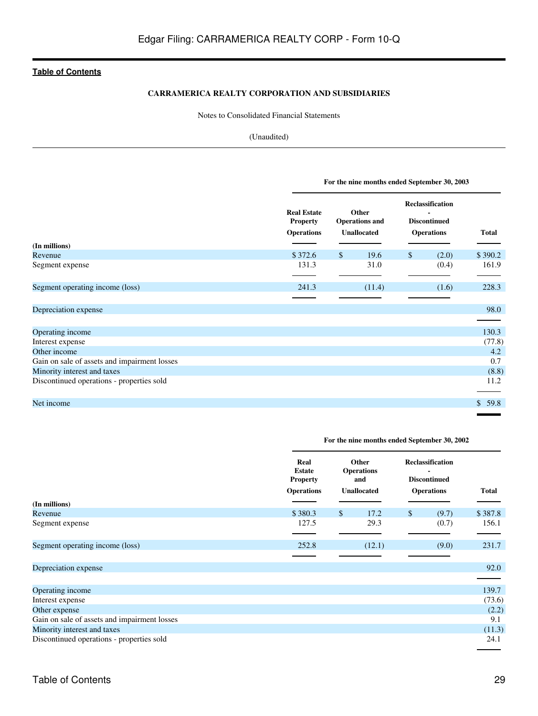# **CARRAMERICA REALTY CORPORATION AND SUBSIDIARIES**

Notes to Consolidated Financial Statements

# (Unaudited)

|                                              | For the nine months ended September 30, 2003               |                                                      |        |                                                                     |       |              |  |
|----------------------------------------------|------------------------------------------------------------|------------------------------------------------------|--------|---------------------------------------------------------------------|-------|--------------|--|
|                                              | <b>Real Estate</b><br><b>Property</b><br><b>Operations</b> | Other<br><b>Operations and</b><br><b>Unallocated</b> |        | <b>Reclassification</b><br><b>Discontinued</b><br><b>Operations</b> |       | <b>Total</b> |  |
| (In millions)                                |                                                            |                                                      |        |                                                                     |       |              |  |
| Revenue                                      | \$372.6                                                    | $\mathcal{S}$                                        | 19.6   | $\mathbb{S}$                                                        | (2.0) | \$390.2      |  |
| Segment expense                              | 131.3                                                      |                                                      | 31.0   |                                                                     | (0.4) | 161.9        |  |
| Segment operating income (loss)              | 241.3                                                      |                                                      | (11.4) |                                                                     | (1.6) | 228.3        |  |
|                                              |                                                            |                                                      |        |                                                                     |       |              |  |
| Depreciation expense                         |                                                            |                                                      |        |                                                                     |       | 98.0         |  |
|                                              |                                                            |                                                      |        |                                                                     |       |              |  |
| Operating income                             |                                                            |                                                      |        |                                                                     |       | 130.3        |  |
| Interest expense                             |                                                            |                                                      |        |                                                                     |       | (77.8)       |  |
| Other income                                 |                                                            |                                                      |        |                                                                     |       | 4.2          |  |
| Gain on sale of assets and impairment losses |                                                            |                                                      |        |                                                                     |       | 0.7          |  |
| Minority interest and taxes                  |                                                            |                                                      |        |                                                                     |       | (8.8)        |  |
| Discontinued operations - properties sold    |                                                            |                                                      |        |                                                                     |       | 11.2         |  |
| Net income                                   |                                                            |                                                      |        |                                                                     |       | 59.8<br>\$   |  |

# **For the nine months ended September 30, 2002**

|                                              | Real<br><b>Estate</b><br><b>Property</b> | Other<br><b>Operations</b><br>and | <b>Reclassification</b><br><b>Discontinued</b> |              |
|----------------------------------------------|------------------------------------------|-----------------------------------|------------------------------------------------|--------------|
|                                              | <b>Operations</b>                        | <b>Unallocated</b>                | <b>Operations</b>                              | <b>Total</b> |
| (In millions)                                |                                          |                                   |                                                |              |
| Revenue                                      | \$380.3                                  | $\mathbb{S}$<br>17.2              | $\mathbb{S}$<br>(9.7)                          | \$387.8      |
| Segment expense                              | 127.5                                    | 29.3                              | (0.7)                                          | 156.1        |
|                                              |                                          |                                   |                                                |              |
| Segment operating income (loss)              | 252.8                                    | (12.1)                            | (9.0)                                          | 231.7        |
|                                              |                                          |                                   |                                                |              |
| Depreciation expense                         |                                          |                                   |                                                | 92.0         |
|                                              |                                          |                                   |                                                |              |
| Operating income                             |                                          |                                   |                                                | 139.7        |
| Interest expense                             |                                          |                                   |                                                | (73.6)       |
| Other expense                                |                                          |                                   |                                                | (2.2)        |
| Gain on sale of assets and impairment losses |                                          |                                   |                                                | 9.1          |
| Minority interest and taxes                  |                                          |                                   |                                                | (11.3)       |
| Discontinued operations - properties sold    |                                          |                                   |                                                | 24.1         |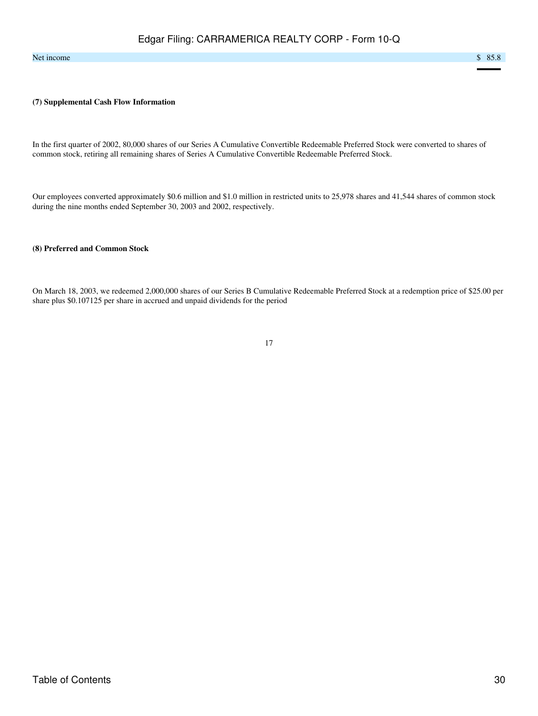#### Net income  $\sim$  85.8

#### **(7) Supplemental Cash Flow Information**

In the first quarter of 2002, 80,000 shares of our Series A Cumulative Convertible Redeemable Preferred Stock were converted to shares of common stock, retiring all remaining shares of Series A Cumulative Convertible Redeemable Preferred Stock.

Our employees converted approximately \$0.6 million and \$1.0 million in restricted units to 25,978 shares and 41,544 shares of common stock during the nine months ended September 30, 2003 and 2002, respectively.

# **(8) Preferred and Common Stock**

On March 18, 2003, we redeemed 2,000,000 shares of our Series B Cumulative Redeemable Preferred Stock at a redemption price of \$25.00 per share plus \$0.107125 per share in accrued and unpaid dividends for the period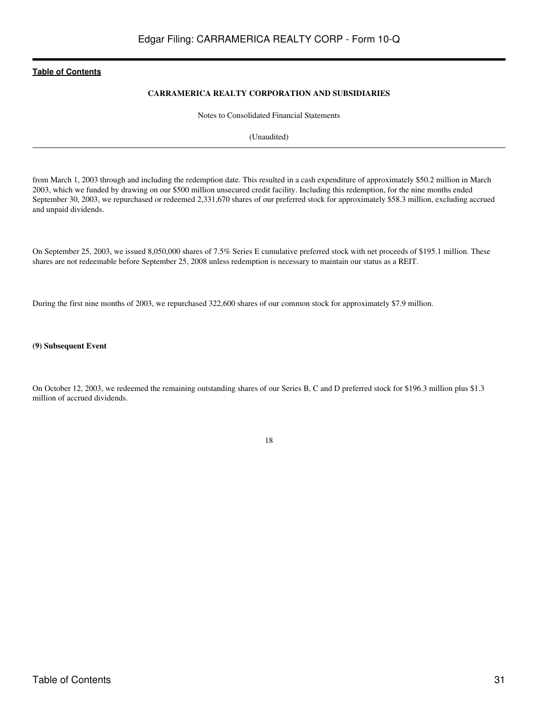# **CARRAMERICA REALTY CORPORATION AND SUBSIDIARIES**

Notes to Consolidated Financial Statements

(Unaudited)

from March 1, 2003 through and including the redemption date. This resulted in a cash expenditure of approximately \$50.2 million in March 2003, which we funded by drawing on our \$500 million unsecured credit facility. Including this redemption, for the nine months ended September 30, 2003, we repurchased or redeemed 2,331,670 shares of our preferred stock for approximately \$58.3 million, excluding accrued and unpaid dividends.

On September 25, 2003, we issued 8,050,000 shares of 7.5% Series E cumulative preferred stock with net proceeds of \$195.1 million. These shares are not redeemable before September 25, 2008 unless redemption is necessary to maintain our status as a REIT.

During the first nine months of 2003, we repurchased 322,600 shares of our common stock for approximately \$7.9 million.

#### **(9) Subsequent Event**

On October 12, 2003, we redeemed the remaining outstanding shares of our Series B, C and D preferred stock for \$196.3 million plus \$1.3 million of accrued dividends.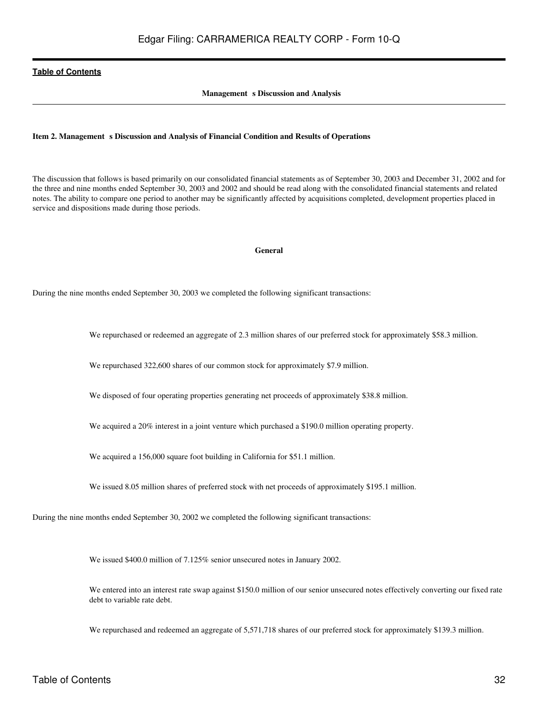### **Management** s Discussion and Analysis

#### <span id="page-31-0"></span>Item 2. Management s Discussion and Analysis of Financial Condition and Results of Operations

The discussion that follows is based primarily on our consolidated financial statements as of September 30, 2003 and December 31, 2002 and for the three and nine months ended September 30, 2003 and 2002 and should be read along with the consolidated financial statements and related notes. The ability to compare one period to another may be significantly affected by acquisitions completed, development properties placed in service and dispositions made during those periods.

#### **General**

During the nine months ended September 30, 2003 we completed the following significant transactions:

We repurchased or redeemed an aggregate of 2.3 million shares of our preferred stock for approximately \$58.3 million.

We repurchased 322,600 shares of our common stock for approximately \$7.9 million.

We disposed of four operating properties generating net proceeds of approximately \$38.8 million.

We acquired a 20% interest in a joint venture which purchased a \$190.0 million operating property.

We acquired a 156,000 square foot building in California for \$51.1 million.

We issued 8.05 million shares of preferred stock with net proceeds of approximately \$195.1 million.

During the nine months ended September 30, 2002 we completed the following significant transactions:

We issued \$400.0 million of 7.125% senior unsecured notes in January 2002.

We entered into an interest rate swap against \$150.0 million of our senior unsecured notes effectively converting our fixed rate debt to variable rate debt.

We repurchased and redeemed an aggregate of 5,571,718 shares of our preferred stock for approximately \$139.3 million.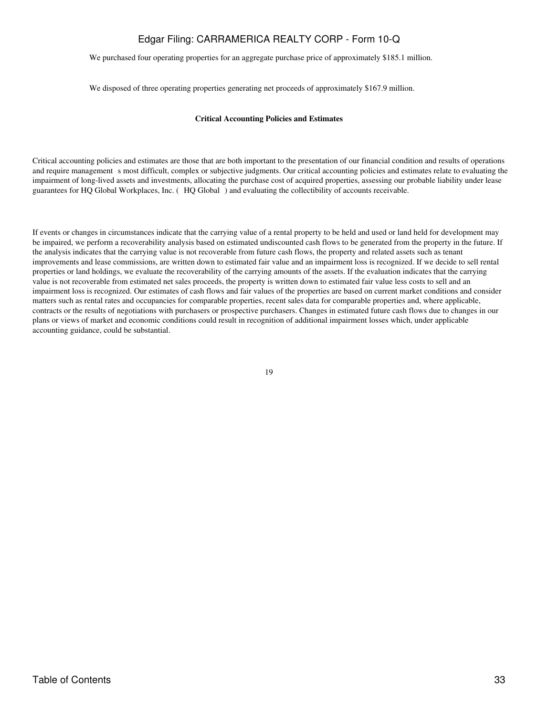We purchased four operating properties for an aggregate purchase price of approximately \$185.1 million.

We disposed of three operating properties generating net proceeds of approximately \$167.9 million.

#### **Critical Accounting Policies and Estimates**

Critical accounting policies and estimates are those that are both important to the presentation of our financial condition and results of operations and require management s most difficult, complex or subjective judgments. Our critical accounting policies and estimates relate to evaluating the impairment of long-lived assets and investments, allocating the purchase cost of acquired properties, assessing our probable liability under lease guarantees for HQ Global Workplaces, Inc. (HQ Global) and evaluating the collectibility of accounts receivable.

If events or changes in circumstances indicate that the carrying value of a rental property to be held and used or land held for development may be impaired, we perform a recoverability analysis based on estimated undiscounted cash flows to be generated from the property in the future. If the analysis indicates that the carrying value is not recoverable from future cash flows, the property and related assets such as tenant improvements and lease commissions, are written down to estimated fair value and an impairment loss is recognized. If we decide to sell rental properties or land holdings, we evaluate the recoverability of the carrying amounts of the assets. If the evaluation indicates that the carrying value is not recoverable from estimated net sales proceeds, the property is written down to estimated fair value less costs to sell and an impairment loss is recognized. Our estimates of cash flows and fair values of the properties are based on current market conditions and consider matters such as rental rates and occupancies for comparable properties, recent sales data for comparable properties and, where applicable, contracts or the results of negotiations with purchasers or prospective purchasers. Changes in estimated future cash flows due to changes in our plans or views of market and economic conditions could result in recognition of additional impairment losses which, under applicable accounting guidance, could be substantial.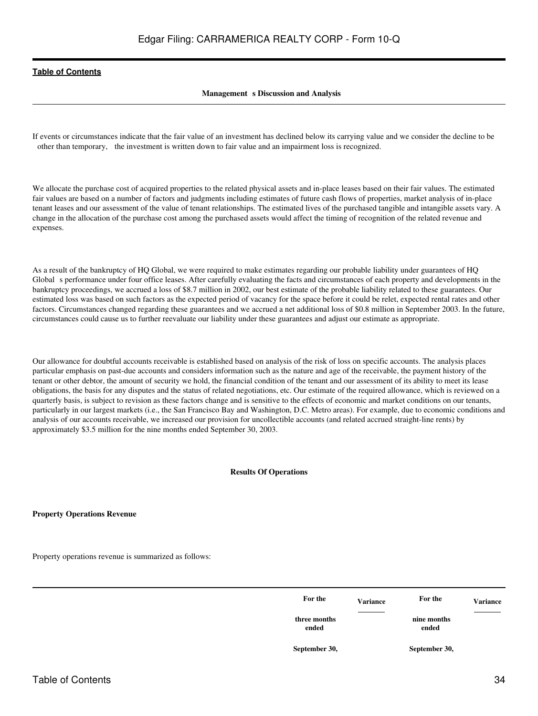# **Management** s Discussion and Analysis

If events or circumstances indicate that the fair value of an investment has declined below its carrying value and we consider the decline to be other than temporary, the investment is written down to fair value and an impairment loss is recognized.

We allocate the purchase cost of acquired properties to the related physical assets and in-place leases based on their fair values. The estimated fair values are based on a number of factors and judgments including estimates of future cash flows of properties, market analysis of in-place tenant leases and our assessment of the value of tenant relationships. The estimated lives of the purchased tangible and intangible assets vary. A change in the allocation of the purchase cost among the purchased assets would affect the timing of recognition of the related revenue and expenses.

As a result of the bankruptcy of HQ Global, we were required to make estimates regarding our probable liability under guarantees of HQ Global s performance under four office leases. After carefully evaluating the facts and circumstances of each property and developments in the bankruptcy proceedings, we accrued a loss of \$8.7 million in 2002, our best estimate of the probable liability related to these guarantees. Our estimated loss was based on such factors as the expected period of vacancy for the space before it could be relet, expected rental rates and other factors. Circumstances changed regarding these guarantees and we accrued a net additional loss of \$0.8 million in September 2003. In the future, circumstances could cause us to further reevaluate our liability under these guarantees and adjust our estimate as appropriate.

Our allowance for doubtful accounts receivable is established based on analysis of the risk of loss on specific accounts. The analysis places particular emphasis on past-due accounts and considers information such as the nature and age of the receivable, the payment history of the tenant or other debtor, the amount of security we hold, the financial condition of the tenant and our assessment of its ability to meet its lease obligations, the basis for any disputes and the status of related negotiations, etc. Our estimate of the required allowance, which is reviewed on a quarterly basis, is subject to revision as these factors change and is sensitive to the effects of economic and market conditions on our tenants, particularly in our largest markets (i.e., the San Francisco Bay and Washington, D.C. Metro areas). For example, due to economic conditions and analysis of our accounts receivable, we increased our provision for uncollectible accounts (and related accrued straight-line rents) by approximately \$3.5 million for the nine months ended September 30, 2003.

#### **Results Of Operations**

**Property Operations Revenue**

Property operations revenue is summarized as follows:

| For the               | <b>Variance</b>                   | For the              | <b>Variance</b>                   |
|-----------------------|-----------------------------------|----------------------|-----------------------------------|
| three months<br>ended | and the control of the control of | nine months<br>ended | the control of the control of the |
| September 30,         |                                   | September 30,        |                                   |
|                       |                                   |                      |                                   |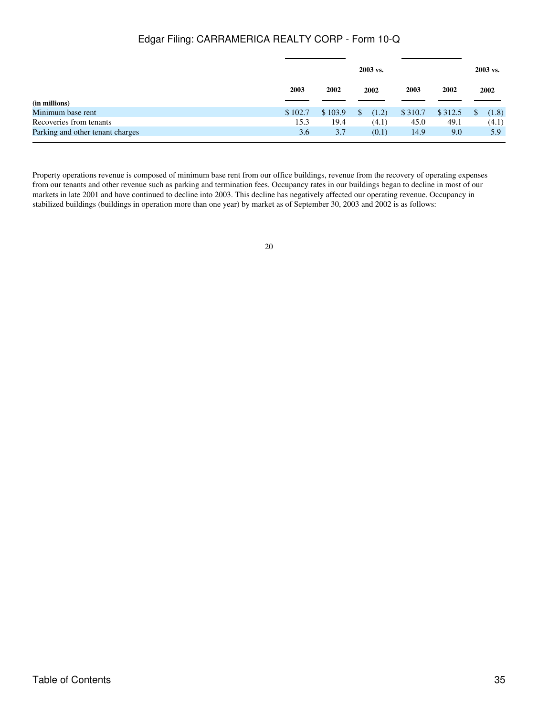|                                  |         | 2003 vs. |       |         |         |      | 2003 vs. |
|----------------------------------|---------|----------|-------|---------|---------|------|----------|
|                                  | 2003    | 2002     | 2002  | 2003    | 2002    | 2002 |          |
| (in millions)                    |         |          |       |         |         |      |          |
| Minimum base rent                | \$102.7 | \$103.9  | (1.2) | \$310.7 | \$312.5 | \$   | (1.8)    |
| Recoveries from tenants          | 15.3    | 19.4     | (4.1) | 45.0    | 49.1    |      | (4.1)    |
| Parking and other tenant charges | 3.6     | 3.7      | (0.1) | 14.9    | 9.0     |      | 5.9      |

Property operations revenue is composed of minimum base rent from our office buildings, revenue from the recovery of operating expenses from our tenants and other revenue such as parking and termination fees. Occupancy rates in our buildings began to decline in most of our markets in late 2001 and have continued to decline into 2003. This decline has negatively affected our operating revenue. Occupancy in stabilized buildings (buildings in operation more than one year) by market as of September 30, 2003 and 2002 is as follows: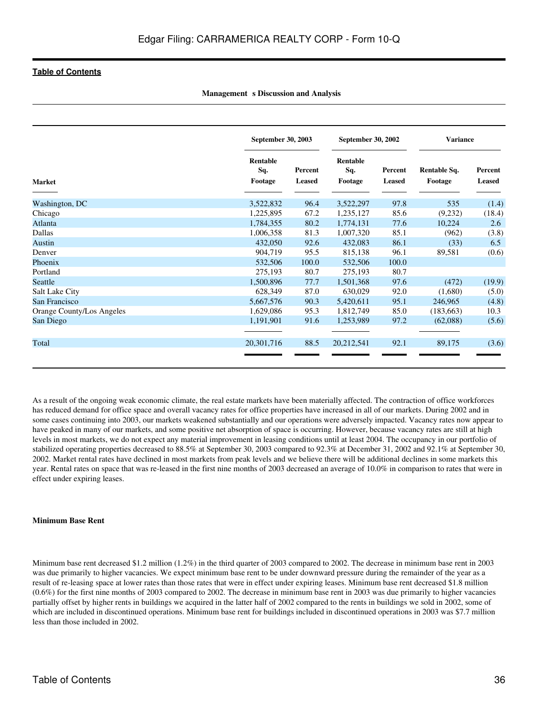|                           |                 | September 30, 2003 |                 | September 30, 2002 |              | <b>Variance</b> |  |
|---------------------------|-----------------|--------------------|-----------------|--------------------|--------------|-----------------|--|
|                           | Rentable<br>Sq. | Percent            | Rentable<br>Sq. | Percent            | Rentable Sq. | Percent         |  |
| <b>Market</b>             | Footage         | <b>Leased</b>      | Footage         | <b>Leased</b>      | Footage      | <b>Leased</b>   |  |
| Washington, DC            | 3,522,832       | 96.4               | 3,522,297       | 97.8               | 535          | (1.4)           |  |
| Chicago                   | 1,225,895       | 67.2               | 1,235,127       | 85.6               | (9,232)      | (18.4)          |  |
| Atlanta                   | 1,784,355       | 80.2               | 1,774,131       | 77.6               | 10,224       | 2.6             |  |
| Dallas                    | 1,006,358       | 81.3               | 1,007,320       | 85.1               | (962)        | (3.8)           |  |
| Austin                    | 432,050         | 92.6               | 432,083         | 86.1               | (33)         | 6.5             |  |
| Denver                    | 904,719         | 95.5               | 815,138         | 96.1               | 89,581       | (0.6)           |  |
| Phoenix                   | 532,506         | 100.0              | 532,506         | 100.0              |              |                 |  |
| Portland                  | 275,193         | 80.7               | 275,193         | 80.7               |              |                 |  |
| Seattle                   | 1,500,896       | 77.7               | 1,501,368       | 97.6               | (472)        | (19.9)          |  |
| Salt Lake City            | 628,349         | 87.0               | 630,029         | 92.0               | (1,680)      | (5.0)           |  |
| San Francisco             | 5,667,576       | 90.3               | 5,420,611       | 95.1               | 246,965      | (4.8)           |  |
| Orange County/Los Angeles | 1,629,086       | 95.3               | 1,812,749       | 85.0               | (183, 663)   | 10.3            |  |
| San Diego                 | 1,191,901       | 91.6               | 1,253,989       | 97.2               | (62,088)     | (5.6)           |  |
| Total                     | 20, 301, 716    | 88.5               | 20,212,541      | 92.1               | 89,175       | (3.6)           |  |

**Management** s Discussion and Analysis

As a result of the ongoing weak economic climate, the real estate markets have been materially affected. The contraction of office workforces has reduced demand for office space and overall vacancy rates for office properties have increased in all of our markets. During 2002 and in some cases continuing into 2003, our markets weakened substantially and our operations were adversely impacted. Vacancy rates now appear to have peaked in many of our markets, and some positive net absorption of space is occurring. However, because vacancy rates are still at high levels in most markets, we do not expect any material improvement in leasing conditions until at least 2004. The occupancy in our portfolio of stabilized operating properties decreased to 88.5% at September 30, 2003 compared to 92.3% at December 31, 2002 and 92.1% at September 30, 2002. Market rental rates have declined in most markets from peak levels and we believe there will be additional declines in some markets this year. Rental rates on space that was re-leased in the first nine months of 2003 decreased an average of 10.0% in comparison to rates that were in effect under expiring leases.

#### **Minimum Base Rent**

Minimum base rent decreased \$1.2 million (1.2%) in the third quarter of 2003 compared to 2002. The decrease in minimum base rent in 2003 was due primarily to higher vacancies. We expect minimum base rent to be under downward pressure during the remainder of the year as a result of re-leasing space at lower rates than those rates that were in effect under expiring leases. Minimum base rent decreased \$1.8 million (0.6%) for the first nine months of 2003 compared to 2002. The decrease in minimum base rent in 2003 was due primarily to higher vacancies partially offset by higher rents in buildings we acquired in the latter half of 2002 compared to the rents in buildings we sold in 2002, some of which are included in discontinued operations. Minimum base rent for buildings included in discontinued operations in 2003 was \$7.7 million less than those included in 2002.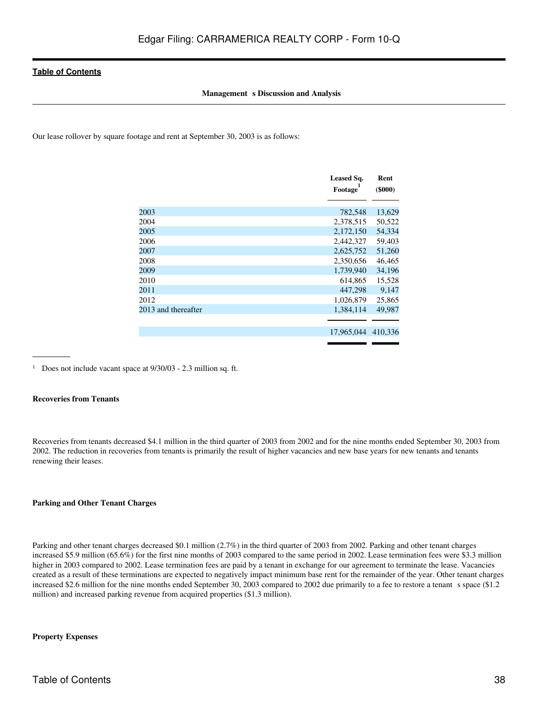### **Management** s Discussion and Analysis

Our lease rollover by square footage and rent at September 30, 2003 is as follows:

|                     | Leased Sq.<br>Footage | Rent<br>$($ \$000 $)$ |
|---------------------|-----------------------|-----------------------|
| 2003                | 782,548               | 13,629                |
| 2004                | 2,378,515             | 50,522                |
| 2005                | 2,172,150             | 54,334                |
| 2006                | 2,442,327             | 59,403                |
| 2007                | 2,625,752             | 51,260                |
| 2008                | 2,350,656             | 46,465                |
| 2009                | 1,739,940             | 34,196                |
| 2010                | 614,865               | 15,528                |
| 2011                | 447,298               | 9,147                 |
| 2012                | 1,026,879             | 25,865                |
| 2013 and thereafter | 1,384,114             | 49,987                |
|                     |                       |                       |
|                     | 17,965,044            | 410.336               |

<sup>1</sup> Does not include vacant space at  $9/30/03$  - 2.3 million sq. ft.

### **Recoveries from Tenants**

Recoveries from tenants decreased \$4.1 million in the third quarter of 2003 from 2002 and for the nine months ended September 30, 2003 from 2002. The reduction in recoveries from tenants is primarily the result of higher vacancies and new base years for new tenants and tenants renewing their leases.

#### **Parking and Other Tenant Charges**

Parking and other tenant charges decreased \$0.1 million (2.7%) in the third quarter of 2003 from 2002. Parking and other tenant charges increased \$5.9 million (65.6%) for the first nine months of 2003 compared to the same period in 2002. Lease termination fees were \$3.3 million higher in 2003 compared to 2002. Lease termination fees are paid by a tenant in exchange for our agreement to terminate the lease. Vacancies created as a result of these terminations are expected to negatively impact minimum base rent for the remainder of the year. Other tenant charges increased \$2.6 million for the nine months ended September 30, 2003 compared to 2002 due primarily to a fee to restore a tenant s space (\$1.2) million) and increased parking revenue from acquired properties (\$1.3 million).

### **Property Expenses**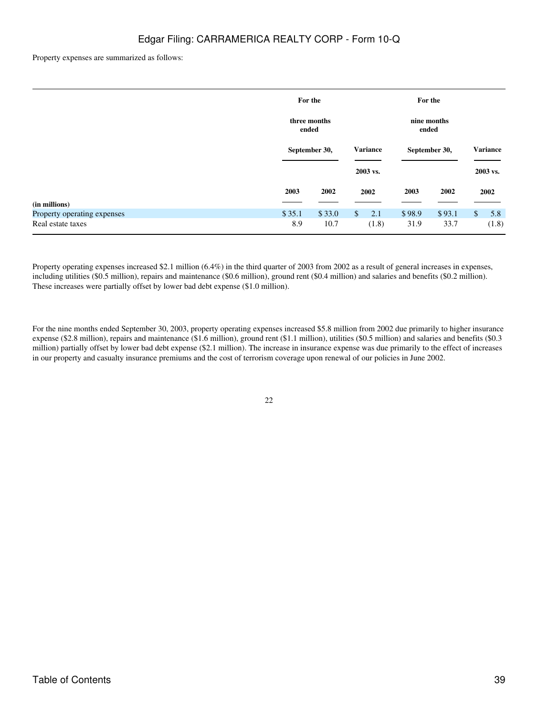Property expenses are summarized as follows:

|                             | For the               |        |                      |               | For the |              |                 |
|-----------------------------|-----------------------|--------|----------------------|---------------|---------|--------------|-----------------|
|                             | three months<br>ended |        | nine months<br>ended |               |         |              |                 |
|                             | September 30,         |        | <b>Variance</b>      | September 30, |         |              | <b>Variance</b> |
|                             |                       |        | 2003 vs.             |               |         |              | 2003 vs.        |
|                             | 2003                  | 2002   | 2002                 | 2003          | 2002    |              | 2002            |
| (in millions)               |                       |        |                      |               |         |              |                 |
| Property operating expenses | \$35.1                | \$33.0 | $\mathbb{S}$<br>2.1  | \$98.9        | \$93.1  | $\mathbb{S}$ | 5.8             |
| Real estate taxes           | 8.9                   | 10.7   | (1.8)                | 31.9          | 33.7    |              | (1.8)           |

Property operating expenses increased \$2.1 million (6.4%) in the third quarter of 2003 from 2002 as a result of general increases in expenses, including utilities (\$0.5 million), repairs and maintenance (\$0.6 million), ground rent (\$0.4 million) and salaries and benefits (\$0.2 million). These increases were partially offset by lower bad debt expense (\$1.0 million).

For the nine months ended September 30, 2003, property operating expenses increased \$5.8 million from 2002 due primarily to higher insurance expense (\$2.8 million), repairs and maintenance (\$1.6 million), ground rent (\$1.1 million), utilities (\$0.5 million) and salaries and benefits (\$0.3 million) partially offset by lower bad debt expense (\$2.1 million). The increase in insurance expense was due primarily to the effect of increases in our property and casualty insurance premiums and the cost of terrorism coverage upon renewal of our policies in June 2002.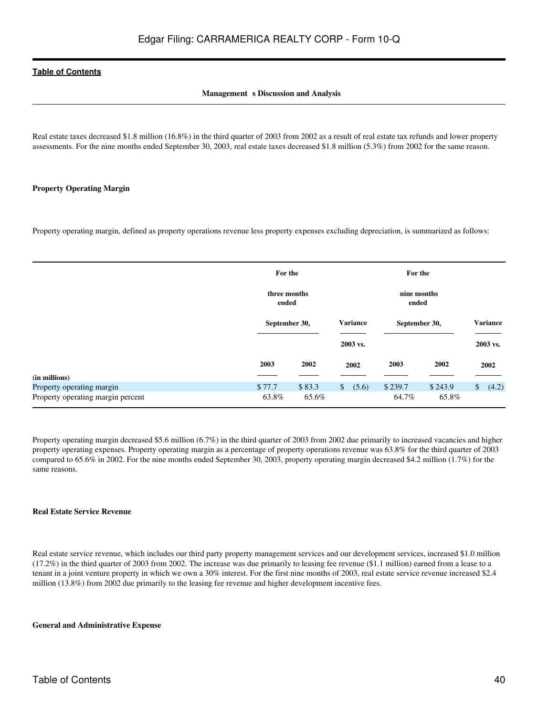## **Management** s Discussion and Analysis

Real estate taxes decreased \$1.8 million (16.8%) in the third quarter of 2003 from 2002 as a result of real estate tax refunds and lower property assessments. For the nine months ended September 30, 2003, real estate taxes decreased \$1.8 million (5.3%) from 2002 for the same reason.

### **Property Operating Margin**

Property operating margin, defined as property operations revenue less property expenses excluding depreciation, is summarized as follows:

|                                   | For the<br>three months<br>ended |        | For the                 |                      |               |                       |
|-----------------------------------|----------------------------------|--------|-------------------------|----------------------|---------------|-----------------------|
|                                   |                                  |        |                         | nine months<br>ended |               |                       |
|                                   | September 30,                    |        | <b>Variance</b>         |                      | September 30, | <b>Variance</b>       |
|                                   |                                  |        | 2003 vs.                |                      |               | 2003 vs.              |
|                                   | 2003                             | 2002   | 2002                    | 2003                 | 2002          | 2002                  |
| (in millions)                     |                                  |        |                         |                      |               |                       |
| Property operating margin         | \$77.7                           | \$83.3 | (5.6)<br>$\mathbb{S}^-$ | \$239.7              | \$243.9       | $\mathbb{S}$<br>(4.2) |
| Property operating margin percent | 63.8%                            | 65.6%  |                         | 64.7%                | 65.8%         |                       |

Property operating margin decreased \$5.6 million (6.7%) in the third quarter of 2003 from 2002 due primarily to increased vacancies and higher property operating expenses. Property operating margin as a percentage of property operations revenue was 63.8% for the third quarter of 2003 compared to 65.6% in 2002. For the nine months ended September 30, 2003, property operating margin decreased \$4.2 million (1.7%) for the same reasons.

#### **Real Estate Service Revenue**

Real estate service revenue, which includes our third party property management services and our development services, increased \$1.0 million (17.2%) in the third quarter of 2003 from 2002. The increase was due primarily to leasing fee revenue (\$1.1 million) earned from a lease to a tenant in a joint venture property in which we own a 30% interest. For the first nine months of 2003, real estate service revenue increased \$2.4 million (13.8%) from 2002 due primarily to the leasing fee revenue and higher development incentive fees.

### **General and Administrative Expense**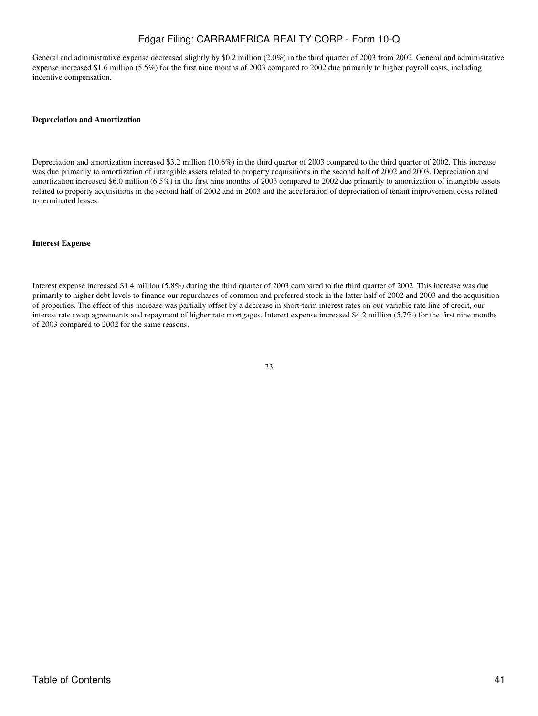General and administrative expense decreased slightly by \$0.2 million (2.0%) in the third quarter of 2003 from 2002. General and administrative expense increased \$1.6 million (5.5%) for the first nine months of 2003 compared to 2002 due primarily to higher payroll costs, including incentive compensation.

### **Depreciation and Amortization**

Depreciation and amortization increased \$3.2 million (10.6%) in the third quarter of 2003 compared to the third quarter of 2002. This increase was due primarily to amortization of intangible assets related to property acquisitions in the second half of 2002 and 2003. Depreciation and amortization increased \$6.0 million (6.5%) in the first nine months of 2003 compared to 2002 due primarily to amortization of intangible assets related to property acquisitions in the second half of 2002 and in 2003 and the acceleration of depreciation of tenant improvement costs related to terminated leases.

### **Interest Expense**

Interest expense increased \$1.4 million (5.8%) during the third quarter of 2003 compared to the third quarter of 2002. This increase was due primarily to higher debt levels to finance our repurchases of common and preferred stock in the latter half of 2002 and 2003 and the acquisition of properties. The effect of this increase was partially offset by a decrease in short-term interest rates on our variable rate line of credit, our interest rate swap agreements and repayment of higher rate mortgages. Interest expense increased \$4.2 million (5.7%) for the first nine months of 2003 compared to 2002 for the same reasons.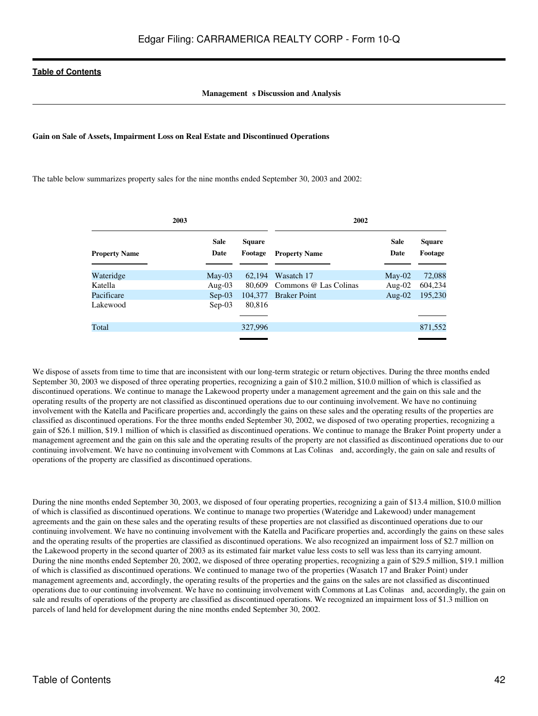## **Management** s Discussion and Analysis

#### **Gain on Sale of Assets, Impairment Loss on Real Estate and Discontinued Operations**

The table below summarizes property sales for the nine months ended September 30, 2003 and 2002:

| 2003                 |                     |                          | 2002                  |                     |                          |  |
|----------------------|---------------------|--------------------------|-----------------------|---------------------|--------------------------|--|
| <b>Property Name</b> | <b>Sale</b><br>Date | <b>Square</b><br>Footage | <b>Property Name</b>  | <b>Sale</b><br>Date | <b>Square</b><br>Footage |  |
| Wateridge            | $May-03$            | 62.194                   | Wasatch 17            | $May-02$            | 72,088                   |  |
| Katella              | Aug- $03$           | 80.609                   | Commons @ Las Colinas | Aug- $02$           | 604,234                  |  |
| Pacificare           | $Sep-03$            | 104.377                  | <b>Braker Point</b>   | Aug- $02$           | 195,230                  |  |
| Lakewood             | $Sep-03$            | 80,816                   |                       |                     |                          |  |
|                      |                     |                          |                       |                     |                          |  |
| Total                |                     | 327,996                  |                       |                     | 871,552                  |  |
|                      |                     |                          |                       |                     |                          |  |

We dispose of assets from time to time that are inconsistent with our long-term strategic or return objectives. During the three months ended September 30, 2003 we disposed of three operating properties, recognizing a gain of \$10.2 million, \$10.0 million of which is classified as discontinued operations. We continue to manage the Lakewood property under a management agreement and the gain on this sale and the operating results of the property are not classified as discontinued operations due to our continuing involvement. We have no continuing involvement with the Katella and Pacificare properties and, accordingly the gains on these sales and the operating results of the properties are classified as discontinued operations. For the three months ended September 30, 2002, we disposed of two operating properties, recognizing a gain of \$26.1 million, \$19.1 million of which is classified as discontinued operations. We continue to manage the Braker Point property under a management agreement and the gain on this sale and the operating results of the property are not classified as discontinued operations due to our continuing involvement. We have no continuing involvement with Commons at Las Colinas and, accordingly, the gain on sale and results of operations of the property are classified as discontinued operations.

During the nine months ended September 30, 2003, we disposed of four operating properties, recognizing a gain of \$13.4 million, \$10.0 million of which is classified as discontinued operations. We continue to manage two properties (Wateridge and Lakewood) under management agreements and the gain on these sales and the operating results of these properties are not classified as discontinued operations due to our continuing involvement. We have no continuing involvement with the Katella and Pacificare properties and, accordingly the gains on these sales and the operating results of the properties are classified as discontinued operations. We also recognized an impairment loss of \$2.7 million on the Lakewood property in the second quarter of 2003 as its estimated fair market value less costs to sell was less than its carrying amount. During the nine months ended September 20, 2002, we disposed of three operating properties, recognizing a gain of \$29.5 million, \$19.1 million of which is classified as discontinued operations. We continued to manage two of the properties (Wasatch 17 and Braker Point) under management agreements and, accordingly, the operating results of the properties and the gains on the sales are not classified as discontinued operations due to our continuing involvement. We have no continuing involvement with Commons at Las Colinas and, accordingly, the gain on sale and results of operations of the property are classified as discontinued operations. We recognized an impairment loss of \$1.3 million on parcels of land held for development during the nine months ended September 30, 2002.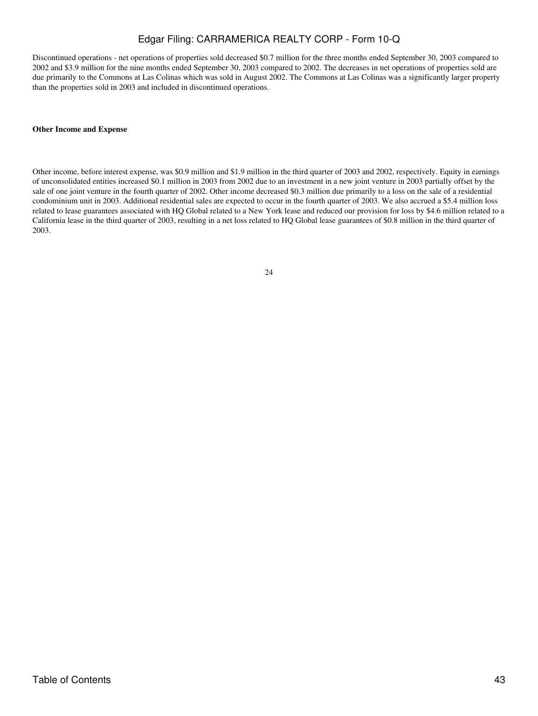Discontinued operations - net operations of properties sold decreased \$0.7 million for the three months ended September 30, 2003 compared to 2002 and \$3.9 million for the nine months ended September 30, 2003 compared to 2002. The decreases in net operations of properties sold are due primarily to the Commons at Las Colinas which was sold in August 2002. The Commons at Las Colinas was a significantly larger property than the properties sold in 2003 and included in discontinued operations.

### **Other Income and Expense**

Other income, before interest expense, was \$0.9 million and \$1.9 million in the third quarter of 2003 and 2002, respectively. Equity in earnings of unconsolidated entities increased \$0.1 million in 2003 from 2002 due to an investment in a new joint venture in 2003 partially offset by the sale of one joint venture in the fourth quarter of 2002. Other income decreased \$0.3 million due primarily to a loss on the sale of a residential condominium unit in 2003. Additional residential sales are expected to occur in the fourth quarter of 2003. We also accrued a \$5.4 million loss related to lease guarantees associated with HQ Global related to a New York lease and reduced our provision for loss by \$4.6 million related to a California lease in the third quarter of 2003, resulting in a net loss related to HQ Global lease guarantees of \$0.8 million in the third quarter of 2003.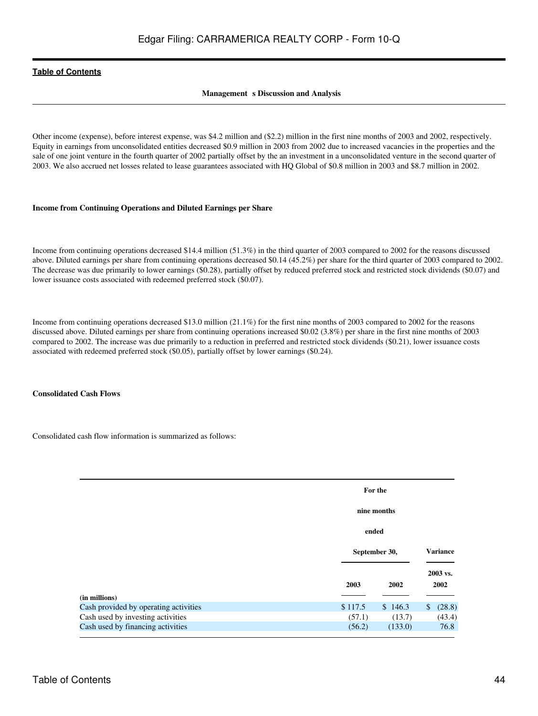## **Management** s Discussion and Analysis

Other income (expense), before interest expense, was \$4.2 million and (\$2.2) million in the first nine months of 2003 and 2002, respectively. Equity in earnings from unconsolidated entities decreased \$0.9 million in 2003 from 2002 due to increased vacancies in the properties and the sale of one joint venture in the fourth quarter of 2002 partially offset by the an investment in a unconsolidated venture in the second quarter of 2003. We also accrued net losses related to lease guarantees associated with HQ Global of \$0.8 million in 2003 and \$8.7 million in 2002.

## **Income from Continuing Operations and Diluted Earnings per Share**

Income from continuing operations decreased \$14.4 million (51.3%) in the third quarter of 2003 compared to 2002 for the reasons discussed above. Diluted earnings per share from continuing operations decreased \$0.14 (45.2%) per share for the third quarter of 2003 compared to 2002. The decrease was due primarily to lower earnings (\$0.28), partially offset by reduced preferred stock and restricted stock dividends (\$0.07) and lower issuance costs associated with redeemed preferred stock (\$0.07).

Income from continuing operations decreased \$13.0 million (21.1%) for the first nine months of 2003 compared to 2002 for the reasons discussed above. Diluted earnings per share from continuing operations increased \$0.02 (3.8%) per share in the first nine months of 2003 compared to 2002. The increase was due primarily to a reduction in preferred and restricted stock dividends (\$0.21), lower issuance costs associated with redeemed preferred stock (\$0.05), partially offset by lower earnings (\$0.24).

## **Consolidated Cash Flows**

Consolidated cash flow information is summarized as follows:

|                                                                            |                   | For the<br>nine months                    |                        |  |  |
|----------------------------------------------------------------------------|-------------------|-------------------------------------------|------------------------|--|--|
|                                                                            |                   |                                           |                        |  |  |
|                                                                            |                   | ended<br><b>Variance</b><br>September 30, |                        |  |  |
|                                                                            |                   |                                           |                        |  |  |
|                                                                            | 2003              |                                           | 2003 vs.<br>2002       |  |  |
| (in millions)                                                              |                   |                                           |                        |  |  |
| Cash provided by operating activities<br>Cash used by investing activities | \$117.5<br>(57.1) | \$146.3<br>(13.7)                         | (28.8)<br>\$<br>(43.4) |  |  |
| Cash used by financing activities                                          | (56.2)            | (133.0)                                   | 76.8                   |  |  |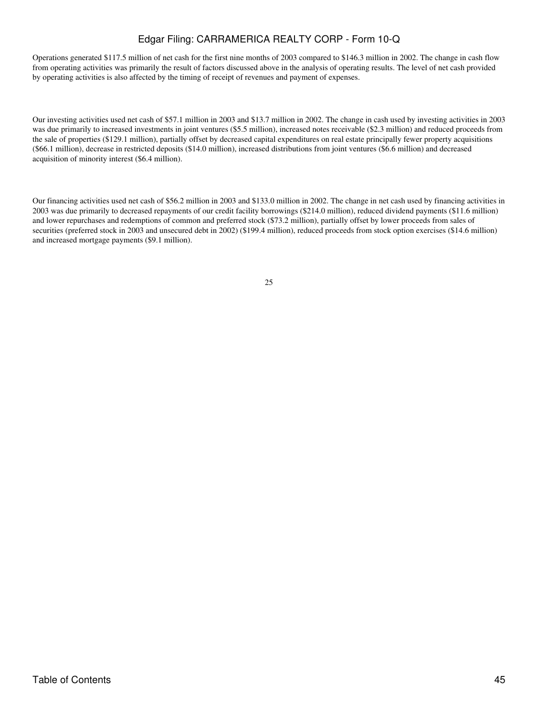Operations generated \$117.5 million of net cash for the first nine months of 2003 compared to \$146.3 million in 2002. The change in cash flow from operating activities was primarily the result of factors discussed above in the analysis of operating results. The level of net cash provided by operating activities is also affected by the timing of receipt of revenues and payment of expenses.

Our investing activities used net cash of \$57.1 million in 2003 and \$13.7 million in 2002. The change in cash used by investing activities in 2003 was due primarily to increased investments in joint ventures (\$5.5 million), increased notes receivable (\$2.3 million) and reduced proceeds from the sale of properties (\$129.1 million), partially offset by decreased capital expenditures on real estate principally fewer property acquisitions (\$66.1 million), decrease in restricted deposits (\$14.0 million), increased distributions from joint ventures (\$6.6 million) and decreased acquisition of minority interest (\$6.4 million).

Our financing activities used net cash of \$56.2 million in 2003 and \$133.0 million in 2002. The change in net cash used by financing activities in 2003 was due primarily to decreased repayments of our credit facility borrowings (\$214.0 million), reduced dividend payments (\$11.6 million) and lower repurchases and redemptions of common and preferred stock (\$73.2 million), partially offset by lower proceeds from sales of securities (preferred stock in 2003 and unsecured debt in 2002) (\$199.4 million), reduced proceeds from stock option exercises (\$14.6 million) and increased mortgage payments (\$9.1 million).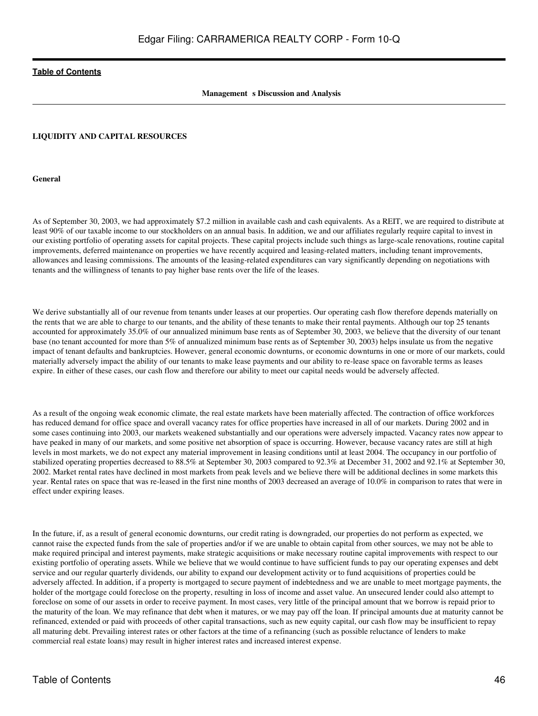# **Management** s Discussion and Analysis

### **LIQUIDITY AND CAPITAL RESOURCES**

**General**

As of September 30, 2003, we had approximately \$7.2 million in available cash and cash equivalents. As a REIT, we are required to distribute at least 90% of our taxable income to our stockholders on an annual basis. In addition, we and our affiliates regularly require capital to invest in our existing portfolio of operating assets for capital projects. These capital projects include such things as large-scale renovations, routine capital improvements, deferred maintenance on properties we have recently acquired and leasing-related matters, including tenant improvements, allowances and leasing commissions. The amounts of the leasing-related expenditures can vary significantly depending on negotiations with tenants and the willingness of tenants to pay higher base rents over the life of the leases.

We derive substantially all of our revenue from tenants under leases at our properties. Our operating cash flow therefore depends materially on the rents that we are able to charge to our tenants, and the ability of these tenants to make their rental payments. Although our top 25 tenants accounted for approximately 35.0% of our annualized minimum base rents as of September 30, 2003, we believe that the diversity of our tenant base (no tenant accounted for more than 5% of annualized minimum base rents as of September 30, 2003) helps insulate us from the negative impact of tenant defaults and bankruptcies. However, general economic downturns, or economic downturns in one or more of our markets, could materially adversely impact the ability of our tenants to make lease payments and our ability to re-lease space on favorable terms as leases expire. In either of these cases, our cash flow and therefore our ability to meet our capital needs would be adversely affected.

As a result of the ongoing weak economic climate, the real estate markets have been materially affected. The contraction of office workforces has reduced demand for office space and overall vacancy rates for office properties have increased in all of our markets. During 2002 and in some cases continuing into 2003, our markets weakened substantially and our operations were adversely impacted. Vacancy rates now appear to have peaked in many of our markets, and some positive net absorption of space is occurring. However, because vacancy rates are still at high levels in most markets, we do not expect any material improvement in leasing conditions until at least 2004. The occupancy in our portfolio of stabilized operating properties decreased to 88.5% at September 30, 2003 compared to 92.3% at December 31, 2002 and 92.1% at September 30, 2002. Market rental rates have declined in most markets from peak levels and we believe there will be additional declines in some markets this year. Rental rates on space that was re-leased in the first nine months of 2003 decreased an average of 10.0% in comparison to rates that were in effect under expiring leases.

In the future, if, as a result of general economic downturns, our credit rating is downgraded, our properties do not perform as expected, we cannot raise the expected funds from the sale of properties and/or if we are unable to obtain capital from other sources, we may not be able to make required principal and interest payments, make strategic acquisitions or make necessary routine capital improvements with respect to our existing portfolio of operating assets. While we believe that we would continue to have sufficient funds to pay our operating expenses and debt service and our regular quarterly dividends, our ability to expand our development activity or to fund acquisitions of properties could be adversely affected. In addition, if a property is mortgaged to secure payment of indebtedness and we are unable to meet mortgage payments, the holder of the mortgage could foreclose on the property, resulting in loss of income and asset value. An unsecured lender could also attempt to foreclose on some of our assets in order to receive payment. In most cases, very little of the principal amount that we borrow is repaid prior to the maturity of the loan. We may refinance that debt when it matures, or we may pay off the loan. If principal amounts due at maturity cannot be refinanced, extended or paid with proceeds of other capital transactions, such as new equity capital, our cash flow may be insufficient to repay all maturing debt. Prevailing interest rates or other factors at the time of a refinancing (such as possible reluctance of lenders to make commercial real estate loans) may result in higher interest rates and increased interest expense.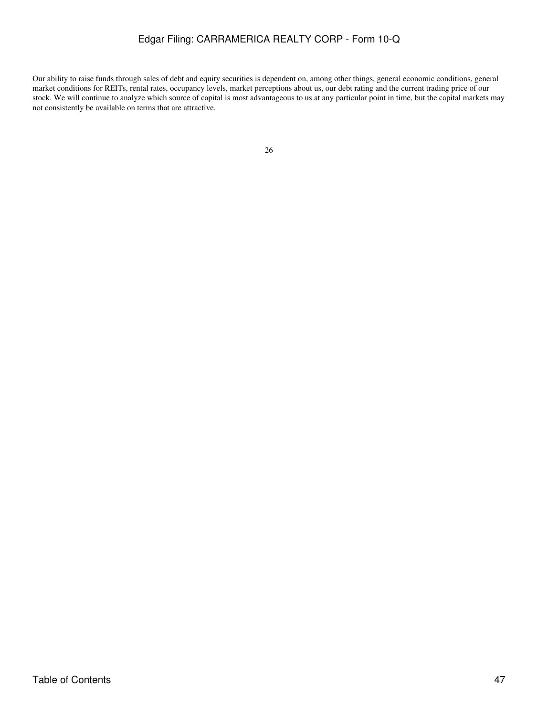Our ability to raise funds through sales of debt and equity securities is dependent on, among other things, general economic conditions, general market conditions for REITs, rental rates, occupancy levels, market perceptions about us, our debt rating and the current trading price of our stock. We will continue to analyze which source of capital is most advantageous to us at any particular point in time, but the capital markets may not consistently be available on terms that are attractive.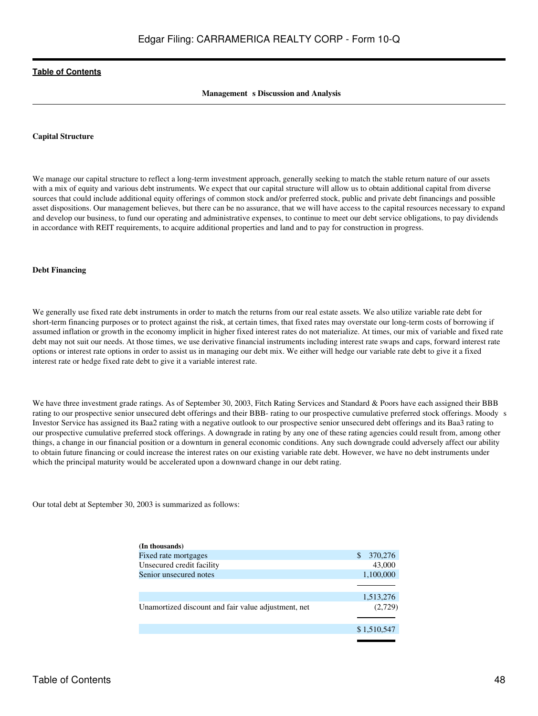### **Management** s Discussion and Analysis

#### **Capital Structure**

We manage our capital structure to reflect a long-term investment approach, generally seeking to match the stable return nature of our assets with a mix of equity and various debt instruments. We expect that our capital structure will allow us to obtain additional capital from diverse sources that could include additional equity offerings of common stock and/or preferred stock, public and private debt financings and possible asset dispositions. Our management believes, but there can be no assurance, that we will have access to the capital resources necessary to expand and develop our business, to fund our operating and administrative expenses, to continue to meet our debt service obligations, to pay dividends in accordance with REIT requirements, to acquire additional properties and land and to pay for construction in progress.

#### **Debt Financing**

We generally use fixed rate debt instruments in order to match the returns from our real estate assets. We also utilize variable rate debt for short-term financing purposes or to protect against the risk, at certain times, that fixed rates may overstate our long-term costs of borrowing if assumed inflation or growth in the economy implicit in higher fixed interest rates do not materialize. At times, our mix of variable and fixed rate debt may not suit our needs. At those times, we use derivative financial instruments including interest rate swaps and caps, forward interest rate options or interest rate options in order to assist us in managing our debt mix. We either will hedge our variable rate debt to give it a fixed interest rate or hedge fixed rate debt to give it a variable interest rate.

We have three investment grade ratings. As of September 30, 2003, Fitch Rating Services and Standard & Poors have each assigned their BBB rating to our prospective senior unsecured debt offerings and their BBB- rating to our prospective cumulative preferred stock offerings. Moodys Investor Service has assigned its Baa2 rating with a negative outlook to our prospective senior unsecured debt offerings and its Baa3 rating to our prospective cumulative preferred stock offerings. A downgrade in rating by any one of these rating agencies could result from, among other things, a change in our financial position or a downturn in general economic conditions. Any such downgrade could adversely affect our ability to obtain future financing or could increase the interest rates on our existing variable rate debt. However, we have no debt instruments under which the principal maturity would be accelerated upon a downward change in our debt rating.

Our total debt at September 30, 2003 is summarized as follows:

| (In thousands)                                      |              |
|-----------------------------------------------------|--------------|
| Fixed rate mortgages                                | 370,276<br>S |
| Unsecured credit facility                           | 43,000       |
| Senior unsecured notes                              | 1,100,000    |
|                                                     |              |
|                                                     | 1,513,276    |
| Unamortized discount and fair value adjustment, net | (2,729)      |
|                                                     | \$1,510,547  |
|                                                     |              |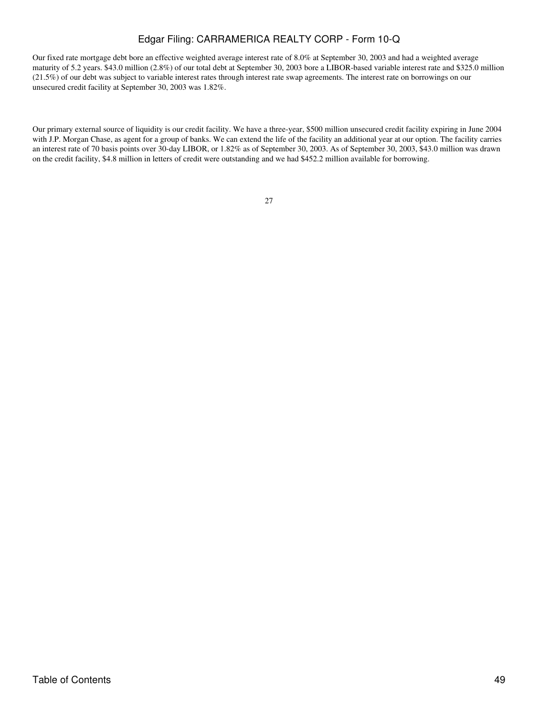Our fixed rate mortgage debt bore an effective weighted average interest rate of 8.0% at September 30, 2003 and had a weighted average maturity of 5.2 years. \$43.0 million (2.8%) of our total debt at September 30, 2003 bore a LIBOR-based variable interest rate and \$325.0 million (21.5%) of our debt was subject to variable interest rates through interest rate swap agreements. The interest rate on borrowings on our unsecured credit facility at September 30, 2003 was 1.82%.

Our primary external source of liquidity is our credit facility. We have a three-year, \$500 million unsecured credit facility expiring in June 2004 with J.P. Morgan Chase, as agent for a group of banks. We can extend the life of the facility an additional year at our option. The facility carries an interest rate of 70 basis points over 30-day LIBOR, or 1.82% as of September 30, 2003. As of September 30, 2003, \$43.0 million was drawn on the credit facility, \$4.8 million in letters of credit were outstanding and we had \$452.2 million available for borrowing.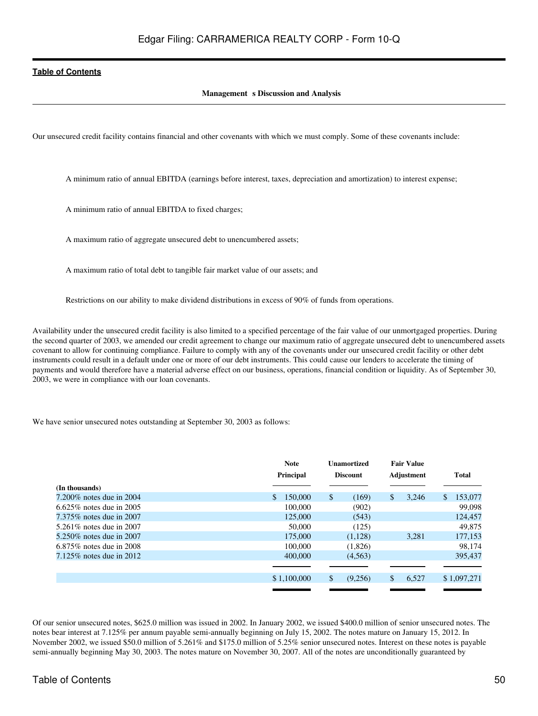## **Management** s Discussion and Analysis

Our unsecured credit facility contains financial and other covenants with which we must comply. Some of these covenants include:

A minimum ratio of annual EBITDA (earnings before interest, taxes, depreciation and amortization) to interest expense;

A minimum ratio of annual EBITDA to fixed charges;

A maximum ratio of aggregate unsecured debt to unencumbered assets;

A maximum ratio of total debt to tangible fair market value of our assets; and

Restrictions on our ability to make dividend distributions in excess of 90% of funds from operations.

Availability under the unsecured credit facility is also limited to a specified percentage of the fair value of our unmortgaged properties. During the second quarter of 2003, we amended our credit agreement to change our maximum ratio of aggregate unsecured debt to unencumbered assets covenant to allow for continuing compliance. Failure to comply with any of the covenants under our unsecured credit facility or other debt instruments could result in a default under one or more of our debt instruments. This could cause our lenders to accelerate the timing of payments and would therefore have a material adverse effect on our business, operations, financial condition or liquidity. As of September 30, 2003, we were in compliance with our loan covenants.

We have senior unsecured notes outstanding at September 30, 2003 as follows:

|                             | <b>Note</b><br><b>Principal</b> | <b>Unamortized</b><br><b>Discount</b> | <b>Fair Value</b><br>Adjustment | Total          |
|-----------------------------|---------------------------------|---------------------------------------|---------------------------------|----------------|
| (In thousands)              |                                 |                                       |                                 |                |
| 7.200\% notes due in 2004   | \$.<br>150,000                  | \$<br>(169)                           | 3.246<br>\$                     | 153,077<br>\$. |
| 6.625\% notes due in 2005   | 100,000                         | (902)                                 |                                 | 99,098         |
| 7.375% notes due in 2007    | 125,000                         | (543)                                 |                                 | 124,457        |
| 5.261\% notes due in 2007   | 50,000                          | (125)                                 |                                 | 49,875         |
| 5.250\% notes due in 2007   | 175,000                         | (1,128)                               | 3.281                           | 177,153        |
| $6.875\%$ notes due in 2008 | 100,000                         | (1,826)                               |                                 | 98.174         |
| $7.125\%$ notes due in 2012 | 400,000                         | (4,563)                               |                                 | 395,437        |
|                             |                                 |                                       |                                 |                |
|                             | \$1,100,000                     | \$<br>(9,256)                         | \$<br>6,527                     | \$1,097,271    |
|                             |                                 |                                       |                                 |                |

Of our senior unsecured notes, \$625.0 million was issued in 2002. In January 2002, we issued \$400.0 million of senior unsecured notes. The notes bear interest at 7.125% per annum payable semi-annually beginning on July 15, 2002. The notes mature on January 15, 2012. In November 2002, we issued \$50.0 million of 5.261% and \$175.0 million of 5.25% senior unsecured notes. Interest on these notes is payable semi-annually beginning May 30, 2003. The notes mature on November 30, 2007. All of the notes are unconditionally guaranteed by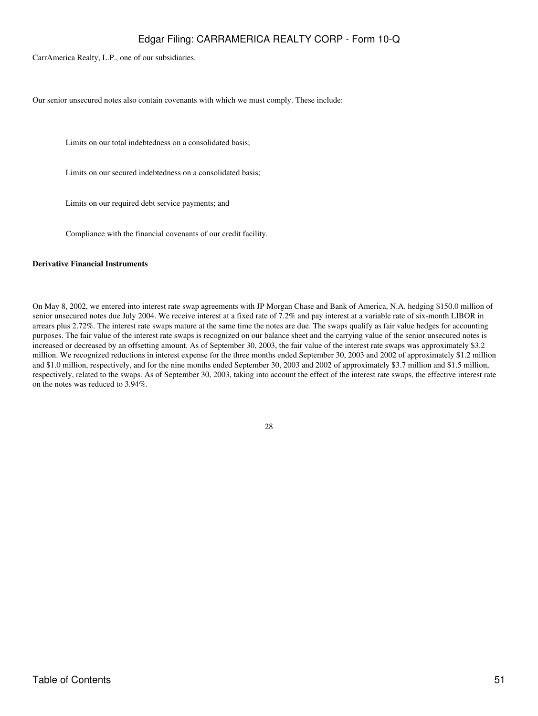CarrAmerica Realty, L.P., one of our subsidiaries.

Our senior unsecured notes also contain covenants with which we must comply. These include:

Limits on our total indebtedness on a consolidated basis;

Limits on our secured indebtedness on a consolidated basis;

Limits on our required debt service payments; and

Compliance with the financial covenants of our credit facility.

## **Derivative Financial Instruments**

On May 8, 2002, we entered into interest rate swap agreements with JP Morgan Chase and Bank of America, N.A. hedging \$150.0 million of senior unsecured notes due July 2004. We receive interest at a fixed rate of 7.2% and pay interest at a variable rate of six-month LIBOR in arrears plus 2.72%. The interest rate swaps mature at the same time the notes are due. The swaps qualify as fair value hedges for accounting purposes. The fair value of the interest rate swaps is recognized on our balance sheet and the carrying value of the senior unsecured notes is increased or decreased by an offsetting amount. As of September 30, 2003, the fair value of the interest rate swaps was approximately \$3.2 million. We recognized reductions in interest expense for the three months ended September 30, 2003 and 2002 of approximately \$1.2 million and \$1.0 million, respectively, and for the nine months ended September 30, 2003 and 2002 of approximately \$3.7 million and \$1.5 million, respectively, related to the swaps. As of September 30, 2003, taking into account the effect of the interest rate swaps, the effective interest rate on the notes was reduced to 3.94%.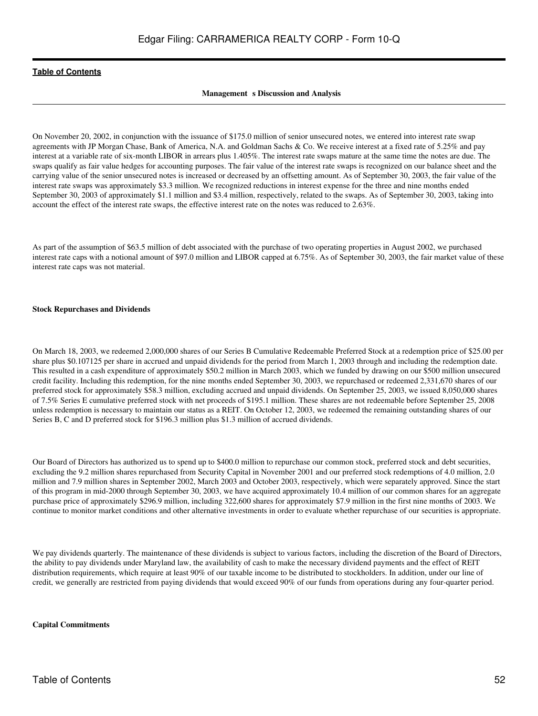### **Management** s Discussion and Analysis

On November 20, 2002, in conjunction with the issuance of \$175.0 million of senior unsecured notes, we entered into interest rate swap agreements with JP Morgan Chase, Bank of America, N.A. and Goldman Sachs & Co. We receive interest at a fixed rate of 5.25% and pay interest at a variable rate of six-month LIBOR in arrears plus 1.405%. The interest rate swaps mature at the same time the notes are due. The swaps qualify as fair value hedges for accounting purposes. The fair value of the interest rate swaps is recognized on our balance sheet and the carrying value of the senior unsecured notes is increased or decreased by an offsetting amount. As of September 30, 2003, the fair value of the interest rate swaps was approximately \$3.3 million. We recognized reductions in interest expense for the three and nine months ended September 30, 2003 of approximately \$1.1 million and \$3.4 million, respectively, related to the swaps. As of September 30, 2003, taking into account the effect of the interest rate swaps, the effective interest rate on the notes was reduced to 2.63%.

As part of the assumption of \$63.5 million of debt associated with the purchase of two operating properties in August 2002, we purchased interest rate caps with a notional amount of \$97.0 million and LIBOR capped at 6.75%. As of September 30, 2003, the fair market value of these interest rate caps was not material.

#### **Stock Repurchases and Dividends**

On March 18, 2003, we redeemed 2,000,000 shares of our Series B Cumulative Redeemable Preferred Stock at a redemption price of \$25.00 per share plus \$0.107125 per share in accrued and unpaid dividends for the period from March 1, 2003 through and including the redemption date. This resulted in a cash expenditure of approximately \$50.2 million in March 2003, which we funded by drawing on our \$500 million unsecured credit facility. Including this redemption, for the nine months ended September 30, 2003, we repurchased or redeemed 2,331,670 shares of our preferred stock for approximately \$58.3 million, excluding accrued and unpaid dividends. On September 25, 2003, we issued 8,050,000 shares of 7.5% Series E cumulative preferred stock with net proceeds of \$195.1 million. These shares are not redeemable before September 25, 2008 unless redemption is necessary to maintain our status as a REIT. On October 12, 2003, we redeemed the remaining outstanding shares of our Series B, C and D preferred stock for \$196.3 million plus \$1.3 million of accrued dividends.

Our Board of Directors has authorized us to spend up to \$400.0 million to repurchase our common stock, preferred stock and debt securities, excluding the 9.2 million shares repurchased from Security Capital in November 2001 and our preferred stock redemptions of 4.0 million, 2.0 million and 7.9 million shares in September 2002, March 2003 and October 2003, respectively, which were separately approved. Since the start of this program in mid-2000 through September 30, 2003, we have acquired approximately 10.4 million of our common shares for an aggregate purchase price of approximately \$296.9 million, including 322,600 shares for approximately \$7.9 million in the first nine months of 2003. We continue to monitor market conditions and other alternative investments in order to evaluate whether repurchase of our securities is appropriate.

We pay dividends quarterly. The maintenance of these dividends is subject to various factors, including the discretion of the Board of Directors, the ability to pay dividends under Maryland law, the availability of cash to make the necessary dividend payments and the effect of REIT distribution requirements, which require at least 90% of our taxable income to be distributed to stockholders. In addition, under our line of credit, we generally are restricted from paying dividends that would exceed 90% of our funds from operations during any four-quarter period.

#### **Capital Commitments**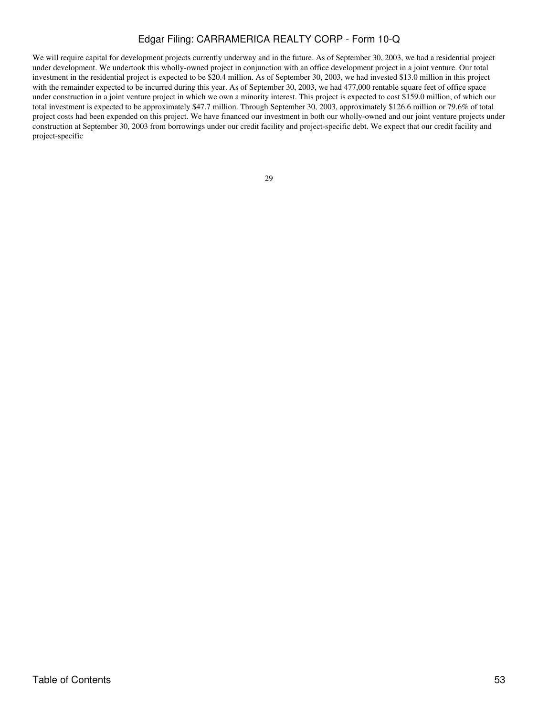We will require capital for development projects currently underway and in the future. As of September 30, 2003, we had a residential project under development. We undertook this wholly-owned project in conjunction with an office development project in a joint venture. Our total investment in the residential project is expected to be \$20.4 million. As of September 30, 2003, we had invested \$13.0 million in this project with the remainder expected to be incurred during this year. As of September 30, 2003, we had 477,000 rentable square feet of office space under construction in a joint venture project in which we own a minority interest. This project is expected to cost \$159.0 million, of which our total investment is expected to be approximately \$47.7 million. Through September 30, 2003, approximately \$126.6 million or 79.6% of total project costs had been expended on this project. We have financed our investment in both our wholly-owned and our joint venture projects under construction at September 30, 2003 from borrowings under our credit facility and project-specific debt. We expect that our credit facility and project-specific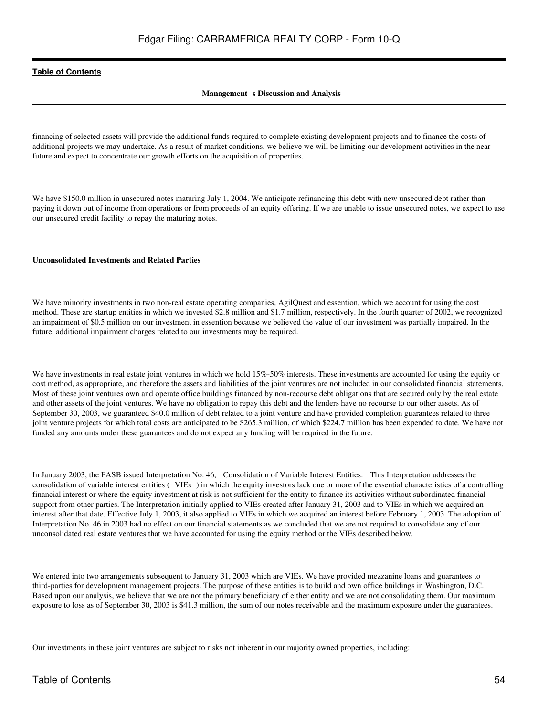## **Management** s Discussion and Analysis

financing of selected assets will provide the additional funds required to complete existing development projects and to finance the costs of additional projects we may undertake. As a result of market conditions, we believe we will be limiting our development activities in the near future and expect to concentrate our growth efforts on the acquisition of properties.

We have \$150.0 million in unsecured notes maturing July 1, 2004. We anticipate refinancing this debt with new unsecured debt rather than paying it down out of income from operations or from proceeds of an equity offering. If we are unable to issue unsecured notes, we expect to use our unsecured credit facility to repay the maturing notes.

### **Unconsolidated Investments and Related Parties**

We have minority investments in two non-real estate operating companies, AgilQuest and essention, which we account for using the cost method. These are startup entities in which we invested \$2.8 million and \$1.7 million, respectively. In the fourth quarter of 2002, we recognized an impairment of \$0.5 million on our investment in essention because we believed the value of our investment was partially impaired. In the future, additional impairment charges related to our investments may be required.

We have investments in real estate joint ventures in which we hold 15%-50% interests. These investments are accounted for using the equity or cost method, as appropriate, and therefore the assets and liabilities of the joint ventures are not included in our consolidated financial statements. Most of these joint ventures own and operate office buildings financed by non-recourse debt obligations that are secured only by the real estate and other assets of the joint ventures. We have no obligation to repay this debt and the lenders have no recourse to our other assets. As of September 30, 2003, we guaranteed \$40.0 million of debt related to a joint venture and have provided completion guarantees related to three joint venture projects for which total costs are anticipated to be \$265.3 million, of which \$224.7 million has been expended to date. We have not funded any amounts under these guarantees and do not expect any funding will be required in the future.

In January 2003, the FASB issued Interpretation No. 46, Consolidation of Variable Interest Entities. This Interpretation addresses the consolidation of variable interest entities (VIEs) in which the equity investors lack one or more of the essential characteristics of a controlling financial interest or where the equity investment at risk is not sufficient for the entity to finance its activities without subordinated financial support from other parties. The Interpretation initially applied to VIEs created after January 31, 2003 and to VIEs in which we acquired an interest after that date. Effective July 1, 2003, it also applied to VIEs in which we acquired an interest before February 1, 2003. The adoption of Interpretation No. 46 in 2003 had no effect on our financial statements as we concluded that we are not required to consolidate any of our unconsolidated real estate ventures that we have accounted for using the equity method or the VIEs described below.

We entered into two arrangements subsequent to January 31, 2003 which are VIEs. We have provided mezzanine loans and guarantees to third-parties for development management projects. The purpose of these entities is to build and own office buildings in Washington, D.C. Based upon our analysis, we believe that we are not the primary beneficiary of either entity and we are not consolidating them. Our maximum exposure to loss as of September 30, 2003 is \$41.3 million, the sum of our notes receivable and the maximum exposure under the guarantees.

Our investments in these joint ventures are subject to risks not inherent in our majority owned properties, including: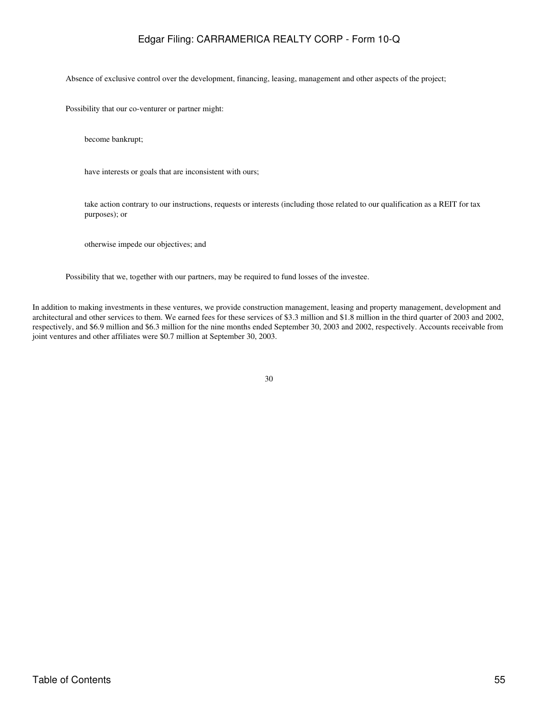Absence of exclusive control over the development, financing, leasing, management and other aspects of the project;

Possibility that our co-venturer or partner might:

become bankrupt;

have interests or goals that are inconsistent with ours;

take action contrary to our instructions, requests or interests (including those related to our qualification as a REIT for tax purposes); or

otherwise impede our objectives; and

Possibility that we, together with our partners, may be required to fund losses of the investee.

In addition to making investments in these ventures, we provide construction management, leasing and property management, development and architectural and other services to them. We earned fees for these services of \$3.3 million and \$1.8 million in the third quarter of 2003 and 2002, respectively, and \$6.9 million and \$6.3 million for the nine months ended September 30, 2003 and 2002, respectively. Accounts receivable from joint ventures and other affiliates were \$0.7 million at September 30, 2003.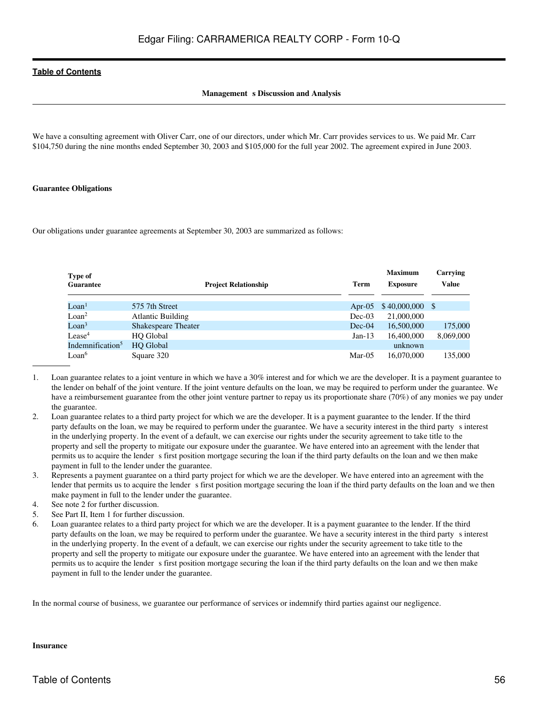# **Management** s Discussion and Analysis

We have a consulting agreement with Oliver Carr, one of our directors, under which Mr. Carr provides services to us. We paid Mr. Carr \$104,750 during the nine months ended September 30, 2003 and \$105,000 for the full year 2002. The agreement expired in June 2003.

### **Guarantee Obligations**

Our obligations under guarantee agreements at September 30, 2003 are summarized as follows:

| Type of                      |                             |          | <b>Maximum</b>   | Carrying     |
|------------------------------|-----------------------------|----------|------------------|--------------|
| <b>Guarantee</b>             | <b>Project Relationship</b> | Term     | <b>Exposure</b>  | <b>Value</b> |
|                              |                             |          |                  |              |
| $\text{L}$ oan <sup>1</sup>  | 575 7th Street              | Apr-05   | $$40,000,000$ \$ |              |
| Loan <sup>2</sup>            | <b>Atlantic Building</b>    | $Dec-03$ | 21,000,000       |              |
| $\mathrm{LOan}^3$            | <b>Shakespeare Theater</b>  | $Dec-04$ | 16.500,000       | 175,000      |
| Lease <sup>4</sup>           | <b>HO</b> Global            | $Jan-13$ | 16,400,000       | 8,069,000    |
| Indemnification <sup>5</sup> | <b>HO</b> Global            |          | unknown          |              |
| $Loan$ <sup>6</sup>          | Square 320                  | $Mar-05$ | 16.070.000       | 135,000      |

- 1. Loan guarantee relates to a joint venture in which we have a 30% interest and for which we are the developer. It is a payment guarantee to the lender on behalf of the joint venture. If the joint venture defaults on the loan, we may be required to perform under the guarantee. We have a reimbursement guarantee from the other joint venture partner to repay us its proportionate share (70%) of any monies we pay under the guarantee.
- 2. Loan guarantee relates to a third party project for which we are the developer. It is a payment guarantee to the lender. If the third party defaults on the loan, we may be required to perform under the guarantee. We have a security interest in the third party sinterest in the underlying property. In the event of a default, we can exercise our rights under the security agreement to take title to the property and sell the property to mitigate our exposure under the guarantee. We have entered into an agreement with the lender that permits us to acquire the lender s first position mortgage securing the loan if the third party defaults on the loan and we then make payment in full to the lender under the guarantee.
- 3. Represents a payment guarantee on a third party project for which we are the developer. We have entered into an agreement with the lender that permits us to acquire the lender s first position mortgage securing the loan if the third party defaults on the loan and we then make payment in full to the lender under the guarantee.
- 4. See note 2 for further discussion.
- 5. See Part II, Item 1 for further discussion.
- 6. Loan guarantee relates to a third party project for which we are the developer. It is a payment guarantee to the lender. If the third party defaults on the loan, we may be required to perform under the guarantee. We have a security interest in the third party s interest in the underlying property. In the event of a default, we can exercise our rights under the security agreement to take title to the property and sell the property to mitigate our exposure under the guarantee. We have entered into an agreement with the lender that permits us to acquire the lender s first position mortgage securing the loan if the third party defaults on the loan and we then make payment in full to the lender under the guarantee.

In the normal course of business, we guarantee our performance of services or indemnify third parties against our negligence.

# **Insurance**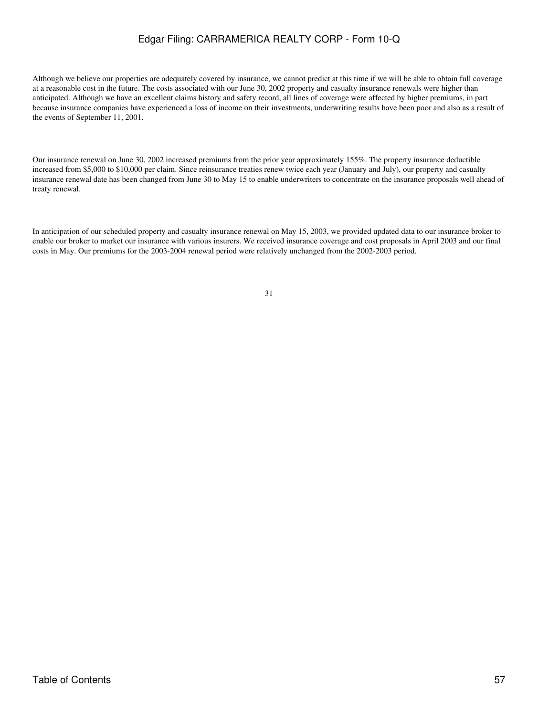Although we believe our properties are adequately covered by insurance, we cannot predict at this time if we will be able to obtain full coverage at a reasonable cost in the future. The costs associated with our June 30, 2002 property and casualty insurance renewals were higher than anticipated. Although we have an excellent claims history and safety record, all lines of coverage were affected by higher premiums, in part because insurance companies have experienced a loss of income on their investments, underwriting results have been poor and also as a result of the events of September 11, 2001.

Our insurance renewal on June 30, 2002 increased premiums from the prior year approximately 155%. The property insurance deductible increased from \$5,000 to \$10,000 per claim. Since reinsurance treaties renew twice each year (January and July), our property and casualty insurance renewal date has been changed from June 30 to May 15 to enable underwriters to concentrate on the insurance proposals well ahead of treaty renewal.

In anticipation of our scheduled property and casualty insurance renewal on May 15, 2003, we provided updated data to our insurance broker to enable our broker to market our insurance with various insurers. We received insurance coverage and cost proposals in April 2003 and our final costs in May. Our premiums for the 2003-2004 renewal period were relatively unchanged from the 2002-2003 period.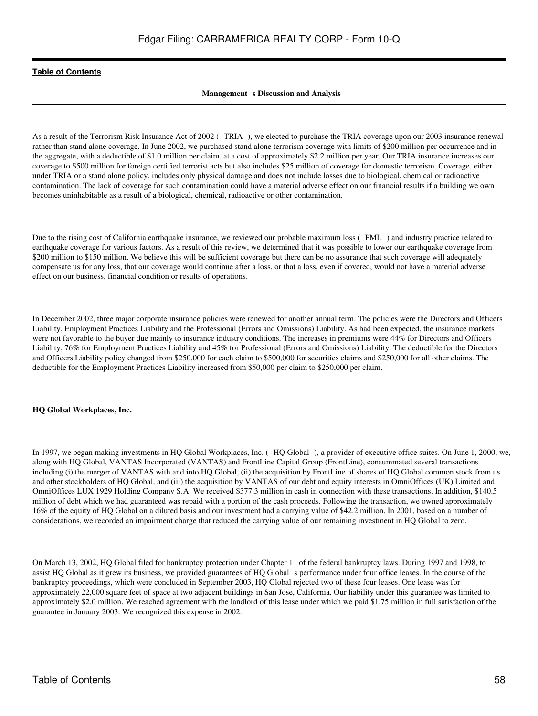# **Management** s Discussion and Analysis

As a result of the Terrorism Risk Insurance Act of 2002 (TRIA), we elected to purchase the TRIA coverage upon our 2003 insurance renewal rather than stand alone coverage. In June 2002, we purchased stand alone terrorism coverage with limits of \$200 million per occurrence and in the aggregate, with a deductible of \$1.0 million per claim, at a cost of approximately \$2.2 million per year. Our TRIA insurance increases our coverage to \$500 million for foreign certified terrorist acts but also includes \$25 million of coverage for domestic terrorism. Coverage, either under TRIA or a stand alone policy, includes only physical damage and does not include losses due to biological, chemical or radioactive contamination. The lack of coverage for such contamination could have a material adverse effect on our financial results if a building we own becomes uninhabitable as a result of a biological, chemical, radioactive or other contamination.

Due to the rising cost of California earthquake insurance, we reviewed our probable maximum loss (PML) and industry practice related to earthquake coverage for various factors. As a result of this review, we determined that it was possible to lower our earthquake coverage from \$200 million to \$150 million. We believe this will be sufficient coverage but there can be no assurance that such coverage will adequately compensate us for any loss, that our coverage would continue after a loss, or that a loss, even if covered, would not have a material adverse effect on our business, financial condition or results of operations.

In December 2002, three major corporate insurance policies were renewed for another annual term. The policies were the Directors and Officers Liability, Employment Practices Liability and the Professional (Errors and Omissions) Liability. As had been expected, the insurance markets were not favorable to the buyer due mainly to insurance industry conditions. The increases in premiums were 44% for Directors and Officers Liability, 76% for Employment Practices Liability and 45% for Professional (Errors and Omissions) Liability. The deductible for the Directors and Officers Liability policy changed from \$250,000 for each claim to \$500,000 for securities claims and \$250,000 for all other claims. The deductible for the Employment Practices Liability increased from \$50,000 per claim to \$250,000 per claim.

#### **HQ Global Workplaces, Inc.**

In 1997, we began making investments in HQ Global Workplaces, Inc. (HQ Global), a provider of executive office suites. On June 1, 2000, we, along with HQ Global, VANTAS Incorporated (VANTAS) and FrontLine Capital Group (FrontLine), consummated several transactions including (i) the merger of VANTAS with and into HQ Global, (ii) the acquisition by FrontLine of shares of HQ Global common stock from us and other stockholders of HQ Global, and (iii) the acquisition by VANTAS of our debt and equity interests in OmniOffices (UK) Limited and OmniOffices LUX 1929 Holding Company S.A. We received \$377.3 million in cash in connection with these transactions. In addition, \$140.5 million of debt which we had guaranteed was repaid with a portion of the cash proceeds. Following the transaction, we owned approximately 16% of the equity of HQ Global on a diluted basis and our investment had a carrying value of \$42.2 million. In 2001, based on a number of considerations, we recorded an impairment charge that reduced the carrying value of our remaining investment in HQ Global to zero.

On March 13, 2002, HQ Global filed for bankruptcy protection under Chapter 11 of the federal bankruptcy laws. During 1997 and 1998, to assist HQ Global as it grew its business, we provided guarantees of HQ Global s performance under four office leases. In the course of the bankruptcy proceedings, which were concluded in September 2003, HQ Global rejected two of these four leases. One lease was for approximately 22,000 square feet of space at two adjacent buildings in San Jose, California. Our liability under this guarantee was limited to approximately \$2.0 million. We reached agreement with the landlord of this lease under which we paid \$1.75 million in full satisfaction of the guarantee in January 2003. We recognized this expense in 2002.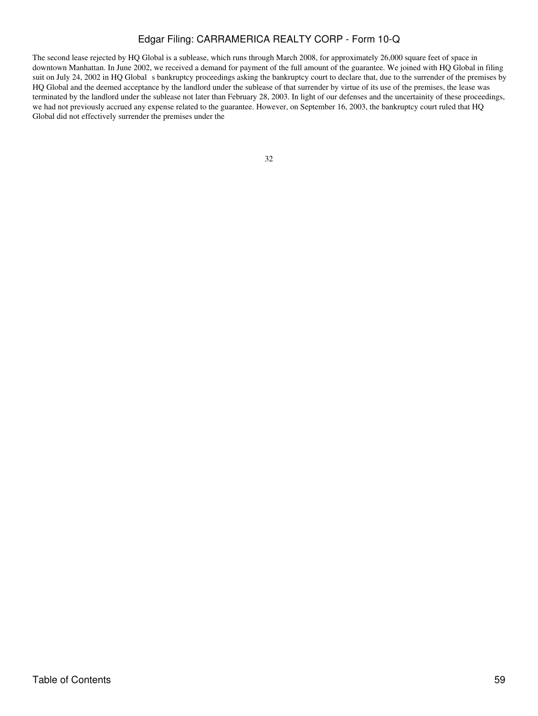The second lease rejected by HQ Global is a sublease, which runs through March 2008, for approximately 26,000 square feet of space in downtown Manhattan. In June 2002, we received a demand for payment of the full amount of the guarantee. We joined with HQ Global in filing suit on July 24, 2002 in HQ Global s bankruptcy proceedings asking the bankruptcy court to declare that, due to the surrender of the premises by HQ Global and the deemed acceptance by the landlord under the sublease of that surrender by virtue of its use of the premises, the lease was terminated by the landlord under the sublease not later than February 28, 2003. In light of our defenses and the uncertainity of these proceedings, we had not previously accrued any expense related to the guarantee. However, on September 16, 2003, the bankruptcy court ruled that HQ Global did not effectively surrender the premises under the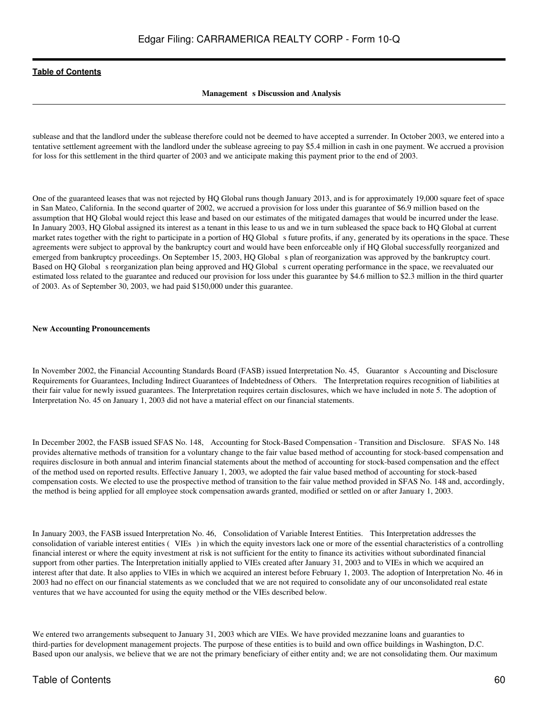## **Management** s Discussion and Analysis

sublease and that the landlord under the sublease therefore could not be deemed to have accepted a surrender. In October 2003, we entered into a tentative settlement agreement with the landlord under the sublease agreeing to pay \$5.4 million in cash in one payment. We accrued a provision for loss for this settlement in the third quarter of 2003 and we anticipate making this payment prior to the end of 2003.

One of the guaranteed leases that was not rejected by HQ Global runs though January 2013, and is for approximately 19,000 square feet of space in San Mateo, California. In the second quarter of 2002, we accrued a provision for loss under this guarantee of \$6.9 million based on the assumption that HQ Global would reject this lease and based on our estimates of the mitigated damages that would be incurred under the lease. In January 2003, HQ Global assigned its interest as a tenant in this lease to us and we in turn subleased the space back to HQ Global at current market rates together with the right to participate in a portion of HQ Global s future profits, if any, generated by its operations in the space. These agreements were subject to approval by the bankruptcy court and would have been enforceable only if HQ Global successfully reorganized and emerged from bankruptcy proceedings. On September 15, 2003, HQ Globals plan of reorganization was approved by the bankruptcy court. Based on HQ Global s reorganization plan being approved and HQ Global s current operating performance in the space, we reevaluated our estimated loss related to the guarantee and reduced our provision for loss under this guarantee by \$4.6 million to \$2.3 million in the third quarter of 2003. As of September 30, 2003, we had paid \$150,000 under this guarantee.

#### **New Accounting Pronouncements**

In November 2002, the Financial Accounting Standards Board (FASB) issued Interpretation No. 45, Guarantors Accounting and Disclosure Requirements for Guarantees, Including Indirect Guarantees of Indebtedness of Others. The Interpretation requires recognition of liabilities at their fair value for newly issued guarantees. The Interpretation requires certain disclosures, which we have included in note 5. The adoption of Interpretation No. 45 on January 1, 2003 did not have a material effect on our financial statements.

In December 2002, the FASB issued SFAS No. 148, Accounting for Stock-Based Compensation - Transition and Disclosure. SFAS No. 148 provides alternative methods of transition for a voluntary change to the fair value based method of accounting for stock-based compensation and requires disclosure in both annual and interim financial statements about the method of accounting for stock-based compensation and the effect of the method used on reported results. Effective January 1, 2003, we adopted the fair value based method of accounting for stock-based compensation costs. We elected to use the prospective method of transition to the fair value method provided in SFAS No. 148 and, accordingly, the method is being applied for all employee stock compensation awards granted, modified or settled on or after January 1, 2003.

In January 2003, the FASB issued Interpretation No. 46, Consolidation of Variable Interest Entities. This Interpretation addresses the consolidation of variable interest entities (VIEs) in which the equity investors lack one or more of the essential characteristics of a controlling financial interest or where the equity investment at risk is not sufficient for the entity to finance its activities without subordinated financial support from other parties. The Interpretation initially applied to VIEs created after January 31, 2003 and to VIEs in which we acquired an interest after that date. It also applies to VIEs in which we acquired an interest before February 1, 2003. The adoption of Interpretation No. 46 in 2003 had no effect on our financial statements as we concluded that we are not required to consolidate any of our unconsolidated real estate ventures that we have accounted for using the equity method or the VIEs described below.

We entered two arrangements subsequent to January 31, 2003 which are VIEs. We have provided mezzanine loans and guaranties to third-parties for development management projects. The purpose of these entities is to build and own office buildings in Washington, D.C. Based upon our analysis, we believe that we are not the primary beneficiary of either entity and; we are not consolidating them. Our maximum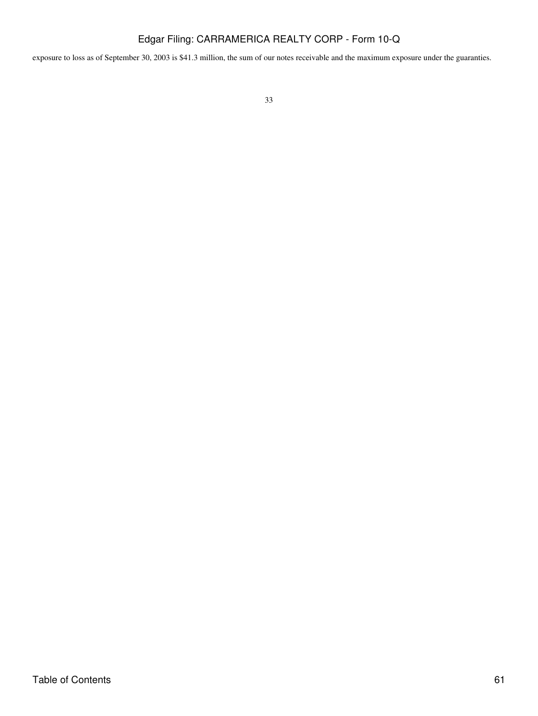exposure to loss as of September 30, 2003 is \$41.3 million, the sum of our notes receivable and the maximum exposure under the guaranties.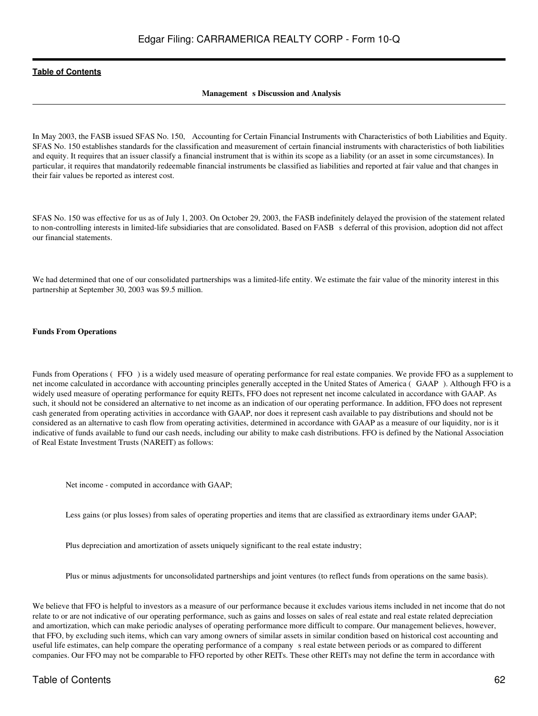## **Management** s Discussion and Analysis

In May 2003, the FASB issued SFAS No. 150, Accounting for Certain Financial Instruments with Characteristics of both Liabilities and Equity. SFAS No. 150 establishes standards for the classification and measurement of certain financial instruments with characteristics of both liabilities and equity. It requires that an issuer classify a financial instrument that is within its scope as a liability (or an asset in some circumstances). In particular, it requires that mandatorily redeemable financial instruments be classified as liabilities and reported at fair value and that changes in their fair values be reported as interest cost.

SFAS No. 150 was effective for us as of July 1, 2003. On October 29, 2003, the FASB indefinitely delayed the provision of the statement related to non-controlling interests in limited-life subsidiaries that are consolidated. Based on FASB s deferral of this provision, adoption did not affect our financial statements.

We had determined that one of our consolidated partnerships was a limited-life entity. We estimate the fair value of the minority interest in this partnership at September 30, 2003 was \$9.5 million.

### **Funds From Operations**

Funds from Operations (FFO) is a widely used measure of operating performance for real estate companies. We provide FFO as a supplement to net income calculated in accordance with accounting principles generally accepted in the United States of America (GAAP). Although FFO is a widely used measure of operating performance for equity REITs, FFO does not represent net income calculated in accordance with GAAP. As such, it should not be considered an alternative to net income as an indication of our operating performance. In addition, FFO does not represent cash generated from operating activities in accordance with GAAP, nor does it represent cash available to pay distributions and should not be considered as an alternative to cash flow from operating activities, determined in accordance with GAAP as a measure of our liquidity, nor is it indicative of funds available to fund our cash needs, including our ability to make cash distributions. FFO is defined by the National Association of Real Estate Investment Trusts (NAREIT) as follows:

Net income - computed in accordance with GAAP;

Less gains (or plus losses) from sales of operating properties and items that are classified as extraordinary items under GAAP;

Plus depreciation and amortization of assets uniquely significant to the real estate industry;

Plus or minus adjustments for unconsolidated partnerships and joint ventures (to reflect funds from operations on the same basis).

We believe that FFO is helpful to investors as a measure of our performance because it excludes various items included in net income that do not relate to or are not indicative of our operating performance, such as gains and losses on sales of real estate and real estate related depreciation and amortization, which can make periodic analyses of operating performance more difficult to compare. Our management believes, however, that FFO, by excluding such items, which can vary among owners of similar assets in similar condition based on historical cost accounting and useful life estimates, can help compare the operating performance of a companys real estate between periods or as compared to different companies. Our FFO may not be comparable to FFO reported by other REITs. These other REITs may not define the term in accordance with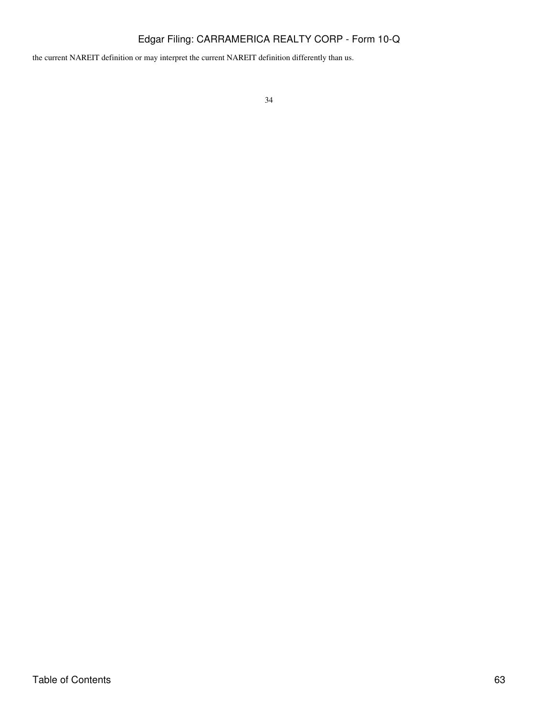the current NAREIT definition or may interpret the current NAREIT definition differently than us.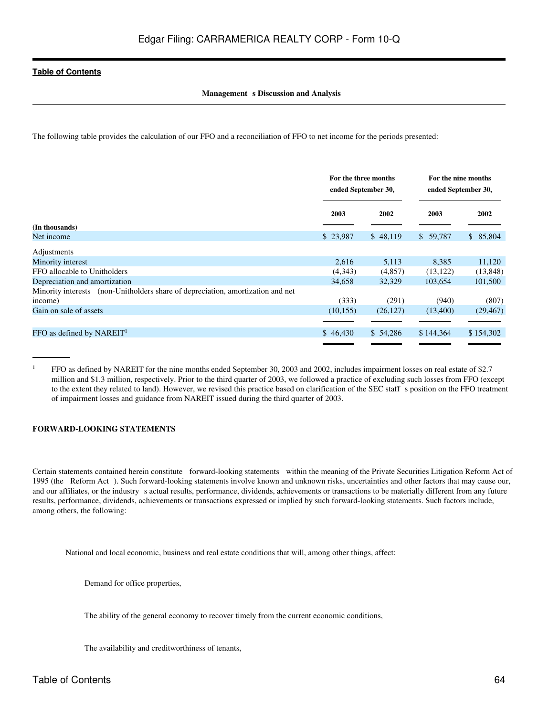## **Management** s Discussion and Analysis

The following table provides the calculation of our FFO and a reconciliation of FFO to net income for the periods presented:

|                                                                                 | For the three months<br>ended September 30, |           | For the nine months<br>ended September 30, |           |
|---------------------------------------------------------------------------------|---------------------------------------------|-----------|--------------------------------------------|-----------|
|                                                                                 | 2003                                        | 2002      | 2003                                       | 2002      |
| (In thousands)                                                                  |                                             |           |                                            |           |
| Net income                                                                      | \$23,987                                    | \$48,119  | \$59,787                                   | \$85,804  |
| Adjustments                                                                     |                                             |           |                                            |           |
| Minority interest                                                               | 2,616                                       | 5,113     | 8.385                                      | 11,120    |
| FFO allocable to Unitholders                                                    | (4,343)                                     | (4,857)   | (13, 122)                                  | (13, 848) |
| Depreciation and amortization                                                   | 34,658                                      | 32,329    | 103,654                                    | 101,500   |
| Minority interests (non-Unitholders share of depreciation, amortization and net |                                             |           |                                            |           |
| income)                                                                         | (333)                                       | (291)     | (940)                                      | (807)     |
| Gain on sale of assets                                                          | (10, 155)                                   | (26, 127) | (13,400)                                   | (29, 467) |
|                                                                                 |                                             |           |                                            |           |
| FFO as defined by $NAREIT1$                                                     | \$46,430                                    | \$54,286  | \$144,364                                  | \$154,302 |
|                                                                                 |                                             |           |                                            |           |

<sup>1</sup> FFO as defined by NAREIT for the nine months ended September 30, 2003 and 2002, includes impairment losses on real estate of \$2.7 million and \$1.3 million, respectively. Prior to the third quarter of 2003, we followed a practice of excluding such losses from FFO (except to the extent they related to land). However, we revised this practice based on clarification of the SEC staff s position on the FFO treatment of impairment losses and guidance from NAREIT issued during the third quarter of 2003.

# **FORWARD-LOOKING STATEMENTS**

Certain statements contained herein constitute forward-looking statements within the meaning of the Private Securities Litigation Reform Act of 1995 (the Reform Act). Such forward-looking statements involve known and unknown risks, uncertainties and other factors that may cause our, and our affiliates, or the industry s actual results, performance, dividends, achievements or transactions to be materially different from any future results, performance, dividends, achievements or transactions expressed or implied by such forward-looking statements. Such factors include, among others, the following:

National and local economic, business and real estate conditions that will, among other things, affect:

Demand for office properties,

The ability of the general economy to recover timely from the current economic conditions,

The availability and creditworthiness of tenants,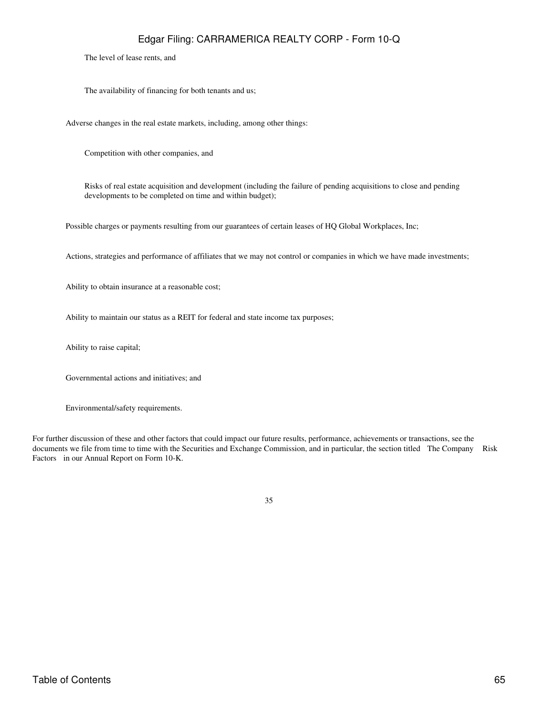The level of lease rents, and

The availability of financing for both tenants and us;

Adverse changes in the real estate markets, including, among other things:

Competition with other companies, and

Risks of real estate acquisition and development (including the failure of pending acquisitions to close and pending developments to be completed on time and within budget);

Possible charges or payments resulting from our guarantees of certain leases of HQ Global Workplaces, Inc;

Actions, strategies and performance of affiliates that we may not control or companies in which we have made investments;

Ability to obtain insurance at a reasonable cost;

Ability to maintain our status as a REIT for federal and state income tax purposes;

Ability to raise capital;

Governmental actions and initiatives; and

Environmental/safety requirements.

For further discussion of these and other factors that could impact our future results, performance, achievements or transactions, see the documents we file from time to time with the Securities and Exchange Commission, and in particular, the section titled The Company Risk Factors in our Annual Report on Form 10-K.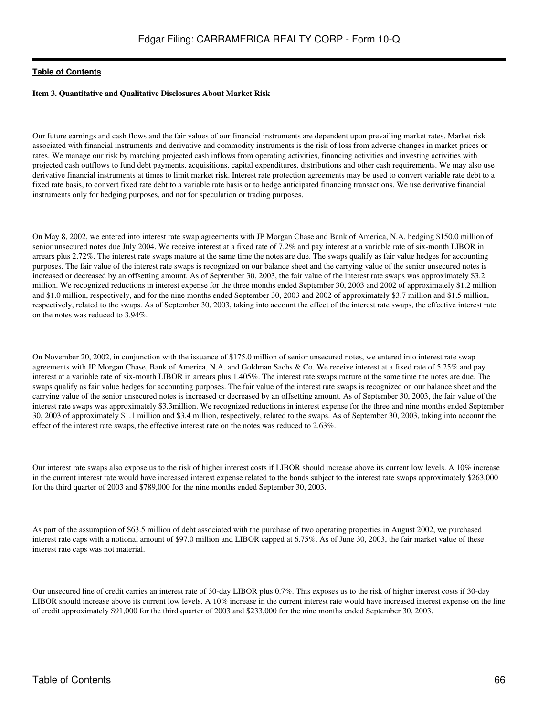### **Item 3. Quantitative and Qualitative Disclosures About Market Risk**

Our future earnings and cash flows and the fair values of our financial instruments are dependent upon prevailing market rates. Market risk associated with financial instruments and derivative and commodity instruments is the risk of loss from adverse changes in market prices or rates. We manage our risk by matching projected cash inflows from operating activities, financing activities and investing activities with projected cash outflows to fund debt payments, acquisitions, capital expenditures, distributions and other cash requirements. We may also use derivative financial instruments at times to limit market risk. Interest rate protection agreements may be used to convert variable rate debt to a fixed rate basis, to convert fixed rate debt to a variable rate basis or to hedge anticipated financing transactions. We use derivative financial instruments only for hedging purposes, and not for speculation or trading purposes.

On May 8, 2002, we entered into interest rate swap agreements with JP Morgan Chase and Bank of America, N.A. hedging \$150.0 million of senior unsecured notes due July 2004. We receive interest at a fixed rate of 7.2% and pay interest at a variable rate of six-month LIBOR in arrears plus 2.72%. The interest rate swaps mature at the same time the notes are due. The swaps qualify as fair value hedges for accounting purposes. The fair value of the interest rate swaps is recognized on our balance sheet and the carrying value of the senior unsecured notes is increased or decreased by an offsetting amount. As of September 30, 2003, the fair value of the interest rate swaps was approximately \$3.2 million. We recognized reductions in interest expense for the three months ended September 30, 2003 and 2002 of approximately \$1.2 million and \$1.0 million, respectively, and for the nine months ended September 30, 2003 and 2002 of approximately \$3.7 million and \$1.5 million, respectively, related to the swaps. As of September 30, 2003, taking into account the effect of the interest rate swaps, the effective interest rate on the notes was reduced to 3.94%.

On November 20, 2002, in conjunction with the issuance of \$175.0 million of senior unsecured notes, we entered into interest rate swap agreements with JP Morgan Chase, Bank of America, N.A. and Goldman Sachs & Co. We receive interest at a fixed rate of 5.25% and pay interest at a variable rate of six-month LIBOR in arrears plus 1.405%. The interest rate swaps mature at the same time the notes are due. The swaps qualify as fair value hedges for accounting purposes. The fair value of the interest rate swaps is recognized on our balance sheet and the carrying value of the senior unsecured notes is increased or decreased by an offsetting amount. As of September 30, 2003, the fair value of the interest rate swaps was approximately \$3.3million. We recognized reductions in interest expense for the three and nine months ended September 30, 2003 of approximately \$1.1 million and \$3.4 million, respectively, related to the swaps. As of September 30, 2003, taking into account the effect of the interest rate swaps, the effective interest rate on the notes was reduced to 2.63%.

Our interest rate swaps also expose us to the risk of higher interest costs if LIBOR should increase above its current low levels. A 10% increase in the current interest rate would have increased interest expense related to the bonds subject to the interest rate swaps approximately \$263,000 for the third quarter of 2003 and \$789,000 for the nine months ended September 30, 2003.

As part of the assumption of \$63.5 million of debt associated with the purchase of two operating properties in August 2002, we purchased interest rate caps with a notional amount of \$97.0 million and LIBOR capped at 6.75%. As of June 30, 2003, the fair market value of these interest rate caps was not material.

Our unsecured line of credit carries an interest rate of 30-day LIBOR plus 0.7%. This exposes us to the risk of higher interest costs if 30-day LIBOR should increase above its current low levels. A 10% increase in the current interest rate would have increased interest expense on the line of credit approximately \$91,000 for the third quarter of 2003 and \$233,000 for the nine months ended September 30, 2003.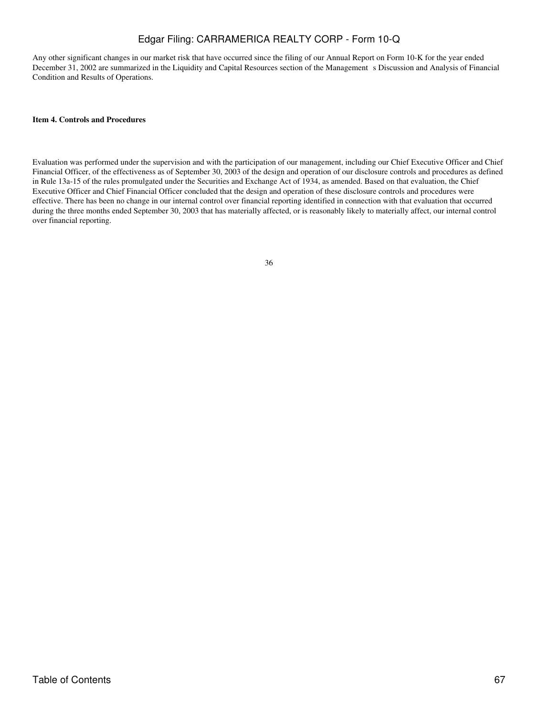Any other significant changes in our market risk that have occurred since the filing of our Annual Report on Form 10-K for the year ended December 31, 2002 are summarized in the Liquidity and Capital Resources section of the Management s Discussion and Analysis of Financial Condition and Results of Operations.

## **Item 4. Controls and Procedures**

Evaluation was performed under the supervision and with the participation of our management, including our Chief Executive Officer and Chief Financial Officer, of the effectiveness as of September 30, 2003 of the design and operation of our disclosure controls and procedures as defined in Rule 13a-15 of the rules promulgated under the Securities and Exchange Act of 1934, as amended. Based on that evaluation, the Chief Executive Officer and Chief Financial Officer concluded that the design and operation of these disclosure controls and procedures were effective. There has been no change in our internal control over financial reporting identified in connection with that evaluation that occurred during the three months ended September 30, 2003 that has materially affected, or is reasonably likely to materially affect, our internal control over financial reporting.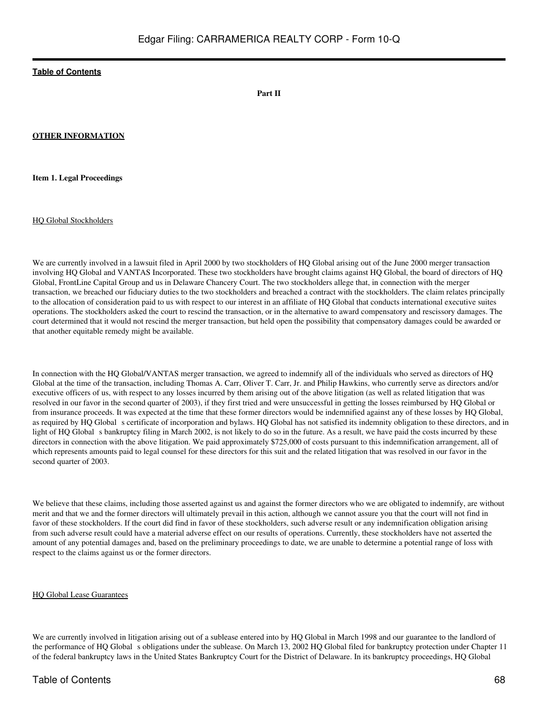**Part II**

### **OTHER INFORMATION**

**Item 1. Legal Proceedings**

HQ Global Stockholders

We are currently involved in a lawsuit filed in April 2000 by two stockholders of HQ Global arising out of the June 2000 merger transaction involving HQ Global and VANTAS Incorporated. These two stockholders have brought claims against HQ Global, the board of directors of HQ Global, FrontLine Capital Group and us in Delaware Chancery Court. The two stockholders allege that, in connection with the merger transaction, we breached our fiduciary duties to the two stockholders and breached a contract with the stockholders. The claim relates principally to the allocation of consideration paid to us with respect to our interest in an affiliate of HQ Global that conducts international executive suites operations. The stockholders asked the court to rescind the transaction, or in the alternative to award compensatory and rescissory damages. The court determined that it would not rescind the merger transaction, but held open the possibility that compensatory damages could be awarded or that another equitable remedy might be available.

In connection with the HQ Global/VANTAS merger transaction, we agreed to indemnify all of the individuals who served as directors of HQ Global at the time of the transaction, including Thomas A. Carr, Oliver T. Carr, Jr. and Philip Hawkins, who currently serve as directors and/or executive officers of us, with respect to any losses incurred by them arising out of the above litigation (as well as related litigation that was resolved in our favor in the second quarter of 2003), if they first tried and were unsuccessful in getting the losses reimbursed by HQ Global or from insurance proceeds. It was expected at the time that these former directors would be indemnified against any of these losses by HQ Global, as required by HQ Global s certificate of incorporation and bylaws. HQ Global has not satisfied its indemnity obligation to these directors, and in light of HQ Global s bankruptcy filing in March 2002, is not likely to do so in the future. As a result, we have paid the costs incurred by these directors in connection with the above litigation. We paid approximately \$725,000 of costs pursuant to this indemnification arrangement, all of which represents amounts paid to legal counsel for these directors for this suit and the related litigation that was resolved in our favor in the second quarter of 2003.

We believe that these claims, including those asserted against us and against the former directors who we are obligated to indemnify, are without merit and that we and the former directors will ultimately prevail in this action, although we cannot assure you that the court will not find in favor of these stockholders. If the court did find in favor of these stockholders, such adverse result or any indemnification obligation arising from such adverse result could have a material adverse effect on our results of operations. Currently, these stockholders have not asserted the amount of any potential damages and, based on the preliminary proceedings to date, we are unable to determine a potential range of loss with respect to the claims against us or the former directors.

#### HQ Global Lease Guarantees

We are currently involved in litigation arising out of a sublease entered into by HQ Global in March 1998 and our guarantee to the landlord of the performance of HQ Global s obligations under the sublease. On March 13, 2002 HQ Global filed for bankruptcy protection under Chapter 11 of the federal bankruptcy laws in the United States Bankruptcy Court for the District of Delaware. In its bankruptcy proceedings, HQ Global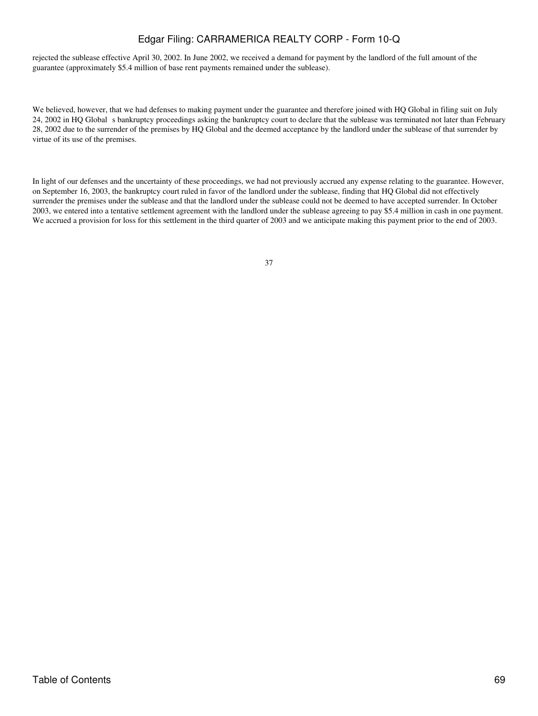rejected the sublease effective April 30, 2002. In June 2002, we received a demand for payment by the landlord of the full amount of the guarantee (approximately \$5.4 million of base rent payments remained under the sublease).

We believed, however, that we had defenses to making payment under the guarantee and therefore joined with HQ Global in filing suit on July 24, 2002 in HQ Global s bankruptcy proceedings asking the bankruptcy court to declare that the sublease was terminated not later than February 28, 2002 due to the surrender of the premises by HQ Global and the deemed acceptance by the landlord under the sublease of that surrender by virtue of its use of the premises.

In light of our defenses and the uncertainty of these proceedings, we had not previously accrued any expense relating to the guarantee. However, on September 16, 2003, the bankruptcy court ruled in favor of the landlord under the sublease, finding that HQ Global did not effectively surrender the premises under the sublease and that the landlord under the sublease could not be deemed to have accepted surrender. In October 2003, we entered into a tentative settlement agreement with the landlord under the sublease agreeing to pay \$5.4 million in cash in one payment. We accrued a provision for loss for this settlement in the third quarter of 2003 and we anticipate making this payment prior to the end of 2003.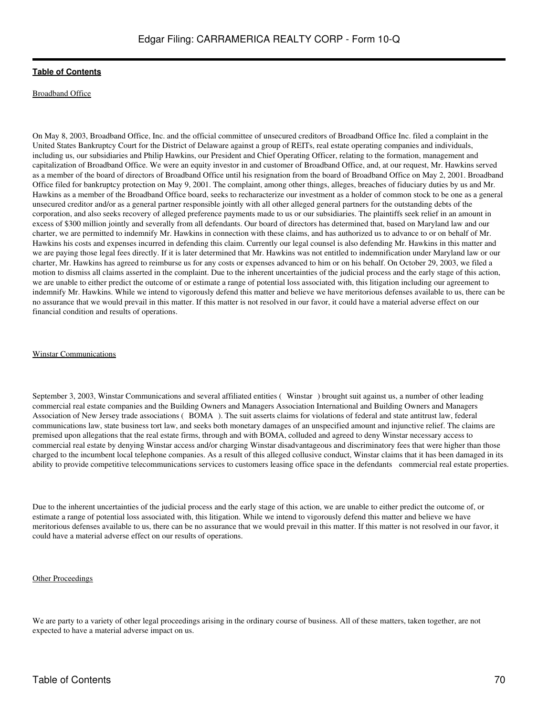### Broadband Office

On May 8, 2003, Broadband Office, Inc. and the official committee of unsecured creditors of Broadband Office Inc. filed a complaint in the United States Bankruptcy Court for the District of Delaware against a group of REITs, real estate operating companies and individuals, including us, our subsidiaries and Philip Hawkins, our President and Chief Operating Officer, relating to the formation, management and capitalization of Broadband Office. We were an equity investor in and customer of Broadband Office, and, at our request, Mr. Hawkins served as a member of the board of directors of Broadband Office until his resignation from the board of Broadband Office on May 2, 2001. Broadband Office filed for bankruptcy protection on May 9, 2001. The complaint, among other things, alleges, breaches of fiduciary duties by us and Mr. Hawkins as a member of the Broadband Office board, seeks to recharacterize our investment as a holder of common stock to be one as a general unsecured creditor and/or as a general partner responsible jointly with all other alleged general partners for the outstanding debts of the corporation, and also seeks recovery of alleged preference payments made to us or our subsidiaries. The plaintiffs seek relief in an amount in excess of \$300 million jointly and severally from all defendants. Our board of directors has determined that, based on Maryland law and our charter, we are permitted to indemnify Mr. Hawkins in connection with these claims, and has authorized us to advance to or on behalf of Mr. Hawkins his costs and expenses incurred in defending this claim. Currently our legal counsel is also defending Mr. Hawkins in this matter and we are paying those legal fees directly. If it is later determined that Mr. Hawkins was not entitled to indemnification under Maryland law or our charter, Mr. Hawkins has agreed to reimburse us for any costs or expenses advanced to him or on his behalf. On October 29, 2003, we filed a motion to dismiss all claims asserted in the complaint. Due to the inherent uncertainties of the judicial process and the early stage of this action, we are unable to either predict the outcome of or estimate a range of potential loss associated with, this litigation including our agreement to indemnify Mr. Hawkins. While we intend to vigorously defend this matter and believe we have meritorious defenses available to us, there can be no assurance that we would prevail in this matter. If this matter is not resolved in our favor, it could have a material adverse effect on our financial condition and results of operations.

#### Winstar Communications

September 3, 2003, Winstar Communications and several affiliated entities (Winstar) brought suit against us, a number of other leading commercial real estate companies and the Building Owners and Managers Association International and Building Owners and Managers Association of New Jersey trade associations (BOMA). The suit asserts claims for violations of federal and state antitrust law, federal communications law, state business tort law, and seeks both monetary damages of an unspecified amount and injunctive relief. The claims are premised upon allegations that the real estate firms, through and with BOMA, colluded and agreed to deny Winstar necessary access to commercial real estate by denying Winstar access and/or charging Winstar disadvantageous and discriminatory fees that were higher than those charged to the incumbent local telephone companies. As a result of this alleged collusive conduct, Winstar claims that it has been damaged in its ability to provide competitive telecommunications services to customers leasing office space in the defendants commercial real estate properties.

Due to the inherent uncertainties of the judicial process and the early stage of this action, we are unable to either predict the outcome of, or estimate a range of potential loss associated with, this litigation. While we intend to vigorously defend this matter and believe we have meritorious defenses available to us, there can be no assurance that we would prevail in this matter. If this matter is not resolved in our favor, it could have a material adverse effect on our results of operations.

#### Other Proceedings

We are party to a variety of other legal proceedings arising in the ordinary course of business. All of these matters, taken together, are not expected to have a material adverse impact on us.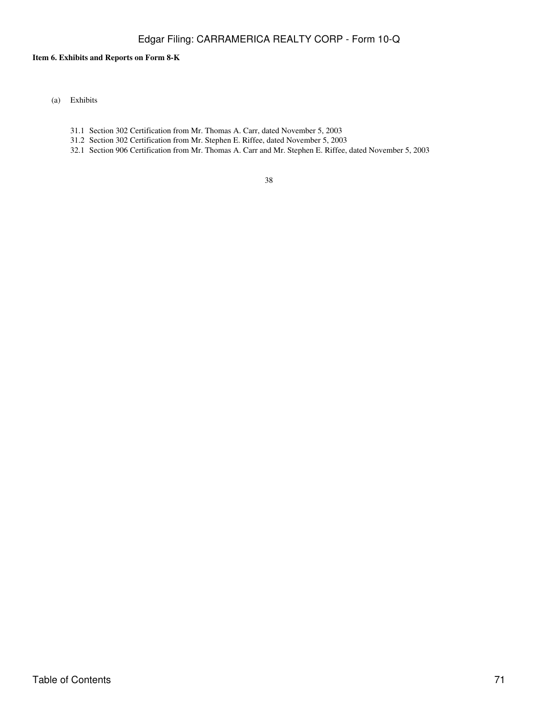## **Item 6. Exhibits and Reports on Form 8-K**

- (a) Exhibits
	- 31.1 Section 302 Certification from Mr. Thomas A. Carr, dated November 5, 2003
	- 31.2 Section 302 Certification from Mr. Stephen E. Riffee, dated November 5, 2003
	- 32.1 Section 906 Certification from Mr. Thomas A. Carr and Mr. Stephen E. Riffee, dated November 5, 2003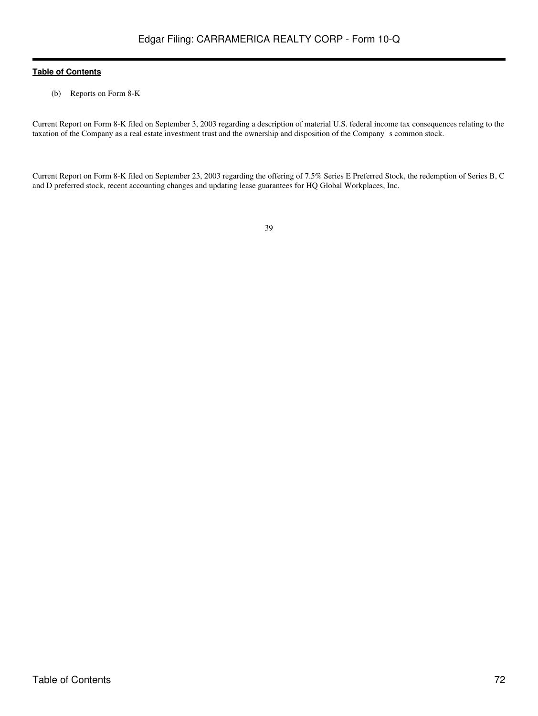(b) Reports on Form 8-K

Current Report on Form 8-K filed on September 3, 2003 regarding a description of material U.S. federal income tax consequences relating to the taxation of the Company as a real estate investment trust and the ownership and disposition of the Company s common stock.

Current Report on Form 8-K filed on September 23, 2003 regarding the offering of 7.5% Series E Preferred Stock, the redemption of Series B, C and D preferred stock, recent accounting changes and updating lease guarantees for HQ Global Workplaces, Inc.